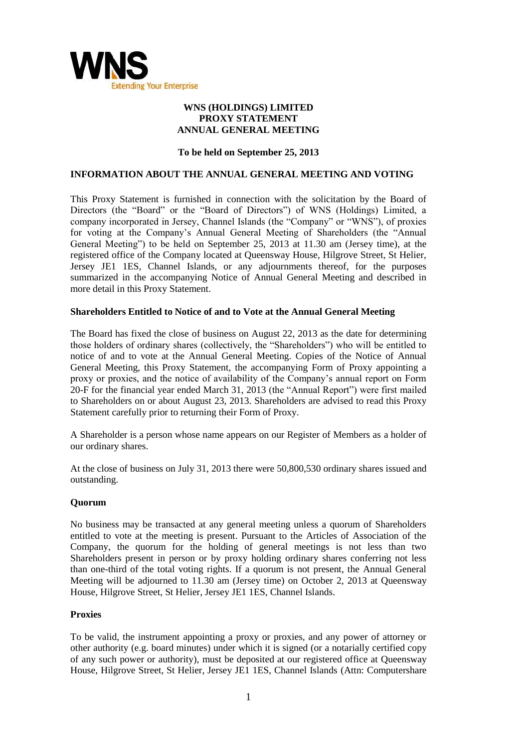

# **WNS (HOLDINGS) LIMITED PROXY STATEMENT ANNUAL GENERAL MEETING**

# **To be held on September 25, 2013**

# **INFORMATION ABOUT THE ANNUAL GENERAL MEETING AND VOTING**

This Proxy Statement is furnished in connection with the solicitation by the Board of Directors (the "Board" or the "Board of Directors") of WNS (Holdings) Limited, a company incorporated in Jersey, Channel Islands (the "Company" or "WNS"), of proxies for voting at the Company's Annual General Meeting of Shareholders (the "Annual General Meeting") to be held on September 25, 2013 at 11.30 am (Jersey time), at the registered office of the Company located at Queensway House, Hilgrove Street, St Helier, Jersey JE1 1ES, Channel Islands, or any adjournments thereof, for the purposes summarized in the accompanying Notice of Annual General Meeting and described in more detail in this Proxy Statement.

# **Shareholders Entitled to Notice of and to Vote at the Annual General Meeting**

The Board has fixed the close of business on August 22, 2013 as the date for determining those holders of ordinary shares (collectively, the "Shareholders") who will be entitled to notice of and to vote at the Annual General Meeting. Copies of the Notice of Annual General Meeting, this Proxy Statement, the accompanying Form of Proxy appointing a proxy or proxies, and the notice of availability of the Company's annual report on Form 20-F for the financial year ended March 31, 2013 (the "Annual Report") were first mailed to Shareholders on or about August 23, 2013. Shareholders are advised to read this Proxy Statement carefully prior to returning their Form of Proxy.

A Shareholder is a person whose name appears on our Register of Members as a holder of our ordinary shares.

At the close of business on July 31, 2013 there were 50,800,530 ordinary shares issued and outstanding.

# **Quorum**

No business may be transacted at any general meeting unless a quorum of Shareholders entitled to vote at the meeting is present. Pursuant to the Articles of Association of the Company, the quorum for the holding of general meetings is not less than two Shareholders present in person or by proxy holding ordinary shares conferring not less than one-third of the total voting rights. If a quorum is not present, the Annual General Meeting will be adjourned to 11.30 am (Jersey time) on October 2, 2013 at Queensway House, Hilgrove Street, St Helier, Jersey JE1 1ES, Channel Islands.

# **Proxies**

To be valid, the instrument appointing a proxy or proxies, and any power of attorney or other authority (e.g. board minutes) under which it is signed (or a notarially certified copy of any such power or authority), must be deposited at our registered office at Queensway House, Hilgrove Street, St Helier, Jersey JE1 1ES, Channel Islands (Attn: Computershare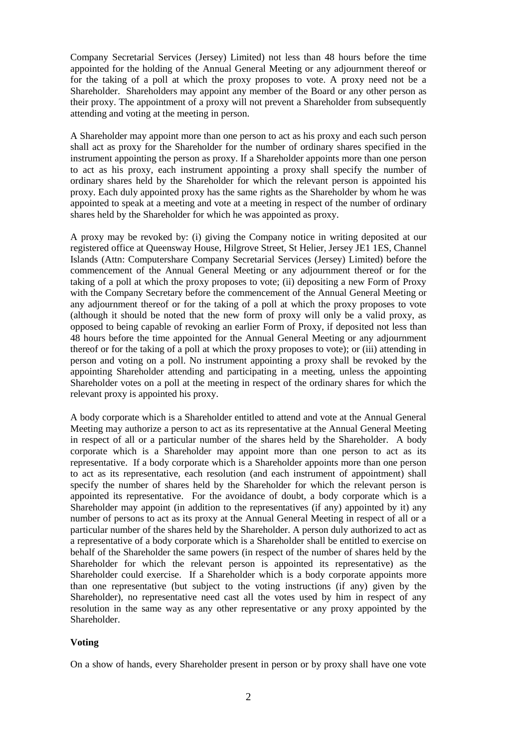Company Secretarial Services (Jersey) Limited) not less than 48 hours before the time appointed for the holding of the Annual General Meeting or any adjournment thereof or for the taking of a poll at which the proxy proposes to vote. A proxy need not be a Shareholder. Shareholders may appoint any member of the Board or any other person as their proxy. The appointment of a proxy will not prevent a Shareholder from subsequently attending and voting at the meeting in person.

A Shareholder may appoint more than one person to act as his proxy and each such person shall act as proxy for the Shareholder for the number of ordinary shares specified in the instrument appointing the person as proxy. If a Shareholder appoints more than one person to act as his proxy, each instrument appointing a proxy shall specify the number of ordinary shares held by the Shareholder for which the relevant person is appointed his proxy. Each duly appointed proxy has the same rights as the Shareholder by whom he was appointed to speak at a meeting and vote at a meeting in respect of the number of ordinary shares held by the Shareholder for which he was appointed as proxy.

A proxy may be revoked by: (i) giving the Company notice in writing deposited at our registered office at Queensway House, Hilgrove Street, St Helier, Jersey JE1 1ES, Channel Islands (Attn: Computershare Company Secretarial Services (Jersey) Limited) before the commencement of the Annual General Meeting or any adjournment thereof or for the taking of a poll at which the proxy proposes to vote; (ii) depositing a new Form of Proxy with the Company Secretary before the commencement of the Annual General Meeting or any adjournment thereof or for the taking of a poll at which the proxy proposes to vote (although it should be noted that the new form of proxy will only be a valid proxy, as opposed to being capable of revoking an earlier Form of Proxy, if deposited not less than 48 hours before the time appointed for the Annual General Meeting or any adjournment thereof or for the taking of a poll at which the proxy proposes to vote); or (iii) attending in person and voting on a poll. No instrument appointing a proxy shall be revoked by the appointing Shareholder attending and participating in a meeting, unless the appointing Shareholder votes on a poll at the meeting in respect of the ordinary shares for which the relevant proxy is appointed his proxy.

A body corporate which is a Shareholder entitled to attend and vote at the Annual General Meeting may authorize a person to act as its representative at the Annual General Meeting in respect of all or a particular number of the shares held by the Shareholder. A body corporate which is a Shareholder may appoint more than one person to act as its representative. If a body corporate which is a Shareholder appoints more than one person to act as its representative, each resolution (and each instrument of appointment) shall specify the number of shares held by the Shareholder for which the relevant person is appointed its representative. For the avoidance of doubt, a body corporate which is a Shareholder may appoint (in addition to the representatives (if any) appointed by it) any number of persons to act as its proxy at the Annual General Meeting in respect of all or a particular number of the shares held by the Shareholder. A person duly authorized to act as a representative of a body corporate which is a Shareholder shall be entitled to exercise on behalf of the Shareholder the same powers (in respect of the number of shares held by the Shareholder for which the relevant person is appointed its representative) as the Shareholder could exercise. If a Shareholder which is a body corporate appoints more than one representative (but subject to the voting instructions (if any) given by the Shareholder), no representative need cast all the votes used by him in respect of any resolution in the same way as any other representative or any proxy appointed by the Shareholder.

#### **Voting**

On a show of hands, every Shareholder present in person or by proxy shall have one vote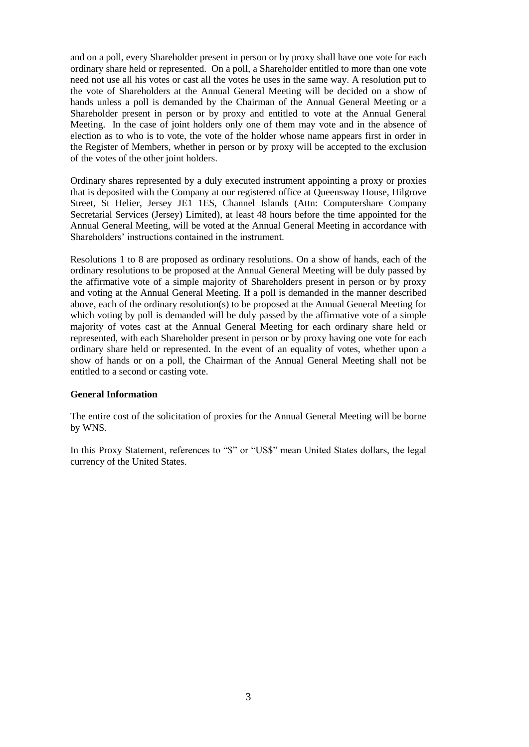and on a poll, every Shareholder present in person or by proxy shall have one vote for each ordinary share held or represented. On a poll, a Shareholder entitled to more than one vote need not use all his votes or cast all the votes he uses in the same way. A resolution put to the vote of Shareholders at the Annual General Meeting will be decided on a show of hands unless a poll is demanded by the Chairman of the Annual General Meeting or a Shareholder present in person or by proxy and entitled to vote at the Annual General Meeting. In the case of joint holders only one of them may vote and in the absence of election as to who is to vote, the vote of the holder whose name appears first in order in the Register of Members, whether in person or by proxy will be accepted to the exclusion of the votes of the other joint holders.

Ordinary shares represented by a duly executed instrument appointing a proxy or proxies that is deposited with the Company at our registered office at Queensway House, Hilgrove Street, St Helier, Jersey JE1 1ES, Channel Islands (Attn: Computershare Company Secretarial Services (Jersey) Limited), at least 48 hours before the time appointed for the Annual General Meeting, will be voted at the Annual General Meeting in accordance with Shareholders' instructions contained in the instrument.

Resolutions 1 to 8 are proposed as ordinary resolutions. On a show of hands, each of the ordinary resolutions to be proposed at the Annual General Meeting will be duly passed by the affirmative vote of a simple majority of Shareholders present in person or by proxy and voting at the Annual General Meeting. If a poll is demanded in the manner described above, each of the ordinary resolution(s) to be proposed at the Annual General Meeting for which voting by poll is demanded will be duly passed by the affirmative vote of a simple majority of votes cast at the Annual General Meeting for each ordinary share held or represented, with each Shareholder present in person or by proxy having one vote for each ordinary share held or represented. In the event of an equality of votes, whether upon a show of hands or on a poll, the Chairman of the Annual General Meeting shall not be entitled to a second or casting vote.

### **General Information**

The entire cost of the solicitation of proxies for the Annual General Meeting will be borne by WNS.

In this Proxy Statement, references to "\$" or "US\$" mean United States dollars, the legal currency of the United States.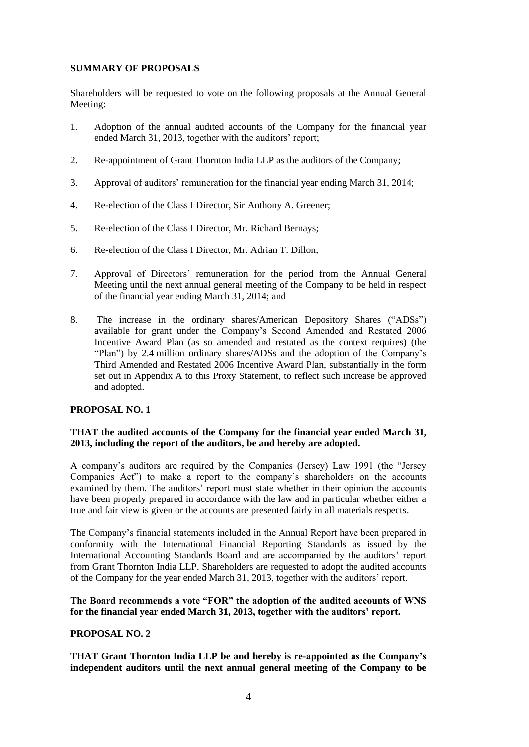# **SUMMARY OF PROPOSALS**

Shareholders will be requested to vote on the following proposals at the Annual General Meeting:

- 1. Adoption of the annual audited accounts of the Company for the financial year ended March 31, 2013, together with the auditors' report;
- 2. Re-appointment of Grant Thornton India LLP as the auditors of the Company;
- 3. Approval of auditors' remuneration for the financial year ending March 31, 2014;
- 4. Re-election of the Class I Director, Sir Anthony A. Greener;
- 5. Re-election of the Class I Director, Mr. Richard Bernays;
- 6. Re-election of the Class I Director, Mr. Adrian T. Dillon;
- 7. Approval of Directors' remuneration for the period from the Annual General Meeting until the next annual general meeting of the Company to be held in respect of the financial year ending March 31, 2014; and
- 8. The increase in the ordinary shares/American Depository Shares ("ADSs") available for grant under the Company's Second Amended and Restated 2006 Incentive Award Plan (as so amended and restated as the context requires) (the "Plan") by 2.4 million ordinary shares/ADSs and the adoption of the Company's Third Amended and Restated 2006 Incentive Award Plan, substantially in the form set out in Appendix A to this Proxy Statement, to reflect such increase be approved and adopted.

# **PROPOSAL NO. 1**

# **THAT the audited accounts of the Company for the financial year ended March 31, 2013, including the report of the auditors, be and hereby are adopted.**

A company's auditors are required by the Companies (Jersey) Law 1991 (the "Jersey Companies Act") to make a report to the company's shareholders on the accounts examined by them. The auditors' report must state whether in their opinion the accounts have been properly prepared in accordance with the law and in particular whether either a true and fair view is given or the accounts are presented fairly in all materials respects.

The Company's financial statements included in the Annual Report have been prepared in conformity with the International Financial Reporting Standards as issued by the International Accounting Standards Board and are accompanied by the auditors' report from Grant Thornton India LLP. Shareholders are requested to adopt the audited accounts of the Company for the year ended March 31, 2013, together with the auditors' report.

# **The Board recommends a vote "FOR" the adoption of the audited accounts of WNS**  for the financial year ended March 31, 2013, together with the auditors' report.

# **PROPOSAL NO. 2**

**THAT Grant Thornton India LLP be and hereby is re-appointed as the Company"s independent auditors until the next annual general meeting of the Company to be**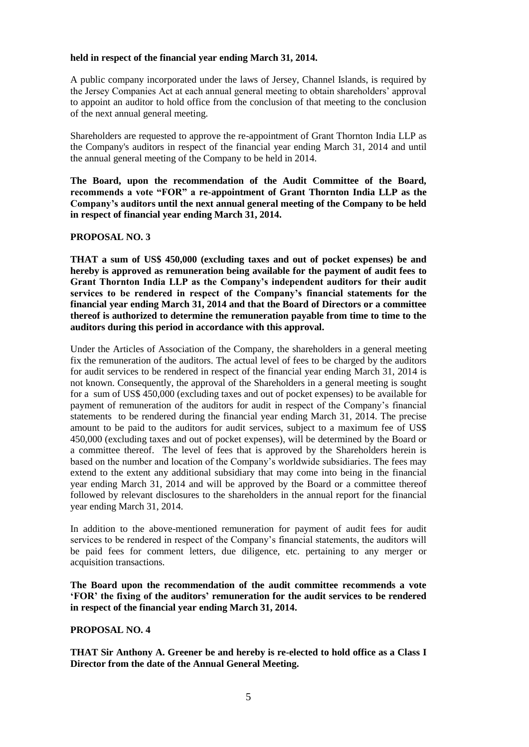### **held in respect of the financial year ending March 31, 2014.**

A public company incorporated under the laws of Jersey, Channel Islands, is required by the Jersey Companies Act at each annual general meeting to obtain shareholders' approval to appoint an auditor to hold office from the conclusion of that meeting to the conclusion of the next annual general meeting.

Shareholders are requested to approve the re-appointment of Grant Thornton India LLP as the Company's auditors in respect of the financial year ending March 31, 2014 and until the annual general meeting of the Company to be held in 2014.

**The Board, upon the recommendation of the Audit Committee of the Board, recommends a vote "FOR" a re-appointment of Grant Thornton India LLP as the Company"s auditors until the next annual general meeting of the Company to be held in respect of financial year ending March 31, 2014.**

# **PROPOSAL NO. 3**

**THAT a sum of US\$ 450,000 (excluding taxes and out of pocket expenses) be and hereby is approved as remuneration being available for the payment of audit fees to Grant Thornton India LLP as the Company"s independent auditors for their audit services to be rendered in respect of the Company"s financial statements for the financial year ending March 31, 2014 and that the Board of Directors or a committee thereof is authorized to determine the remuneration payable from time to time to the auditors during this period in accordance with this approval.** 

Under the Articles of Association of the Company, the shareholders in a general meeting fix the remuneration of the auditors. The actual level of fees to be charged by the auditors for audit services to be rendered in respect of the financial year ending March 31, 2014 is not known. Consequently, the approval of the Shareholders in a general meeting is sought for a sum of US\$ 450,000 (excluding taxes and out of pocket expenses) to be available for payment of remuneration of the auditors for audit in respect of the Company's financial statements to be rendered during the financial year ending March 31, 2014. The precise amount to be paid to the auditors for audit services, subject to a maximum fee of US\$ 450,000 (excluding taxes and out of pocket expenses), will be determined by the Board or a committee thereof. The level of fees that is approved by the Shareholders herein is based on the number and location of the Company's worldwide subsidiaries. The fees may extend to the extent any additional subsidiary that may come into being in the financial year ending March 31, 2014 and will be approved by the Board or a committee thereof followed by relevant disclosures to the shareholders in the annual report for the financial year ending March 31, 2014.

In addition to the above-mentioned remuneration for payment of audit fees for audit services to be rendered in respect of the Company's financial statements, the auditors will be paid fees for comment letters, due diligence, etc. pertaining to any merger or acquisition transactions.

**The Board upon the recommendation of the audit committee recommends a vote "FOR" the fixing of the auditors" remuneration for the audit services to be rendered in respect of the financial year ending March 31, 2014.**

#### **PROPOSAL NO. 4**

**THAT Sir Anthony A. Greener be and hereby is re-elected to hold office as a Class I Director from the date of the Annual General Meeting.**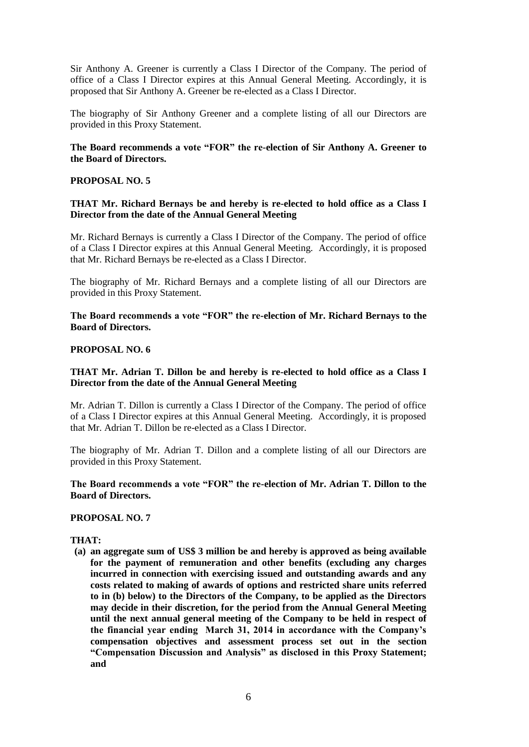Sir Anthony A. Greener is currently a Class I Director of the Company. The period of office of a Class I Director expires at this Annual General Meeting. Accordingly, it is proposed that Sir Anthony A. Greener be re-elected as a Class I Director.

The biography of Sir Anthony Greener and a complete listing of all our Directors are provided in this Proxy Statement.

### **The Board recommends a vote "FOR" the re-election of Sir Anthony A. Greener to the Board of Directors.**

### **PROPOSAL NO. 5**

### **THAT Mr. Richard Bernays be and hereby is re-elected to hold office as a Class I Director from the date of the Annual General Meeting**

Mr. Richard Bernays is currently a Class I Director of the Company. The period of office of a Class I Director expires at this Annual General Meeting. Accordingly, it is proposed that Mr. Richard Bernays be re-elected as a Class I Director.

The biography of Mr. Richard Bernays and a complete listing of all our Directors are provided in this Proxy Statement.

**The Board recommends a vote "FOR" the re-election of Mr. Richard Bernays to the Board of Directors.** 

### **PROPOSAL NO. 6**

### **THAT Mr. Adrian T. Dillon be and hereby is re-elected to hold office as a Class I Director from the date of the Annual General Meeting**

Mr. Adrian T. Dillon is currently a Class I Director of the Company. The period of office of a Class I Director expires at this Annual General Meeting. Accordingly, it is proposed that Mr. Adrian T. Dillon be re-elected as a Class I Director.

The biography of Mr. Adrian T. Dillon and a complete listing of all our Directors are provided in this Proxy Statement.

### **The Board recommends a vote "FOR" the re-election of Mr. Adrian T. Dillon to the Board of Directors.**

#### **PROPOSAL NO. 7**

#### **THAT:**

**(a) an aggregate sum of US\$ 3 million be and hereby is approved as being available for the payment of remuneration and other benefits (excluding any charges incurred in connection with exercising issued and outstanding awards and any costs related to making of awards of options and restricted share units referred to in (b) below) to the Directors of the Company, to be applied as the Directors may decide in their discretion, for the period from the Annual General Meeting until the next annual general meeting of the Company to be held in respect of the financial year ending March 31, 2014 in accordance with the Company"s compensation objectives and assessment process set out in the section "Compensation Discussion and Analysis" as disclosed in this Proxy Statement; and**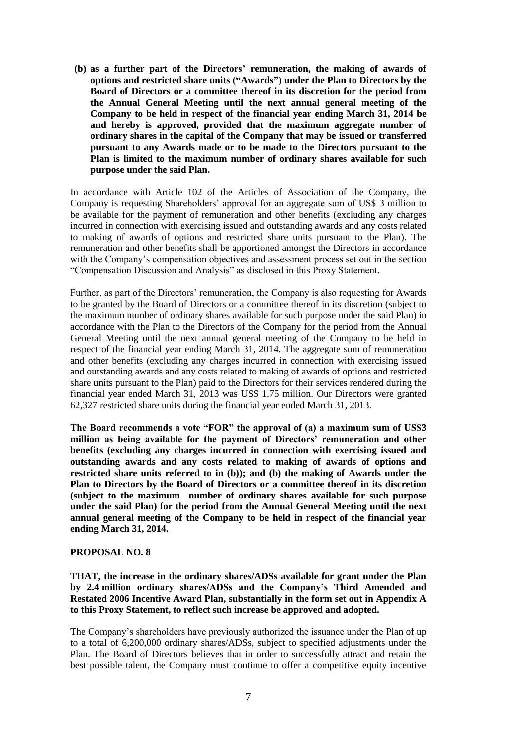**(b) as a further part of the Directors" remuneration, the making of awards of options and restricted share units ("Awards") under the Plan to Directors by the Board of Directors or a committee thereof in its discretion for the period from the Annual General Meeting until the next annual general meeting of the Company to be held in respect of the financial year ending March 31, 2014 be and hereby is approved, provided that the maximum aggregate number of ordinary shares in the capital of the Company that may be issued or transferred pursuant to any Awards made or to be made to the Directors pursuant to the Plan is limited to the maximum number of ordinary shares available for such purpose under the said Plan.** 

In accordance with Article 102 of the Articles of Association of the Company, the Company is requesting Shareholders' approval for an aggregate sum of US\$ 3 million to be available for the payment of remuneration and other benefits (excluding any charges incurred in connection with exercising issued and outstanding awards and any costs related to making of awards of options and restricted share units pursuant to the Plan). The remuneration and other benefits shall be apportioned amongst the Directors in accordance with the Company's compensation objectives and assessment process set out in the section "Compensation Discussion and Analysis" as disclosed in this Proxy Statement.

Further, as part of the Directors' remuneration, the Company is also requesting for Awards to be granted by the Board of Directors or a committee thereof in its discretion (subject to the maximum number of ordinary shares available for such purpose under the said Plan) in accordance with the Plan to the Directors of the Company for the period from the Annual General Meeting until the next annual general meeting of the Company to be held in respect of the financial year ending March 31, 2014. The aggregate sum of remuneration and other benefits (excluding any charges incurred in connection with exercising issued and outstanding awards and any costs related to making of awards of options and restricted share units pursuant to the Plan) paid to the Directors for their services rendered during the financial year ended March 31, 2013 was US\$ 1.75 million. Our Directors were granted 62,327 restricted share units during the financial year ended March 31, 2013.

**The Board recommends a vote "FOR" the approval of (a) a maximum sum of US\$3 million as being available for the payment of Directors" remuneration and other benefits (excluding any charges incurred in connection with exercising issued and outstanding awards and any costs related to making of awards of options and restricted share units referred to in (b)); and (b) the making of Awards under the Plan to Directors by the Board of Directors or a committee thereof in its discretion (subject to the maximum number of ordinary shares available for such purpose under the said Plan) for the period from the Annual General Meeting until the next annual general meeting of the Company to be held in respect of the financial year ending March 31, 2014.** 

#### **PROPOSAL NO. 8**

**THAT, the increase in the ordinary shares/ADSs available for grant under the Plan by 2.4 million ordinary shares/ADSs and the Company"s Third Amended and Restated 2006 Incentive Award Plan, substantially in the form set out in Appendix A to this Proxy Statement, to reflect such increase be approved and adopted.**

The Company's shareholders have previously authorized the issuance under the Plan of up to a total of 6,200,000 ordinary shares/ADSs, subject to specified adjustments under the Plan. The Board of Directors believes that in order to successfully attract and retain the best possible talent, the Company must continue to offer a competitive equity incentive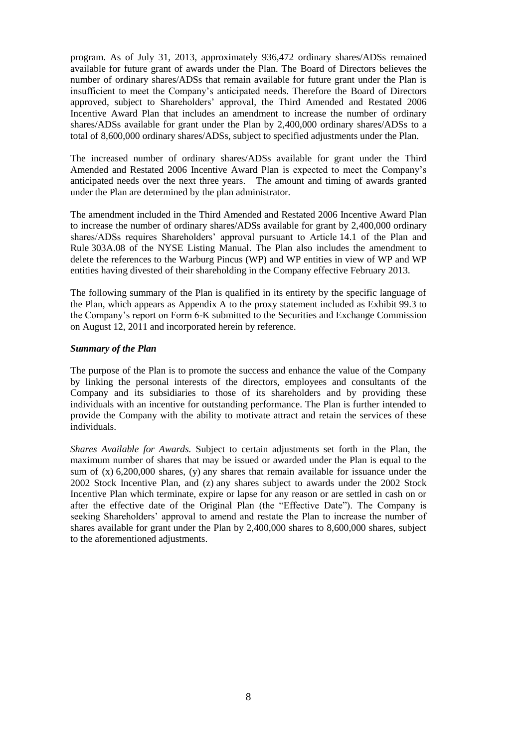program. As of July 31, 2013, approximately 936,472 ordinary shares/ADSs remained available for future grant of awards under the Plan. The Board of Directors believes the number of ordinary shares/ADSs that remain available for future grant under the Plan is insufficient to meet the Company's anticipated needs. Therefore the Board of Directors approved, subject to Shareholders' approval, the Third Amended and Restated 2006 Incentive Award Plan that includes an amendment to increase the number of ordinary shares/ADSs available for grant under the Plan by 2,400,000 ordinary shares/ADSs to a total of 8,600,000 ordinary shares/ADSs, subject to specified adjustments under the Plan.

The increased number of ordinary shares/ADSs available for grant under the Third Amended and Restated 2006 Incentive Award Plan is expected to meet the Company's anticipated needs over the next three years. The amount and timing of awards granted under the Plan are determined by the plan administrator.

The amendment included in the Third Amended and Restated 2006 Incentive Award Plan to increase the number of ordinary shares/ADSs available for grant by 2,400,000 ordinary shares/ADSs requires Shareholders' approval pursuant to Article 14.1 of the Plan and Rule 303A.08 of the NYSE Listing Manual. The Plan also includes the amendment to delete the references to the Warburg Pincus (WP) and WP entities in view of WP and WP entities having divested of their shareholding in the Company effective February 2013.

The following summary of the Plan is qualified in its entirety by the specific language of the Plan, which appears as Appendix A to the proxy statement included as Exhibit 99.3 to the Company's report on Form 6-K submitted to the Securities and Exchange Commission on August 12, 2011 and incorporated herein by reference.

#### *Summary of the Plan*

The purpose of the Plan is to promote the success and enhance the value of the Company by linking the personal interests of the directors, employees and consultants of the Company and its subsidiaries to those of its shareholders and by providing these individuals with an incentive for outstanding performance. The Plan is further intended to provide the Company with the ability to motivate attract and retain the services of these individuals.

*Shares Available for Awards.* Subject to certain adjustments set forth in the Plan, the maximum number of shares that may be issued or awarded under the Plan is equal to the sum of  $(x)$  6,200,000 shares,  $(y)$  any shares that remain available for issuance under the 2002 Stock Incentive Plan, and (z) any shares subject to awards under the 2002 Stock Incentive Plan which terminate, expire or lapse for any reason or are settled in cash on or after the effective date of the Original Plan (the "Effective Date"). The Company is seeking Shareholders' approval to amend and restate the Plan to increase the number of shares available for grant under the Plan by 2,400,000 shares to 8,600,000 shares, subject to the aforementioned adjustments.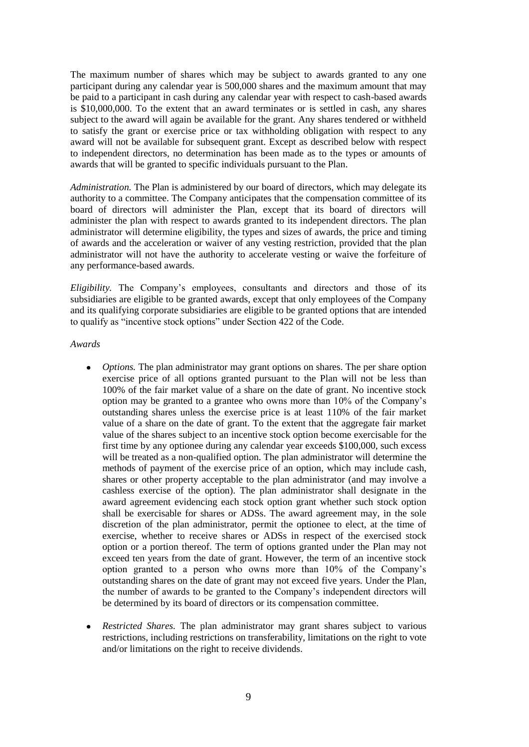The maximum number of shares which may be subject to awards granted to any one participant during any calendar year is 500,000 shares and the maximum amount that may be paid to a participant in cash during any calendar year with respect to cash-based awards is \$10,000,000. To the extent that an award terminates or is settled in cash, any shares subject to the award will again be available for the grant. Any shares tendered or withheld to satisfy the grant or exercise price or tax withholding obligation with respect to any award will not be available for subsequent grant. Except as described below with respect to independent directors, no determination has been made as to the types or amounts of awards that will be granted to specific individuals pursuant to the Plan.

*Administration.* The Plan is administered by our board of directors, which may delegate its authority to a committee. The Company anticipates that the compensation committee of its board of directors will administer the Plan, except that its board of directors will administer the plan with respect to awards granted to its independent directors. The plan administrator will determine eligibility, the types and sizes of awards, the price and timing of awards and the acceleration or waiver of any vesting restriction, provided that the plan administrator will not have the authority to accelerate vesting or waive the forfeiture of any performance-based awards.

*Eligibility.* The Company's employees, consultants and directors and those of its subsidiaries are eligible to be granted awards, except that only employees of the Company and its qualifying corporate subsidiaries are eligible to be granted options that are intended to qualify as "incentive stock options" under Section 422 of the Code.

*Awards*

- *Options.* The plan administrator may grant options on shares. The per share option exercise price of all options granted pursuant to the Plan will not be less than 100% of the fair market value of a share on the date of grant. No incentive stock option may be granted to a grantee who owns more than 10% of the Company's outstanding shares unless the exercise price is at least 110% of the fair market value of a share on the date of grant. To the extent that the aggregate fair market value of the shares subject to an incentive stock option become exercisable for the first time by any optionee during any calendar year exceeds \$100,000, such excess will be treated as a non-qualified option. The plan administrator will determine the methods of payment of the exercise price of an option, which may include cash, shares or other property acceptable to the plan administrator (and may involve a cashless exercise of the option). The plan administrator shall designate in the award agreement evidencing each stock option grant whether such stock option shall be exercisable for shares or ADSs. The award agreement may, in the sole discretion of the plan administrator, permit the optionee to elect, at the time of exercise, whether to receive shares or ADSs in respect of the exercised stock option or a portion thereof. The term of options granted under the Plan may not exceed ten years from the date of grant. However, the term of an incentive stock option granted to a person who owns more than 10% of the Company's outstanding shares on the date of grant may not exceed five years. Under the Plan, the number of awards to be granted to the Company's independent directors will be determined by its board of directors or its compensation committee.
- *Restricted Shares.* The plan administrator may grant shares subject to various  $\bullet$ restrictions, including restrictions on transferability, limitations on the right to vote and/or limitations on the right to receive dividends.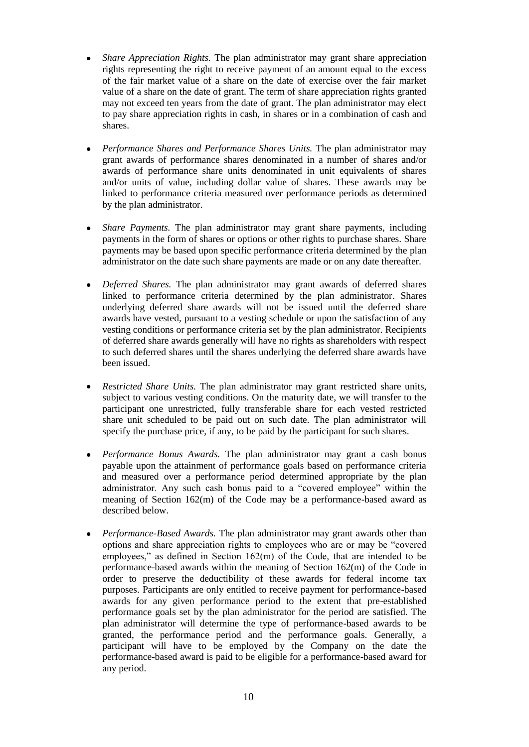- *Share Appreciation Rights.* The plan administrator may grant share appreciation rights representing the right to receive payment of an amount equal to the excess of the fair market value of a share on the date of exercise over the fair market value of a share on the date of grant. The term of share appreciation rights granted may not exceed ten years from the date of grant. The plan administrator may elect to pay share appreciation rights in cash, in shares or in a combination of cash and shares.
- *Performance Shares and Performance Shares Units.* The plan administrator may grant awards of performance shares denominated in a number of shares and/or awards of performance share units denominated in unit equivalents of shares and/or units of value, including dollar value of shares. These awards may be linked to performance criteria measured over performance periods as determined by the plan administrator.
- *Share Payments.* The plan administrator may grant share payments, including  $\bullet$ payments in the form of shares or options or other rights to purchase shares. Share payments may be based upon specific performance criteria determined by the plan administrator on the date such share payments are made or on any date thereafter.
- *Deferred Shares.* The plan administrator may grant awards of deferred shares  $\bullet$ linked to performance criteria determined by the plan administrator. Shares underlying deferred share awards will not be issued until the deferred share awards have vested, pursuant to a vesting schedule or upon the satisfaction of any vesting conditions or performance criteria set by the plan administrator. Recipients of deferred share awards generally will have no rights as shareholders with respect to such deferred shares until the shares underlying the deferred share awards have been issued.
- *Restricted Share Units.* The plan administrator may grant restricted share units,  $\bullet$ subject to various vesting conditions. On the maturity date, we will transfer to the participant one unrestricted, fully transferable share for each vested restricted share unit scheduled to be paid out on such date. The plan administrator will specify the purchase price, if any, to be paid by the participant for such shares.
- *Performance Bonus Awards.* The plan administrator may grant a cash bonus  $\bullet$ payable upon the attainment of performance goals based on performance criteria and measured over a performance period determined appropriate by the plan administrator. Any such cash bonus paid to a "covered employee" within the meaning of Section 162(m) of the Code may be a performance-based award as described below.
- *Performance-Based Awards.* The plan administrator may grant awards other than  $\bullet$ options and share appreciation rights to employees who are or may be "covered employees," as defined in Section 162(m) of the Code, that are intended to be performance-based awards within the meaning of Section 162(m) of the Code in order to preserve the deductibility of these awards for federal income tax purposes. Participants are only entitled to receive payment for performance-based awards for any given performance period to the extent that pre-established performance goals set by the plan administrator for the period are satisfied. The plan administrator will determine the type of performance-based awards to be granted, the performance period and the performance goals. Generally, a participant will have to be employed by the Company on the date the performance-based award is paid to be eligible for a performance-based award for any period.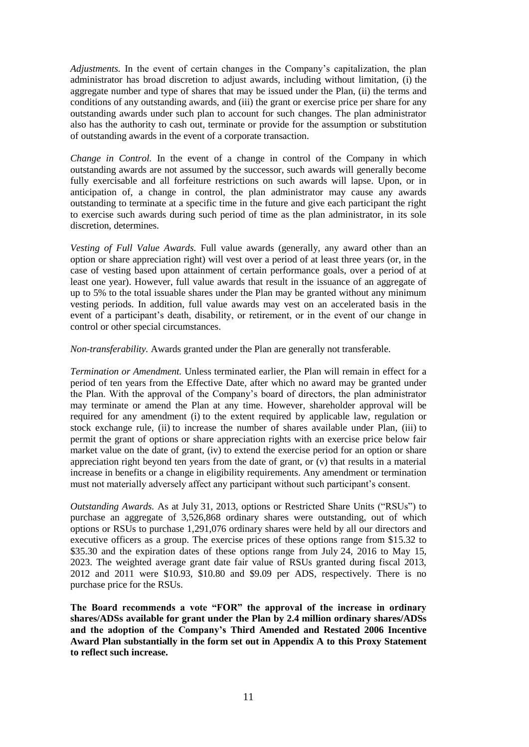*Adjustments.* In the event of certain changes in the Company's capitalization, the plan administrator has broad discretion to adjust awards, including without limitation, (i) the aggregate number and type of shares that may be issued under the Plan, (ii) the terms and conditions of any outstanding awards, and (iii) the grant or exercise price per share for any outstanding awards under such plan to account for such changes. The plan administrator also has the authority to cash out, terminate or provide for the assumption or substitution of outstanding awards in the event of a corporate transaction.

*Change in Control.* In the event of a change in control of the Company in which outstanding awards are not assumed by the successor, such awards will generally become fully exercisable and all forfeiture restrictions on such awards will lapse. Upon, or in anticipation of, a change in control, the plan administrator may cause any awards outstanding to terminate at a specific time in the future and give each participant the right to exercise such awards during such period of time as the plan administrator, in its sole discretion, determines.

*Vesting of Full Value Awards.* Full value awards (generally, any award other than an option or share appreciation right) will vest over a period of at least three years (or, in the case of vesting based upon attainment of certain performance goals, over a period of at least one year). However, full value awards that result in the issuance of an aggregate of up to 5% to the total issuable shares under the Plan may be granted without any minimum vesting periods. In addition, full value awards may vest on an accelerated basis in the event of a participant's death, disability, or retirement, or in the event of our change in control or other special circumstances.

*Non-transferability.* Awards granted under the Plan are generally not transferable.

*Termination or Amendment.* Unless terminated earlier, the Plan will remain in effect for a period of ten years from the Effective Date, after which no award may be granted under the Plan. With the approval of the Company's board of directors, the plan administrator may terminate or amend the Plan at any time. However, shareholder approval will be required for any amendment (i) to the extent required by applicable law, regulation or stock exchange rule, (ii) to increase the number of shares available under Plan, (iii) to permit the grant of options or share appreciation rights with an exercise price below fair market value on the date of grant, (iv) to extend the exercise period for an option or share appreciation right beyond ten years from the date of grant, or (v) that results in a material increase in benefits or a change in eligibility requirements. Any amendment or termination must not materially adversely affect any participant without such participant's consent.

*Outstanding Awards.* As at July 31, 2013, options or Restricted Share Units ("RSUs") to purchase an aggregate of 3,526,868 ordinary shares were outstanding, out of which options or RSUs to purchase 1,291,076 ordinary shares were held by all our directors and executive officers as a group. The exercise prices of these options range from \$15.32 to \$35.30 and the expiration dates of these options range from July 24, 2016 to May 15, 2023. The weighted average grant date fair value of RSUs granted during fiscal 2013, 2012 and 2011 were \$10.93, \$10.80 and \$9.09 per ADS, respectively. There is no purchase price for the RSUs.

**The Board recommends a vote "FOR" the approval of the increase in ordinary shares/ADSs available for grant under the Plan by 2.4 million ordinary shares/ADSs and the adoption of the Company"s Third Amended and Restated 2006 Incentive Award Plan substantially in the form set out in Appendix A to this Proxy Statement to reflect such increase.**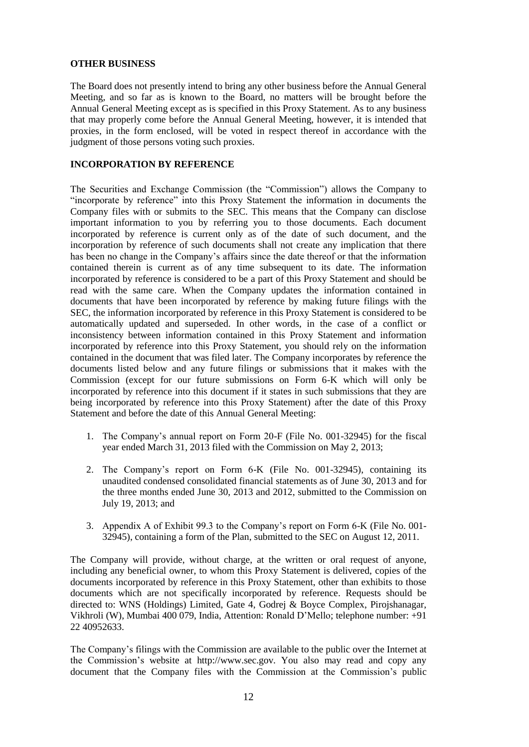# **OTHER BUSINESS**

The Board does not presently intend to bring any other business before the Annual General Meeting, and so far as is known to the Board, no matters will be brought before the Annual General Meeting except as is specified in this Proxy Statement. As to any business that may properly come before the Annual General Meeting, however, it is intended that proxies, in the form enclosed, will be voted in respect thereof in accordance with the judgment of those persons voting such proxies.

# **INCORPORATION BY REFERENCE**

The Securities and Exchange Commission (the "Commission") allows the Company to "incorporate by reference" into this Proxy Statement the information in documents the Company files with or submits to the SEC. This means that the Company can disclose important information to you by referring you to those documents. Each document incorporated by reference is current only as of the date of such document, and the incorporation by reference of such documents shall not create any implication that there has been no change in the Company's affairs since the date thereof or that the information contained therein is current as of any time subsequent to its date. The information incorporated by reference is considered to be a part of this Proxy Statement and should be read with the same care. When the Company updates the information contained in documents that have been incorporated by reference by making future filings with the SEC, the information incorporated by reference in this Proxy Statement is considered to be automatically updated and superseded. In other words, in the case of a conflict or inconsistency between information contained in this Proxy Statement and information incorporated by reference into this Proxy Statement, you should rely on the information contained in the document that was filed later. The Company incorporates by reference the documents listed below and any future filings or submissions that it makes with the Commission (except for our future submissions on Form 6-K which will only be incorporated by reference into this document if it states in such submissions that they are being incorporated by reference into this Proxy Statement) after the date of this Proxy Statement and before the date of this Annual General Meeting:

- 1. The Company's annual report on Form 20-F (File No. 001-32945) for the fiscal year ended March 31, 2013 filed with the Commission on May 2, 2013;
- 2. The Company's report on Form 6-K (File No. 001-32945), containing its unaudited condensed consolidated financial statements as of June 30, 2013 and for the three months ended June 30, 2013 and 2012, submitted to the Commission on July 19, 2013; and
- 3. Appendix A of Exhibit 99.3 to the Company's report on Form 6-K (File No. 001- 32945), containing a form of the Plan, submitted to the SEC on August 12, 2011.

The Company will provide, without charge, at the written or oral request of anyone, including any beneficial owner, to whom this Proxy Statement is delivered, copies of the documents incorporated by reference in this Proxy Statement, other than exhibits to those documents which are not specifically incorporated by reference. Requests should be directed to: WNS (Holdings) Limited, Gate 4, Godrej & Boyce Complex, Pirojshanagar, Vikhroli (W), Mumbai 400 079, India, Attention: Ronald D'Mello; telephone number: +91 22 40952633.

The Company's filings with the Commission are available to the public over the Internet at the Commission's website at http://www.sec.gov. You also may read and copy any document that the Company files with the Commission at the Commission's public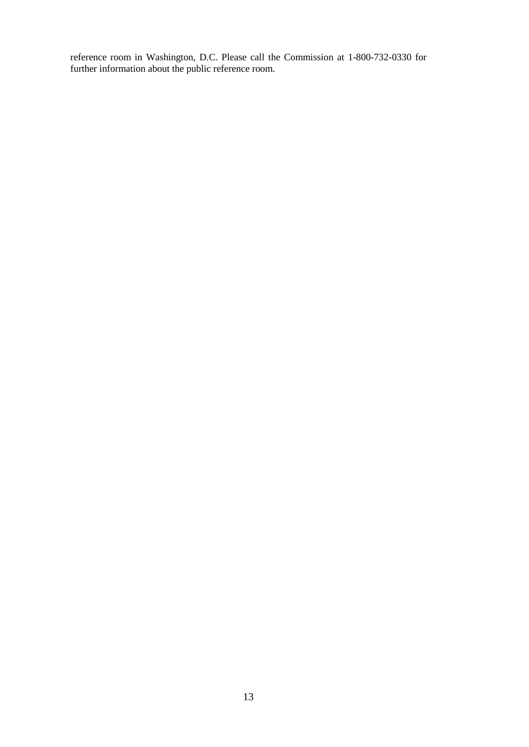reference room in Washington, D.C. Please call the Commission at 1-800-732-0330 for further information about the public reference room.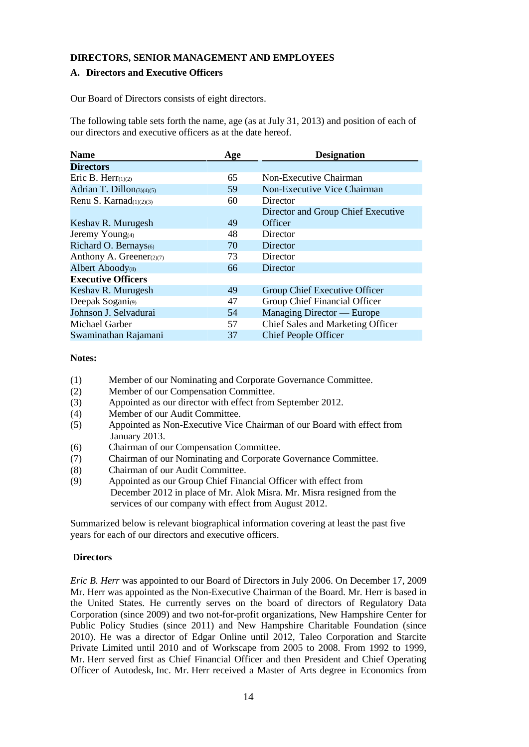# **DIRECTORS, SENIOR MANAGEMENT AND EMPLOYEES**

# **A. Directors and Executive Officers**

Our Board of Directors consists of eight directors.

The following table sets forth the name, age (as at July 31, 2013) and position of each of our directors and executive officers as at the date hereof.

| <b>Name</b>                 | Age | <b>Designation</b>                 |
|-----------------------------|-----|------------------------------------|
| <b>Directors</b>            |     |                                    |
| Eric B. Herr $(1)(2)$       | 65  | Non-Executive Chairman             |
| Adrian T. Dillon(3)(4)(5)   | 59  | Non-Executive Vice Chairman        |
| Renu S. Karnad $(1)(2)(3)$  | 60  | Director                           |
|                             |     | Director and Group Chief Executive |
| Keshav R. Murugesh          | 49  | Officer                            |
| Jeremy Young <sub>(4)</sub> | 48  | Director                           |
| Richard O. Bernays(6)       | 70  | Director                           |
| Anthony A. Greener(2)(7)    | 73  | Director                           |
| Albert Aboody(8)            | 66  | Director                           |
| <b>Executive Officers</b>   |     |                                    |
| Keshav R. Murugesh          | 49  | Group Chief Executive Officer      |
| Deepak Sogani(9)            | 47  | Group Chief Financial Officer      |
| Johnson J. Selvadurai       | 54  | Managing Director — Europe         |
| Michael Garber              | 57  | Chief Sales and Marketing Officer  |
| Swaminathan Rajamani        | 37  | <b>Chief People Officer</b>        |

# **Notes:**

- (1) Member of our Nominating and Corporate Governance Committee.
- (2) Member of our Compensation Committee.
- (3) Appointed as our director with effect from September 2012.
- (4) Member of our Audit Committee.
- (5) Appointed as Non-Executive Vice Chairman of our Board with effect from January 2013.
- (6) Chairman of our Compensation Committee.
- (7) Chairman of our Nominating and Corporate Governance Committee.
- (8) Chairman of our Audit Committee.
- (9) Appointed as our Group Chief Financial Officer with effect from December 2012 in place of Mr. Alok Misra. Mr. Misra resigned from the services of our company with effect from August 2012.

Summarized below is relevant biographical information covering at least the past five years for each of our directors and executive officers.

# **Directors**

*Eric B. Herr* was appointed to our Board of Directors in July 2006. On December 17, 2009 Mr. Herr was appointed as the Non-Executive Chairman of the Board. Mr. Herr is based in the United States. He currently serves on the board of directors of Regulatory Data Corporation (since 2009) and two not-for-profit organizations, New Hampshire Center for Public Policy Studies (since 2011) and New Hampshire Charitable Foundation (since 2010). He was a director of Edgar Online until 2012, Taleo Corporation and Starcite Private Limited until 2010 and of Workscape from 2005 to 2008. From 1992 to 1999, Mr. Herr served first as Chief Financial Officer and then President and Chief Operating Officer of Autodesk, Inc. Mr. Herr received a Master of Arts degree in Economics from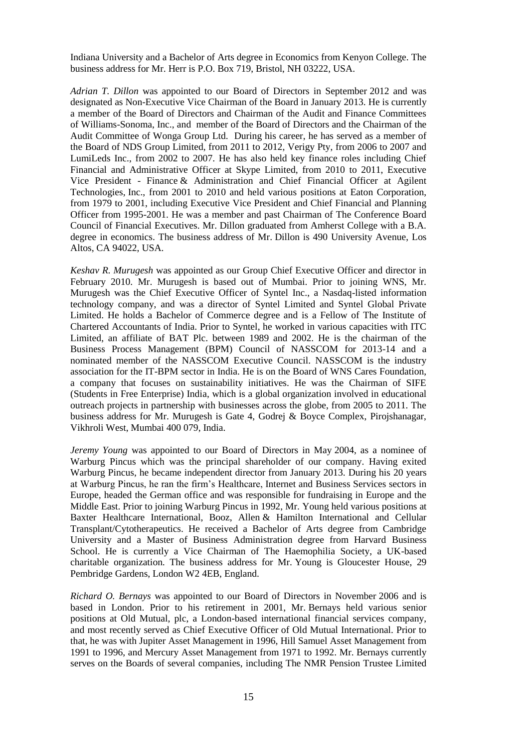Indiana University and a Bachelor of Arts degree in Economics from Kenyon College. The business address for Mr. Herr is P.O. Box 719, Bristol, NH 03222, USA.

*Adrian T. Dillon* was appointed to our Board of Directors in September 2012 and was designated as Non-Executive Vice Chairman of the Board in January 2013. He is currently a member of the Board of Directors and Chairman of the Audit and Finance Committees of Williams-Sonoma, Inc., and member of the Board of Directors and the Chairman of the Audit Committee of Wonga Group Ltd. During his career, he has served as a member of the Board of NDS Group Limited, from 2011 to 2012, Verigy Pty, from 2006 to 2007 and LumiLeds Inc., from 2002 to 2007. He has also held key finance roles including Chief Financial and Administrative Officer at Skype Limited, from 2010 to 2011, Executive Vice President - Finance & Administration and Chief Financial Officer at Agilent Technologies, Inc., from 2001 to 2010 and held various positions at Eaton Corporation, from 1979 to 2001, including Executive Vice President and Chief Financial and Planning Officer from 1995-2001. He was a member and past Chairman of The Conference Board Council of Financial Executives. Mr. Dillon graduated from Amherst College with a B.A. degree in economics. The business address of Mr. Dillon is 490 University Avenue, Los Altos, CA 94022, USA.

*Keshav R. Murugesh* was appointed as our Group Chief Executive Officer and director in February 2010. Mr. Murugesh is based out of Mumbai. Prior to joining WNS, Mr. Murugesh was the Chief Executive Officer of Syntel Inc., a Nasdaq-listed information technology company, and was a director of Syntel Limited and Syntel Global Private Limited. He holds a Bachelor of Commerce degree and is a Fellow of The Institute of Chartered Accountants of India. Prior to Syntel, he worked in various capacities with ITC Limited, an affiliate of BAT Plc. between 1989 and 2002. He is the chairman of the Business Process Management (BPM) Council of NASSCOM for 2013-14 and a nominated member of the NASSCOM Executive Council. NASSCOM is the industry association for the IT-BPM sector in India. He is on the Board of WNS Cares Foundation, a company that focuses on sustainability initiatives. He was the Chairman of SIFE (Students in Free Enterprise) India, which is a global organization involved in educational outreach projects in partnership with businesses across the globe, from 2005 to 2011. The business address for Mr. Murugesh is Gate 4, Godrej & Boyce Complex, Pirojshanagar, Vikhroli West, Mumbai 400 079, India.

*Jeremy Young* was appointed to our Board of Directors in May 2004, as a nominee of Warburg Pincus which was the principal shareholder of our company. Having exited Warburg Pincus, he became independent director from January 2013. During his 20 years at Warburg Pincus, he ran the firm's Healthcare, Internet and Business Services sectors in Europe, headed the German office and was responsible for fundraising in Europe and the Middle East. Prior to joining Warburg Pincus in 1992, Mr. Young held various positions at Baxter Healthcare International, Booz, Allen & Hamilton International and Cellular Transplant/Cytotherapeutics. He received a Bachelor of Arts degree from Cambridge University and a Master of Business Administration degree from Harvard Business School. He is currently a Vice Chairman of The Haemophilia Society, a UK-based charitable organization. The business address for Mr. Young is Gloucester House, 29 Pembridge Gardens, London W2 4EB, England.

*Richard O. Bernays* was appointed to our Board of Directors in November 2006 and is based in London. Prior to his retirement in 2001, Mr. Bernays held various senior positions at Old Mutual, plc, a London-based international financial services company, and most recently served as Chief Executive Officer of Old Mutual International. Prior to that, he was with Jupiter Asset Management in 1996, Hill Samuel Asset Management from 1991 to 1996, and Mercury Asset Management from 1971 to 1992. Mr. Bernays currently serves on the Boards of several companies, including The NMR Pension Trustee Limited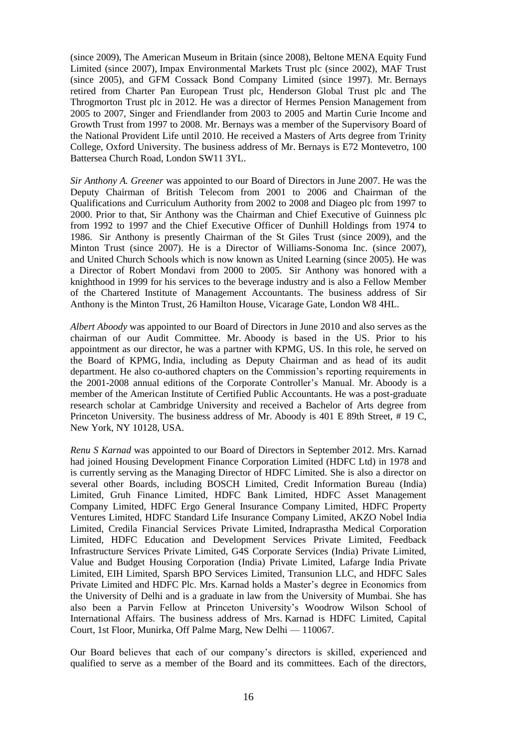(since 2009), The American Museum in Britain (since 2008), Beltone MENA Equity Fund Limited (since 2007), Impax Environmental Markets Trust plc (since 2002), MAF Trust (since 2005), and GFM Cossack Bond Company Limited (since 1997). Mr. Bernays retired from Charter Pan European Trust plc, Henderson Global Trust plc and The Throgmorton Trust plc in 2012. He was a director of Hermes Pension Management from 2005 to 2007, Singer and Friendlander from 2003 to 2005 and Martin Curie Income and Growth Trust from 1997 to 2008. Mr. Bernays was a member of the Supervisory Board of the National Provident Life until 2010. He received a Masters of Arts degree from Trinity College, Oxford University. The business address of Mr. Bernays is E72 Montevetro, 100 Battersea Church Road, London SW11 3YL.

*Sir Anthony A. Greener* was appointed to our Board of Directors in June 2007. He was the Deputy Chairman of British Telecom from 2001 to 2006 and Chairman of the Qualifications and Curriculum Authority from 2002 to 2008 and Diageo plc from 1997 to 2000. Prior to that, Sir Anthony was the Chairman and Chief Executive of Guinness plc from 1992 to 1997 and the Chief Executive Officer of Dunhill Holdings from 1974 to 1986. Sir Anthony is presently Chairman of the St Giles Trust (since 2009), and the Minton Trust (since 2007). He is a Director of Williams-Sonoma Inc. (since 2007), and United Church Schools which is now known as United Learning (since 2005). He was a Director of Robert Mondavi from 2000 to 2005. Sir Anthony was honored with a knighthood in 1999 for his services to the beverage industry and is also a Fellow Member of the Chartered Institute of Management Accountants. The business address of Sir Anthony is the Minton Trust, 26 Hamilton House, Vicarage Gate, London W8 4HL.

*Albert Aboody* was appointed to our Board of Directors in June 2010 and also serves as the chairman of our Audit Committee. Mr. Aboody is based in the US. Prior to his appointment as our director, he was a partner with KPMG, US. In this role, he served on the Board of KPMG, India, including as Deputy Chairman and as head of its audit department. He also co-authored chapters on the Commission's reporting requirements in the 2001-2008 annual editions of the Corporate Controller's Manual. Mr. Aboody is a member of the American Institute of Certified Public Accountants. He was a post-graduate research scholar at Cambridge University and received a Bachelor of Arts degree from Princeton University. The business address of Mr. Aboody is 401 E 89th Street, # 19 C, New York, NY 10128, USA.

*Renu S Karnad* was appointed to our Board of Directors in September 2012. Mrs. Karnad had joined Housing Development Finance Corporation Limited (HDFC Ltd) in 1978 and is currently serving as the Managing Director of HDFC Limited. She is also a director on several other Boards, including BOSCH Limited, Credit Information Bureau (India) Limited, Gruh Finance Limited, HDFC Bank Limited, HDFC Asset Management Company Limited, HDFC Ergo General Insurance Company Limited, HDFC Property Ventures Limited, HDFC Standard Life Insurance Company Limited, AKZO Nobel India Limited, Credila Financial Services Private Limited, Indraprastha Medical Corporation Limited, HDFC Education and Development Services Private Limited, Feedback Infrastructure Services Private Limited, G4S Corporate Services (India) Private Limited, Value and Budget Housing Corporation (India) Private Limited, Lafarge India Private Limited, EIH Limited, Sparsh BPO Services Limited, Transunion LLC, and HDFC Sales Private Limited and HDFC Plc. Mrs. Karnad holds a Master's degree in Economics from the University of Delhi and is a graduate in law from the University of Mumbai. She has also been a Parvin Fellow at Princeton University's Woodrow Wilson School of International Affairs. The business address of Mrs. Karnad is HDFC Limited, Capital Court, 1st Floor, Munirka, Off Palme Marg, New Delhi — 110067.

Our Board believes that each of our company's directors is skilled, experienced and qualified to serve as a member of the Board and its committees. Each of the directors,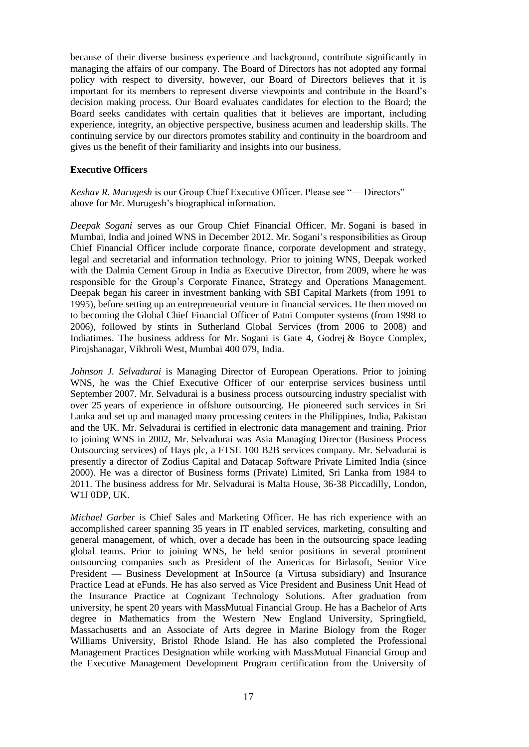because of their diverse business experience and background, contribute significantly in managing the affairs of our company. The Board of Directors has not adopted any formal policy with respect to diversity, however, our Board of Directors believes that it is important for its members to represent diverse viewpoints and contribute in the Board's decision making process. Our Board evaluates candidates for election to the Board; the Board seeks candidates with certain qualities that it believes are important, including experience, integrity, an objective perspective, business acumen and leadership skills. The continuing service by our directors promotes stability and continuity in the boardroom and gives us the benefit of their familiarity and insights into our business.

# **Executive Officers**

*Keshav R. Murugesh* is our Group Chief Executive Officer. Please see "— Directors" above for Mr. Murugesh's biographical information.

*Deepak Sogani* serves as our Group Chief Financial Officer. Mr. Sogani is based in Mumbai, India and joined WNS in December 2012. Mr. Sogani's responsibilities as Group Chief Financial Officer include corporate finance, corporate development and strategy, legal and secretarial and information technology. Prior to joining WNS, Deepak worked with the Dalmia Cement Group in India as Executive Director, from 2009, where he was responsible for the Group's Corporate Finance, Strategy and Operations Management. Deepak began his career in investment banking with SBI Capital Markets (from 1991 to 1995), before setting up an entrepreneurial venture in financial services. He then moved on to becoming the Global Chief Financial Officer of Patni Computer systems (from 1998 to 2006), followed by stints in Sutherland Global Services (from 2006 to 2008) and Indiatimes. The business address for Mr. Sogani is Gate 4, Godrej & Boyce Complex, Pirojshanagar, Vikhroli West, Mumbai 400 079, India.

*Johnson J. Selvadurai* is Managing Director of European Operations. Prior to joining WNS, he was the Chief Executive Officer of our enterprise services business until September 2007. Mr. Selvadurai is a business process outsourcing industry specialist with over 25 years of experience in offshore outsourcing. He pioneered such services in Sri Lanka and set up and managed many processing centers in the Philippines, India, Pakistan and the UK. Mr. Selvadurai is certified in electronic data management and training. Prior to joining WNS in 2002, Mr. Selvadurai was Asia Managing Director (Business Process Outsourcing services) of Hays plc, a FTSE 100 B2B services company. Mr. Selvadurai is presently a director of Zodius Capital and Datacap Software Private Limited India (since 2000). He was a director of Business forms (Private) Limited, Sri Lanka from 1984 to 2011. The business address for Mr. Selvadurai is Malta House, 36-38 Piccadilly, London, W1J 0DP, UK.

*Michael Garber* is Chief Sales and Marketing Officer. He has rich experience with an accomplished career spanning 35 years in IT enabled services, marketing, consulting and general management, of which, over a decade has been in the outsourcing space leading global teams. Prior to joining WNS, he held senior positions in several prominent outsourcing companies such as President of the Americas for Birlasoft, Senior Vice President — Business Development at InSource (a Virtusa subsidiary) and Insurance Practice Lead at eFunds. He has also served as Vice President and Business Unit Head of the Insurance Practice at Cognizant Technology Solutions. After graduation from university, he spent 20 years with MassMutual Financial Group. He has a Bachelor of Arts degree in Mathematics from the Western New England University, Springfield, Massachusetts and an Associate of Arts degree in Marine Biology from the Roger Williams University, Bristol Rhode Island. He has also completed the Professional Management Practices Designation while working with MassMutual Financial Group and the Executive Management Development Program certification from the University of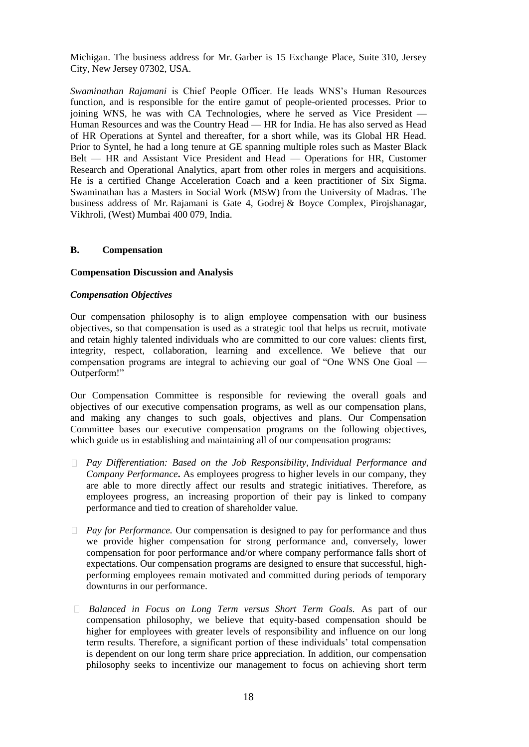Michigan. The business address for Mr. Garber is 15 Exchange Place, Suite 310, Jersey City, New Jersey 07302, USA.

*Swaminathan Rajamani* is Chief People Officer. He leads WNS's Human Resources function, and is responsible for the entire gamut of people-oriented processes. Prior to joining WNS, he was with CA Technologies, where he served as Vice President — Human Resources and was the Country Head — HR for India. He has also served as Head of HR Operations at Syntel and thereafter, for a short while, was its Global HR Head. Prior to Syntel, he had a long tenure at GE spanning multiple roles such as Master Black Belt — HR and Assistant Vice President and Head — Operations for HR, Customer Research and Operational Analytics, apart from other roles in mergers and acquisitions. He is a certified Change Acceleration Coach and a keen practitioner of Six Sigma. Swaminathan has a Masters in Social Work (MSW) from the University of Madras. The business address of Mr. Rajamani is Gate 4, Godrej & Boyce Complex, Pirojshanagar, Vikhroli, (West) Mumbai 400 079, India.

### **B. Compensation**

### **Compensation Discussion and Analysis**

### *Compensation Objectives*

Our compensation philosophy is to align employee compensation with our business objectives, so that compensation is used as a strategic tool that helps us recruit, motivate and retain highly talented individuals who are committed to our core values: clients first, integrity, respect, collaboration, learning and excellence. We believe that our compensation programs are integral to achieving our goal of "One WNS One Goal — Outperform!"

Our Compensation Committee is responsible for reviewing the overall goals and objectives of our executive compensation programs, as well as our compensation plans, and making any changes to such goals, objectives and plans. Our Compensation Committee bases our executive compensation programs on the following objectives, which guide us in establishing and maintaining all of our compensation programs:

- *Pay Differentiation: Based on the Job Responsibility, Individual Performance and Company Performance***.** As employees progress to higher levels in our company, they are able to more directly affect our results and strategic initiatives. Therefore, as employees progress, an increasing proportion of their pay is linked to company performance and tied to creation of shareholder value.
- *Pay for Performance.* Our compensation is designed to pay for performance and thus we provide higher compensation for strong performance and, conversely, lower compensation for poor performance and/or where company performance falls short of expectations. Our compensation programs are designed to ensure that successful, highperforming employees remain motivated and committed during periods of temporary downturns in our performance.
- *Balanced in Focus on Long Term versus Short Term Goals.* As part of our compensation philosophy, we believe that equity-based compensation should be higher for employees with greater levels of responsibility and influence on our long term results. Therefore, a significant portion of these individuals' total compensation is dependent on our long term share price appreciation. In addition, our compensation philosophy seeks to incentivize our management to focus on achieving short term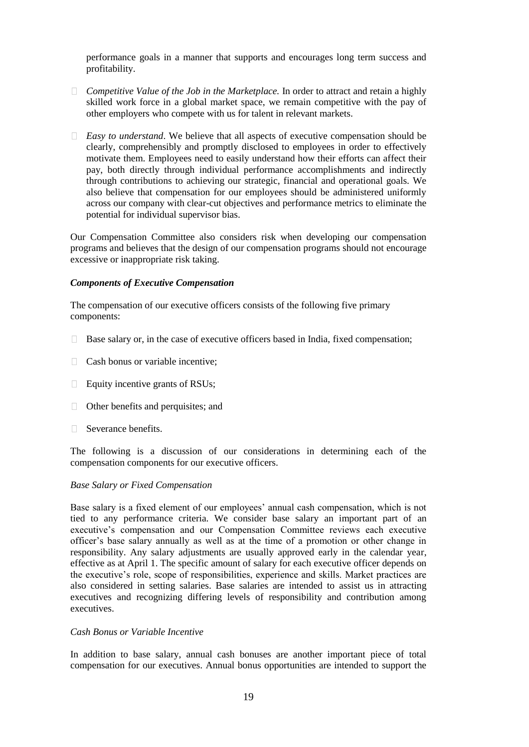performance goals in a manner that supports and encourages long term success and profitability.

- *Competitive Value of the Job in the Marketplace.* In order to attract and retain a highly skilled work force in a global market space, we remain competitive with the pay of other employers who compete with us for talent in relevant markets.
- *Easy to understand*. We believe that all aspects of executive compensation should be clearly, comprehensibly and promptly disclosed to employees in order to effectively motivate them. Employees need to easily understand how their efforts can affect their pay, both directly through individual performance accomplishments and indirectly through contributions to achieving our strategic, financial and operational goals. We also believe that compensation for our employees should be administered uniformly across our company with clear-cut objectives and performance metrics to eliminate the potential for individual supervisor bias.

Our Compensation Committee also considers risk when developing our compensation programs and believes that the design of our compensation programs should not encourage excessive or inappropriate risk taking.

### *Components of Executive Compensation*

The compensation of our executive officers consists of the following five primary components:

- $\Box$  Base salary or, in the case of executive officers based in India, fixed compensation;
- $\Box$  Cash bonus or variable incentive:
- $\Box$  Equity incentive grants of RSUs;
- □ Other benefits and perquisites; and
- □ Severance benefits.

The following is a discussion of our considerations in determining each of the compensation components for our executive officers.

# *Base Salary or Fixed Compensation*

Base salary is a fixed element of our employees' annual cash compensation, which is not tied to any performance criteria. We consider base salary an important part of an executive's compensation and our Compensation Committee reviews each executive officer's base salary annually as well as at the time of a promotion or other change in responsibility. Any salary adjustments are usually approved early in the calendar year, effective as at April 1. The specific amount of salary for each executive officer depends on the executive's role, scope of responsibilities, experience and skills. Market practices are also considered in setting salaries. Base salaries are intended to assist us in attracting executives and recognizing differing levels of responsibility and contribution among executives.

#### *Cash Bonus or Variable Incentive*

In addition to base salary, annual cash bonuses are another important piece of total compensation for our executives. Annual bonus opportunities are intended to support the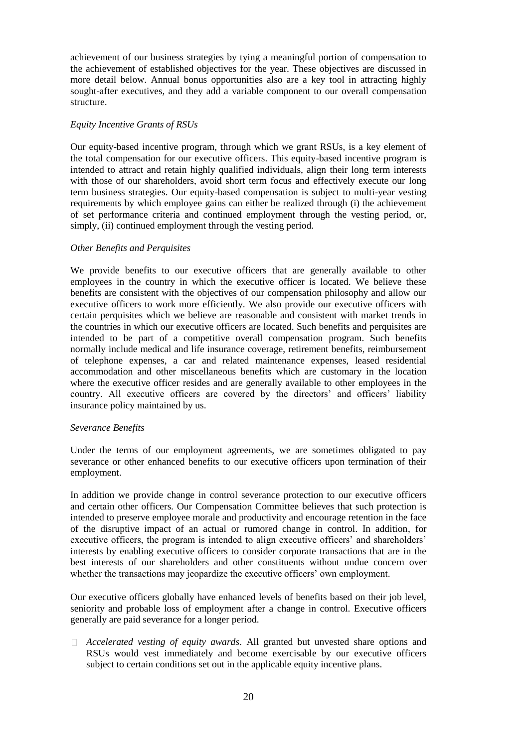achievement of our business strategies by tying a meaningful portion of compensation to the achievement of established objectives for the year. These objectives are discussed in more detail below. Annual bonus opportunities also are a key tool in attracting highly sought-after executives, and they add a variable component to our overall compensation structure.

### *Equity Incentive Grants of RSUs*

Our equity-based incentive program, through which we grant RSUs, is a key element of the total compensation for our executive officers. This equity-based incentive program is intended to attract and retain highly qualified individuals, align their long term interests with those of our shareholders, avoid short term focus and effectively execute our long term business strategies. Our equity-based compensation is subject to multi-year vesting requirements by which employee gains can either be realized through (i) the achievement of set performance criteria and continued employment through the vesting period, or, simply, (ii) continued employment through the vesting period.

### *Other Benefits and Perquisites*

We provide benefits to our executive officers that are generally available to other employees in the country in which the executive officer is located. We believe these benefits are consistent with the objectives of our compensation philosophy and allow our executive officers to work more efficiently. We also provide our executive officers with certain perquisites which we believe are reasonable and consistent with market trends in the countries in which our executive officers are located. Such benefits and perquisites are intended to be part of a competitive overall compensation program. Such benefits normally include medical and life insurance coverage, retirement benefits, reimbursement of telephone expenses, a car and related maintenance expenses, leased residential accommodation and other miscellaneous benefits which are customary in the location where the executive officer resides and are generally available to other employees in the country. All executive officers are covered by the directors' and officers' liability insurance policy maintained by us.

#### *Severance Benefits*

Under the terms of our employment agreements, we are sometimes obligated to pay severance or other enhanced benefits to our executive officers upon termination of their employment.

In addition we provide change in control severance protection to our executive officers and certain other officers. Our Compensation Committee believes that such protection is intended to preserve employee morale and productivity and encourage retention in the face of the disruptive impact of an actual or rumored change in control. In addition, for executive officers, the program is intended to align executive officers' and shareholders' interests by enabling executive officers to consider corporate transactions that are in the best interests of our shareholders and other constituents without undue concern over whether the transactions may jeopardize the executive officers' own employment.

Our executive officers globally have enhanced levels of benefits based on their job level, seniority and probable loss of employment after a change in control. Executive officers generally are paid severance for a longer period.

*Accelerated vesting of equity awards*. All granted but unvested share options and RSUs would vest immediately and become exercisable by our executive officers subject to certain conditions set out in the applicable equity incentive plans.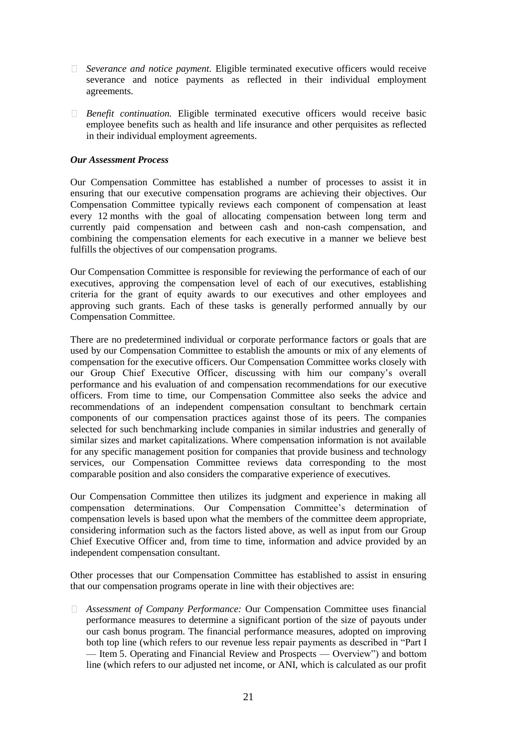- *Severance and notice payment.* Eligible terminated executive officers would receive severance and notice payments as reflected in their individual employment agreements.
- *Benefit continuation.* Eligible terminated executive officers would receive basic employee benefits such as health and life insurance and other perquisites as reflected in their individual employment agreements.

### *Our Assessment Process*

Our Compensation Committee has established a number of processes to assist it in ensuring that our executive compensation programs are achieving their objectives. Our Compensation Committee typically reviews each component of compensation at least every 12 months with the goal of allocating compensation between long term and currently paid compensation and between cash and non-cash compensation, and combining the compensation elements for each executive in a manner we believe best fulfills the objectives of our compensation programs.

Our Compensation Committee is responsible for reviewing the performance of each of our executives, approving the compensation level of each of our executives, establishing criteria for the grant of equity awards to our executives and other employees and approving such grants. Each of these tasks is generally performed annually by our Compensation Committee.

There are no predetermined individual or corporate performance factors or goals that are used by our Compensation Committee to establish the amounts or mix of any elements of compensation for the executive officers. Our Compensation Committee works closely with our Group Chief Executive Officer, discussing with him our company's overall performance and his evaluation of and compensation recommendations for our executive officers. From time to time, our Compensation Committee also seeks the advice and recommendations of an independent compensation consultant to benchmark certain components of our compensation practices against those of its peers. The companies selected for such benchmarking include companies in similar industries and generally of similar sizes and market capitalizations. Where compensation information is not available for any specific management position for companies that provide business and technology services, our Compensation Committee reviews data corresponding to the most comparable position and also considers the comparative experience of executives.

Our Compensation Committee then utilizes its judgment and experience in making all compensation determinations. Our Compensation Committee's determination of compensation levels is based upon what the members of the committee deem appropriate, considering information such as the factors listed above, as well as input from our Group Chief Executive Officer and, from time to time, information and advice provided by an independent compensation consultant.

Other processes that our Compensation Committee has established to assist in ensuring that our compensation programs operate in line with their objectives are:

*Assessment of Company Performance:* Our Compensation Committee uses financial performance measures to determine a significant portion of the size of payouts under our cash bonus program. The financial performance measures, adopted on improving both top line (which refers to our revenue less repair payments as described in "Part I — Item 5. Operating and Financial Review and Prospects — Overview") and bottom line (which refers to our adjusted net income, or ANI, which is calculated as our profit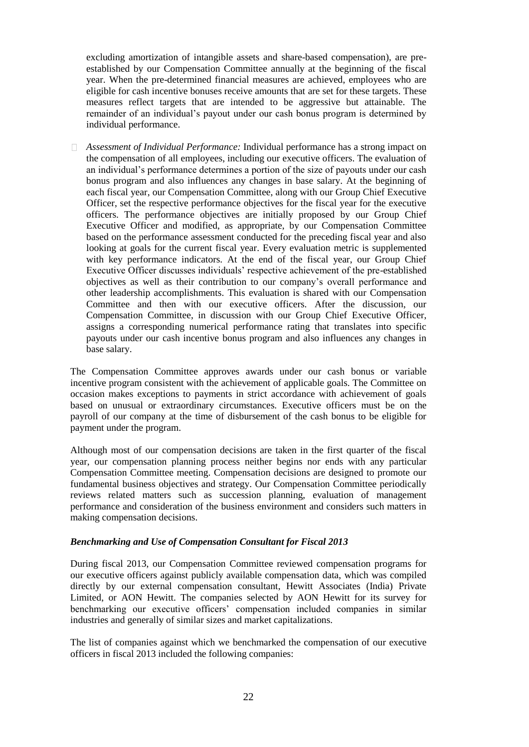excluding amortization of intangible assets and share-based compensation), are preestablished by our Compensation Committee annually at the beginning of the fiscal year. When the pre-determined financial measures are achieved, employees who are eligible for cash incentive bonuses receive amounts that are set for these targets. These measures reflect targets that are intended to be aggressive but attainable. The remainder of an individual's payout under our cash bonus program is determined by individual performance.

*Assessment of Individual Performance:* Individual performance has a strong impact on the compensation of all employees, including our executive officers. The evaluation of an individual's performance determines a portion of the size of payouts under our cash bonus program and also influences any changes in base salary. At the beginning of each fiscal year, our Compensation Committee, along with our Group Chief Executive Officer, set the respective performance objectives for the fiscal year for the executive officers. The performance objectives are initially proposed by our Group Chief Executive Officer and modified, as appropriate, by our Compensation Committee based on the performance assessment conducted for the preceding fiscal year and also looking at goals for the current fiscal year. Every evaluation metric is supplemented with key performance indicators. At the end of the fiscal year, our Group Chief Executive Officer discusses individuals' respective achievement of the pre-established objectives as well as their contribution to our company's overall performance and other leadership accomplishments. This evaluation is shared with our Compensation Committee and then with our executive officers. After the discussion, our Compensation Committee, in discussion with our Group Chief Executive Officer, assigns a corresponding numerical performance rating that translates into specific payouts under our cash incentive bonus program and also influences any changes in base salary.

The Compensation Committee approves awards under our cash bonus or variable incentive program consistent with the achievement of applicable goals. The Committee on occasion makes exceptions to payments in strict accordance with achievement of goals based on unusual or extraordinary circumstances. Executive officers must be on the payroll of our company at the time of disbursement of the cash bonus to be eligible for payment under the program.

Although most of our compensation decisions are taken in the first quarter of the fiscal year, our compensation planning process neither begins nor ends with any particular Compensation Committee meeting. Compensation decisions are designed to promote our fundamental business objectives and strategy. Our Compensation Committee periodically reviews related matters such as succession planning, evaluation of management performance and consideration of the business environment and considers such matters in making compensation decisions.

#### *Benchmarking and Use of Compensation Consultant for Fiscal 2013*

During fiscal 2013, our Compensation Committee reviewed compensation programs for our executive officers against publicly available compensation data, which was compiled directly by our external compensation consultant, Hewitt Associates (India) Private Limited, or AON Hewitt. The companies selected by AON Hewitt for its survey for benchmarking our executive officers' compensation included companies in similar industries and generally of similar sizes and market capitalizations.

The list of companies against which we benchmarked the compensation of our executive officers in fiscal 2013 included the following companies: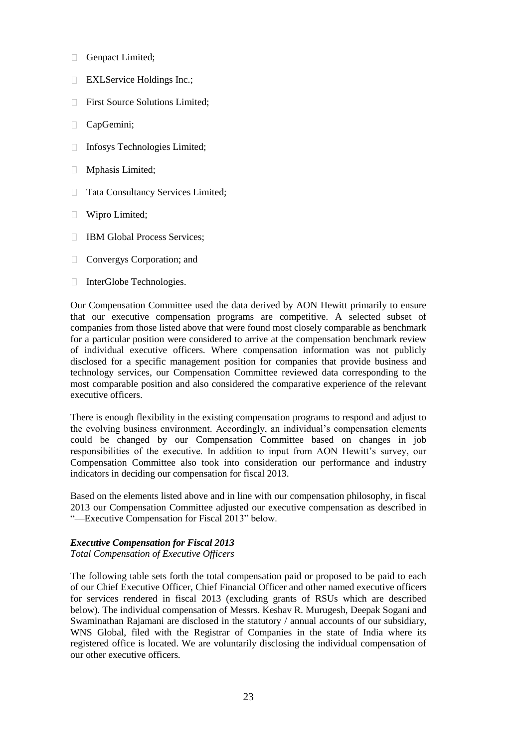- $\Box$ Genpact Limited;
- **EXLService Holdings Inc.;**
- $\Box$ First Source Solutions Limited;
- CapGemini;  $\Box$
- Infosys Technologies Limited;  $\Box$
- Mphasis Limited;  $\Box$
- $\Box$ Tata Consultancy Services Limited;
- Wipro Limited;  $\Box$
- $\Box$ IBM Global Process Services;
- $\Box$ Convergys Corporation; and
- □ InterGlobe Technologies.

Our Compensation Committee used the data derived by AON Hewitt primarily to ensure that our executive compensation programs are competitive. A selected subset of companies from those listed above that were found most closely comparable as benchmark for a particular position were considered to arrive at the compensation benchmark review of individual executive officers. Where compensation information was not publicly disclosed for a specific management position for companies that provide business and technology services, our Compensation Committee reviewed data corresponding to the most comparable position and also considered the comparative experience of the relevant executive officers.

There is enough flexibility in the existing compensation programs to respond and adjust to the evolving business environment. Accordingly, an individual's compensation elements could be changed by our Compensation Committee based on changes in job responsibilities of the executive. In addition to input from AON Hewitt's survey, our Compensation Committee also took into consideration our performance and industry indicators in deciding our compensation for fiscal 2013.

Based on the elements listed above and in line with our compensation philosophy, in fiscal 2013 our Compensation Committee adjusted our executive compensation as described in "—Executive Compensation for Fiscal 2013" below.

# *Executive Compensation for Fiscal 2013*

*Total Compensation of Executive Officers*

The following table sets forth the total compensation paid or proposed to be paid to each of our Chief Executive Officer, Chief Financial Officer and other named executive officers for services rendered in fiscal 2013 (excluding grants of RSUs which are described below). The individual compensation of Messrs. Keshav R. Murugesh, Deepak Sogani and Swaminathan Rajamani are disclosed in the statutory / annual accounts of our subsidiary, WNS Global, filed with the Registrar of Companies in the state of India where its registered office is located. We are voluntarily disclosing the individual compensation of our other executive officers.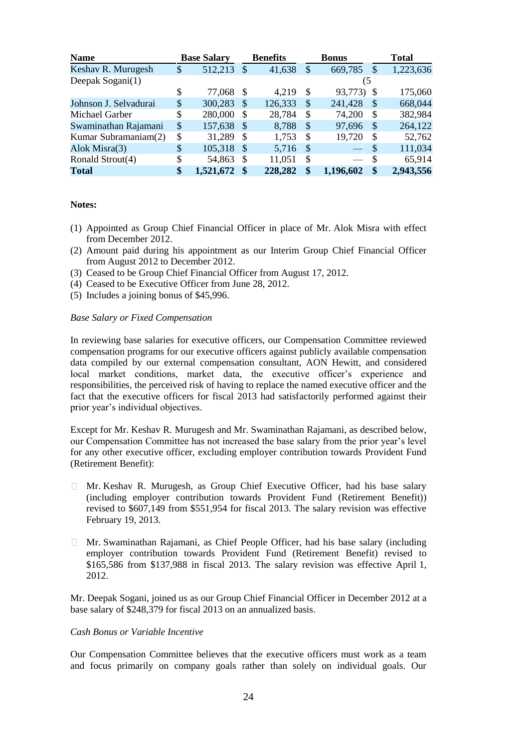| <b>Name</b>           | <b>Base Salary</b> |                           | <b>Benefits</b> |    | <b>Bonus</b> |              | <b>Total</b> |
|-----------------------|--------------------|---------------------------|-----------------|----|--------------|--------------|--------------|
| Keshav R. Murugesh    | \$<br>512,213      | \$                        | 41,638          | \$ | 669,785      | \$           | 1,223,636    |
| Deepak Sogani(1)      |                    |                           |                 |    | (5           |              |              |
|                       | \$<br>77,068       | \$                        | 4,219           | S  | 93,773)      | - \$         | 175,060      |
| Johnson J. Selvadurai | \$<br>300,283      | $\mathcal{S}$             | 126,333         | S  | 241,428      | S            | 668,044      |
| Michael Garber        | \$<br>280,000      | $\mathbb{S}$              | 28,784          | S  | 74,200       | S            | 382,984      |
| Swaminathan Rajamani  | \$<br>157,638      | $\mathcal{S}$             | 8,788           | S  | 97,696       | S            | 264,122      |
| Kumar Subramaniam(2)  | \$<br>31,289       | \$                        | 1,753           | \$ | 19,720       | \$           | 52,762       |
| Alok Misra(3)         | \$<br>105,318      | $\mathcal{S}$             | 5,716           | S  |              | S            | 111,034      |
| Ronald Strout(4)      | \$<br>54,863       | $\boldsymbol{\mathsf{S}}$ | 11,051          | \$ |              | \$           | 65,914       |
| Total                 | \$<br>1,521,672    | \$                        | 228,282         | \$ | 1,196,602    | $\mathbf{s}$ | 2,943,556    |

# **Notes:**

- (1) Appointed as Group Chief Financial Officer in place of Mr. Alok Misra with effect from December 2012.
- (2) Amount paid during his appointment as our Interim Group Chief Financial Officer from August 2012 to December 2012.
- (3) Ceased to be Group Chief Financial Officer from August 17, 2012.
- (4) Ceased to be Executive Officer from June 28, 2012.
- (5) Includes a joining bonus of \$45,996.

### *Base Salary or Fixed Compensation*

In reviewing base salaries for executive officers, our Compensation Committee reviewed compensation programs for our executive officers against publicly available compensation data compiled by our external compensation consultant, AON Hewitt, and considered local market conditions, market data, the executive officer's experience and responsibilities, the perceived risk of having to replace the named executive officer and the fact that the executive officers for fiscal 2013 had satisfactorily performed against their prior year's individual objectives.

Except for Mr. Keshav R. Murugesh and Mr. Swaminathan Rajamani, as described below, our Compensation Committee has not increased the base salary from the prior year's level for any other executive officer, excluding employer contribution towards Provident Fund (Retirement Benefit):

- Mr. Keshav R. Murugesh, as Group Chief Executive Officer, had his base salary  $\Box$ (including employer contribution towards Provident Fund (Retirement Benefit)) revised to \$607,149 from \$551,954 for fiscal 2013. The salary revision was effective February 19, 2013.
- $\Box$  Mr. Swaminathan Rajamani, as Chief People Officer, had his base salary (including employer contribution towards Provident Fund (Retirement Benefit) revised to \$165,586 from \$137,988 in fiscal 2013. The salary revision was effective April 1, 2012.

Mr. Deepak Sogani, joined us as our Group Chief Financial Officer in December 2012 at a base salary of \$248,379 for fiscal 2013 on an annualized basis.

#### *Cash Bonus or Variable Incentive*

Our Compensation Committee believes that the executive officers must work as a team and focus primarily on company goals rather than solely on individual goals. Our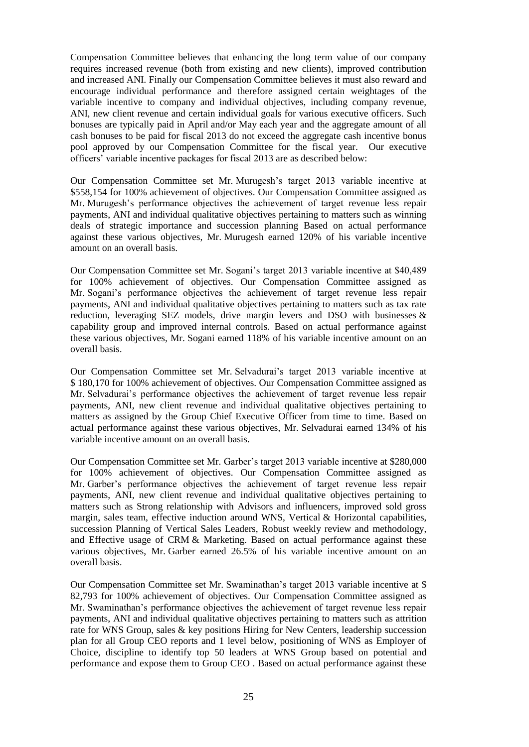Compensation Committee believes that enhancing the long term value of our company requires increased revenue (both from existing and new clients), improved contribution and increased ANI. Finally our Compensation Committee believes it must also reward and encourage individual performance and therefore assigned certain weightages of the variable incentive to company and individual objectives, including company revenue, ANI, new client revenue and certain individual goals for various executive officers. Such bonuses are typically paid in April and/or May each year and the aggregate amount of all cash bonuses to be paid for fiscal 2013 do not exceed the aggregate cash incentive bonus pool approved by our Compensation Committee for the fiscal year*.* Our executive officers' variable incentive packages for fiscal 2013 are as described below:

Our Compensation Committee set Mr. Murugesh's target 2013 variable incentive at \$558,154 for 100% achievement of objectives. Our Compensation Committee assigned as Mr. Murugesh's performance objectives the achievement of target revenue less repair payments, ANI and individual qualitative objectives pertaining to matters such as winning deals of strategic importance and succession planning Based on actual performance against these various objectives, Mr. Murugesh earned 120% of his variable incentive amount on an overall basis.

Our Compensation Committee set Mr. Sogani's target 2013 variable incentive at \$40,489 for 100% achievement of objectives. Our Compensation Committee assigned as Mr. Sogani's performance objectives the achievement of target revenue less repair payments, ANI and individual qualitative objectives pertaining to matters such as tax rate reduction, leveraging SEZ models, drive margin levers and DSO with businesses  $\&$ capability group and improved internal controls. Based on actual performance against these various objectives, Mr. Sogani earned 118% of his variable incentive amount on an overall basis.

Our Compensation Committee set Mr. Selvadurai's target 2013 variable incentive at \$ 180,170 for 100% achievement of objectives. Our Compensation Committee assigned as Mr. Selvadurai's performance objectives the achievement of target revenue less repair payments, ANI, new client revenue and individual qualitative objectives pertaining to matters as assigned by the Group Chief Executive Officer from time to time. Based on actual performance against these various objectives, Mr. Selvadurai earned 134% of his variable incentive amount on an overall basis.

Our Compensation Committee set Mr. Garber's target 2013 variable incentive at \$280,000 for 100% achievement of objectives. Our Compensation Committee assigned as Mr. Garber's performance objectives the achievement of target revenue less repair payments, ANI, new client revenue and individual qualitative objectives pertaining to matters such as Strong relationship with Advisors and influencers, improved sold gross margin, sales team, effective induction around WNS, Vertical & Horizontal capabilities, succession Planning of Vertical Sales Leaders, Robust weekly review and methodology, and Effective usage of CRM & Marketing. Based on actual performance against these various objectives, Mr. Garber earned 26.5% of his variable incentive amount on an overall basis.

Our Compensation Committee set Mr. Swaminathan's target 2013 variable incentive at \$ 82,793 for 100% achievement of objectives. Our Compensation Committee assigned as Mr. Swaminathan's performance objectives the achievement of target revenue less repair payments, ANI and individual qualitative objectives pertaining to matters such as attrition rate for WNS Group, sales  $\&$  key positions Hiring for New Centers, leadership succession plan for all Group CEO reports and 1 level below, positioning of WNS as Employer of Choice, discipline to identify top 50 leaders at WNS Group based on potential and performance and expose them to Group CEO . Based on actual performance against these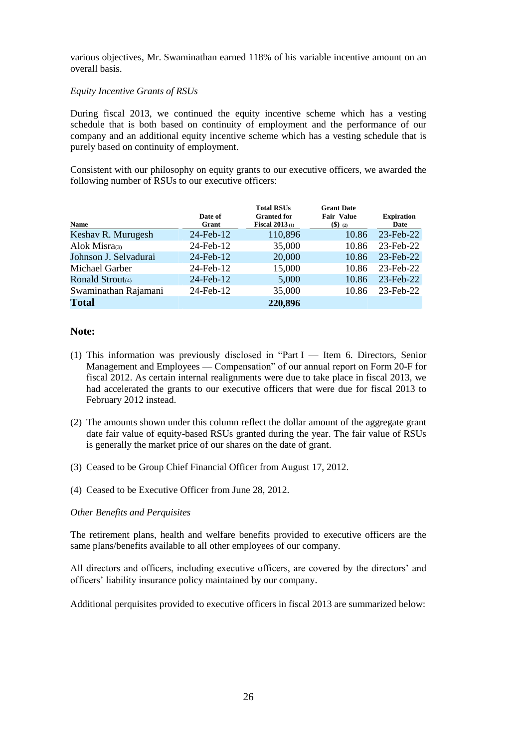various objectives, Mr. Swaminathan earned 118% of his variable incentive amount on an overall basis.

# *Equity Incentive Grants of RSUs*

During fiscal 2013, we continued the equity incentive scheme which has a vesting schedule that is both based on continuity of employment and the performance of our company and an additional equity incentive scheme which has a vesting schedule that is purely based on continuity of employment.

Consistent with our philosophy on equity grants to our executive officers, we awarded the following number of RSUs to our executive officers:

| Name                  | Date of<br>Grant | <b>Total RSUs</b><br><b>Granted for</b><br>Fiscal $2013$ (1) | <b>Grant Date</b><br><b>Fair Value</b> | <b>Expiration</b><br>Date |
|-----------------------|------------------|--------------------------------------------------------------|----------------------------------------|---------------------------|
| Keshav R. Murugesh    | 24-Feb-12        | 110,896                                                      | $($ \$) (2)<br>10.86                   | 23-Feb-22                 |
|                       |                  |                                                              |                                        |                           |
| Alok Misra $(3)$      | 24-Feb-12        | 35,000                                                       | 10.86                                  | 23-Feb-22                 |
| Johnson J. Selvadurai | 24-Feb-12        | 20,000                                                       | 10.86                                  | 23-Feb-22                 |
| Michael Garber        | 24-Feb-12        | 15,000                                                       | 10.86                                  | 23-Feb-22                 |
| Ronald Strout $(4)$   | 24-Feb-12        | 5,000                                                        | 10.86                                  | 23-Feb-22                 |
| Swaminathan Rajamani  | 24-Feb-12        | 35,000                                                       | 10.86                                  | 23-Feb-22                 |
| <b>Total</b>          |                  | 220,896                                                      |                                        |                           |

# **Note:**

- (1) This information was previously disclosed in "Part I Item 6. Directors, Senior Management and Employees — Compensation" of our annual report on Form 20-F for fiscal 2012. As certain internal realignments were due to take place in fiscal 2013, we had accelerated the grants to our executive officers that were due for fiscal 2013 to February 2012 instead.
- (2) The amounts shown under this column reflect the dollar amount of the aggregate grant date fair value of equity-based RSUs granted during the year. The fair value of RSUs is generally the market price of our shares on the date of grant.
- (3) Ceased to be Group Chief Financial Officer from August 17, 2012.
- (4) Ceased to be Executive Officer from June 28, 2012.

# *Other Benefits and Perquisites*

The retirement plans, health and welfare benefits provided to executive officers are the same plans/benefits available to all other employees of our company.

All directors and officers, including executive officers, are covered by the directors' and officers' liability insurance policy maintained by our company.

Additional perquisites provided to executive officers in fiscal 2013 are summarized below: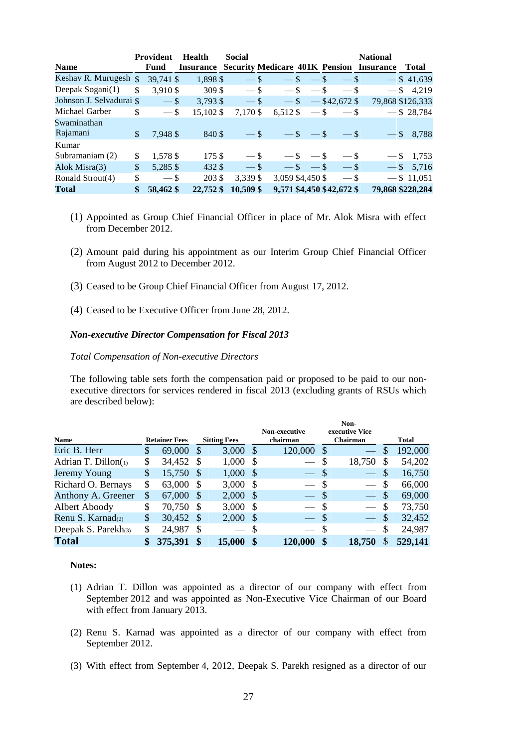|                          | Provident       | <b>Health</b>                                   | <b>Social</b> |            |                  |                           | <b>National</b>  |                  |
|--------------------------|-----------------|-------------------------------------------------|---------------|------------|------------------|---------------------------|------------------|------------------|
| <b>Name</b>              | Fund            | <b>Insurance Security Medicare 401K Pension</b> |               |            |                  |                           | <b>Insurance</b> | Total            |
| Keshav R. Murugesh \$    | 39,741 \$       | 1,898 \$                                        | $-$ \$        |            | $-$ \$<br>$-$ \$ | $-$ \$                    |                  | $-$ \$41,639     |
| Deepak Sogani(1)         | \$<br>3,910 \$  | 309 \$                                          | $-$ \$        | $-$ \$     | $-$ \$           | $-$ \$                    |                  | $-$ \$ 4,219     |
| Johnson J. Selvadurai \$ | $-$ \$          | $3,793$ \$                                      | $-$ \$        |            |                  | $-$ \$ $-$ \$42,672 \$    |                  | 79,868 \$126,333 |
| Michael Garber           | \$<br>$-$ \$    | 15,102 \$                                       | 7,170 \$      | $6,512$ \$ | $-$ \$           | $-$ \$                    |                  | $-$ \$ 28,784    |
| Swaminathan              |                 |                                                 |               |            |                  |                           |                  |                  |
| Rajamani                 | \$<br>7,948 \$  | 840 \$                                          | $-$ \$        |            | $-$ \$ $-$ \$    | $-$ \$                    |                  | $-$ \$ 8,788     |
| Kumar                    |                 |                                                 |               |            |                  |                           |                  |                  |
| Subramaniam (2)          | \$<br>1,578 \$  | 175 \$                                          | $-$ \$        |            | $-$ \$ $-$ \$    | $-$ \$                    |                  | $-$ \$ 1,753     |
| Alok Misra(3)            | \$<br>5,285 \$  | 432 \$                                          | $-$ \$        |            | $-$ \$<br>$-$ \$ | $-$ \$                    |                  | $-$ \$ 5,716     |
| Ronald Strout(4)         | \$<br>$-$ \$    | 203 \$                                          | 3,339 \$      |            | 3,059 \$4,450 \$ | $-$ \$                    |                  | $-$ \$ 11,051    |
| <b>Total</b>             | \$<br>58,462 \$ | 22,752 \$                                       | 10,509 \$     |            |                  | 9,571 \$4,450 \$42,672 \$ |                  | 79,868 \$228,284 |

- (1) Appointed as Group Chief Financial Officer in place of Mr. Alok Misra with effect from December 2012.
- (2) Amount paid during his appointment as our Interim Group Chief Financial Officer from August 2012 to December 2012.
- (3) Ceased to be Group Chief Financial Officer from August 17, 2012.
- (4) Ceased to be Executive Officer from June 28, 2012.

### *Non-executive Director Compensation for Fiscal 2013*

# *Total Compensation of Non-executive Directors*

The following table sets forth the compensation paid or proposed to be paid to our nonexecutive directors for services rendered in fiscal 2013 (excluding grants of RSUs which are described below):

|                        |    |                      |              |                     |      | Non-executive            |               | Non-<br>executive Vice   |               |              |
|------------------------|----|----------------------|--------------|---------------------|------|--------------------------|---------------|--------------------------|---------------|--------------|
| <b>Name</b>            |    | <b>Retainer Fees</b> |              | <b>Sitting Fees</b> |      | chairman                 |               | Chairman                 |               | <b>Total</b> |
| Eric B. Herr           | \$ | 69,000               | -8           | $3,000$ \$          |      | 120,000                  | -\$           |                          | S             | 192,000      |
| Adrian T. Dillon $(i)$ | \$ | 34,452 \$            |              | 1,000               | - \$ |                          | \$            | 18,750                   |               | 54,202       |
| Jeremy Young           | \$ | 15,750 \$            |              | $1,000 \text{ }$ \$ |      |                          | \$            |                          | \$.           | 16,750       |
| Richard O. Bernays     | S  | 63,000               | -8           | $3,000$ \$          |      | $\overline{\phantom{0}}$ | <sup>S</sup>  | $\overline{\phantom{0}}$ | S             | 66,000       |
| Anthony A. Greener     | \$ | 67,000               | <sup>S</sup> | $2,000$ \$          |      |                          | $\mathcal{S}$ | $\overline{\phantom{a}}$ | $\mathcal{S}$ | 69,000       |
| Albert Aboody          | \$ | 70,750 \$            |              | $3,000$ \$          |      |                          | -S            | $\overline{\phantom{0}}$ | \$            | 73,750       |
| Renu S. Karnad(2)      | \$ | 30,452 \$            |              | $2,000$ \$          |      |                          | $\mathcal{S}$ | $\frac{1}{2}$            | $\mathcal{S}$ | 32,452       |
| Deepak S. Parekh $(3)$ | \$ | 24,987               |              |                     |      |                          | S             |                          | \$            | 24,987       |
| <b>Total</b>           | \$ | 375,391              | $\mathbf{s}$ | <b>15,000</b>       |      | 120,000                  | \$            | 18.750                   | S             | 529,141      |

#### **Notes:**

- (1) Adrian T. Dillon was appointed as a director of our company with effect from September 2012 and was appointed as Non-Executive Vice Chairman of our Board with effect from January 2013.
- (2) Renu S. Karnad was appointed as a director of our company with effect from September 2012.
- (3) With effect from September 4, 2012, Deepak S. Parekh resigned as a director of our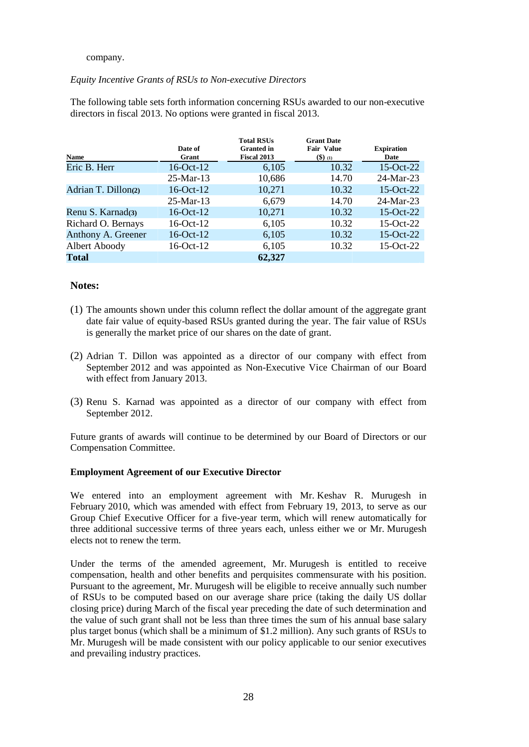# company.

# *Equity Incentive Grants of RSUs to Non-executive Directors*

The following table sets forth information concerning RSUs awarded to our non-executive directors in fiscal 2013. No options were granted in fiscal 2013.

| <b>Name</b>         | Date of<br>Grant | <b>Total RSUs</b><br><b>Granted</b> in<br><b>Fiscal 2013</b> | <b>Grant Date</b><br><b>Fair Value</b><br>$($ \$) (1) | <b>Expiration</b><br>Date |
|---------------------|------------------|--------------------------------------------------------------|-------------------------------------------------------|---------------------------|
| Eric B. Herr        | $16-Oct-12$      | 6,105                                                        | 10.32                                                 | $15-Oct-22$               |
|                     | $25-Mar-13$      | 10,686                                                       | 14.70                                                 | 24-Mar-23                 |
| Adrian T. Dillon(2) | $16-Oct-12$      | 10,271                                                       | 10.32                                                 | $15-Oct-22$               |
|                     | $25$ -Mar-13     | 6,679                                                        | 14.70                                                 | $24-Mar-23$               |
| Renu S. Karnad(3)   | $16-Oct-12$      | 10,271                                                       | 10.32                                                 | $15-Oct-22$               |
| Richard O. Bernays  | $16-Oct-12$      | 6,105                                                        | 10.32                                                 | 15-Oct-22                 |
| Anthony A. Greener  | $16-Oct-12$      | 6,105                                                        | 10.32                                                 | $15-Oct-22$               |
| Albert Aboody       | $16-Oct-12$      | 6,105                                                        | 10.32                                                 | 15-Oct-22                 |
| Total               |                  | 62,327                                                       |                                                       |                           |

# **Notes:**

- (1) The amounts shown under this column reflect the dollar amount of the aggregate grant date fair value of equity-based RSUs granted during the year. The fair value of RSUs is generally the market price of our shares on the date of grant.
- (2) Adrian T. Dillon was appointed as a director of our company with effect from September 2012 and was appointed as Non-Executive Vice Chairman of our Board with effect from January 2013.
- (3) Renu S. Karnad was appointed as a director of our company with effect from September 2012.

Future grants of awards will continue to be determined by our Board of Directors or our Compensation Committee.

# **Employment Agreement of our Executive Director**

We entered into an employment agreement with Mr. Keshav R. Murugesh in February 2010, which was amended with effect from February 19, 2013, to serve as our Group Chief Executive Officer for a five-year term, which will renew automatically for three additional successive terms of three years each, unless either we or Mr. Murugesh elects not to renew the term.

Under the terms of the amended agreement, Mr. Murugesh is entitled to receive compensation, health and other benefits and perquisites commensurate with his position. Pursuant to the agreement, Mr. Murugesh will be eligible to receive annually such number of RSUs to be computed based on our average share price (taking the daily US dollar closing price) during March of the fiscal year preceding the date of such determination and the value of such grant shall not be less than three times the sum of his annual base salary plus target bonus (which shall be a minimum of \$1.2 million). Any such grants of RSUs to Mr. Murugesh will be made consistent with our policy applicable to our senior executives and prevailing industry practices.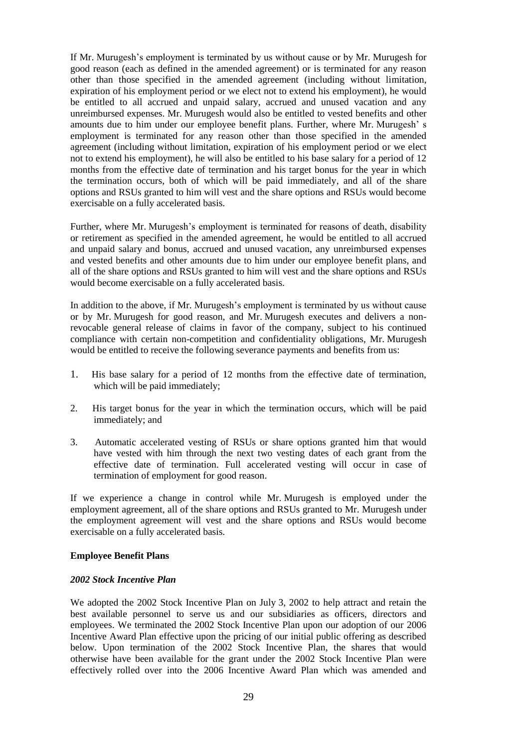If Mr. Murugesh's employment is terminated by us without cause or by Mr. Murugesh for good reason (each as defined in the amended agreement) or is terminated for any reason other than those specified in the amended agreement (including without limitation, expiration of his employment period or we elect not to extend his employment), he would be entitled to all accrued and unpaid salary, accrued and unused vacation and any unreimbursed expenses. Mr. Murugesh would also be entitled to vested benefits and other amounts due to him under our employee benefit plans. Further, where Mr. Murugesh' s employment is terminated for any reason other than those specified in the amended agreement (including without limitation, expiration of his employment period or we elect not to extend his employment), he will also be entitled to his base salary for a period of 12 months from the effective date of termination and his target bonus for the year in which the termination occurs, both of which will be paid immediately, and all of the share options and RSUs granted to him will vest and the share options and RSUs would become exercisable on a fully accelerated basis.

Further, where Mr. Murugesh's employment is terminated for reasons of death, disability or retirement as specified in the amended agreement, he would be entitled to all accrued and unpaid salary and bonus, accrued and unused vacation, any unreimbursed expenses and vested benefits and other amounts due to him under our employee benefit plans, and all of the share options and RSUs granted to him will vest and the share options and RSUs would become exercisable on a fully accelerated basis.

In addition to the above, if Mr. Murugesh's employment is terminated by us without cause or by Mr. Murugesh for good reason, and Mr. Murugesh executes and delivers a nonrevocable general release of claims in favor of the company, subject to his continued compliance with certain non-competition and confidentiality obligations, Mr. Murugesh would be entitled to receive the following severance payments and benefits from us:

- 1. His base salary for a period of 12 months from the effective date of termination, which will be paid immediately;
- 2. His target bonus for the year in which the termination occurs, which will be paid immediately; and
- 3. Automatic accelerated vesting of RSUs or share options granted him that would have vested with him through the next two vesting dates of each grant from the effective date of termination. Full accelerated vesting will occur in case of termination of employment for good reason.

If we experience a change in control while Mr. Murugesh is employed under the employment agreement, all of the share options and RSUs granted to Mr. Murugesh under the employment agreement will vest and the share options and RSUs would become exercisable on a fully accelerated basis.

#### **Employee Benefit Plans**

### *2002 Stock Incentive Plan*

We adopted the 2002 Stock Incentive Plan on July 3, 2002 to help attract and retain the best available personnel to serve us and our subsidiaries as officers, directors and employees. We terminated the 2002 Stock Incentive Plan upon our adoption of our 2006 Incentive Award Plan effective upon the pricing of our initial public offering as described below. Upon termination of the 2002 Stock Incentive Plan, the shares that would otherwise have been available for the grant under the 2002 Stock Incentive Plan were effectively rolled over into the 2006 Incentive Award Plan which was amended and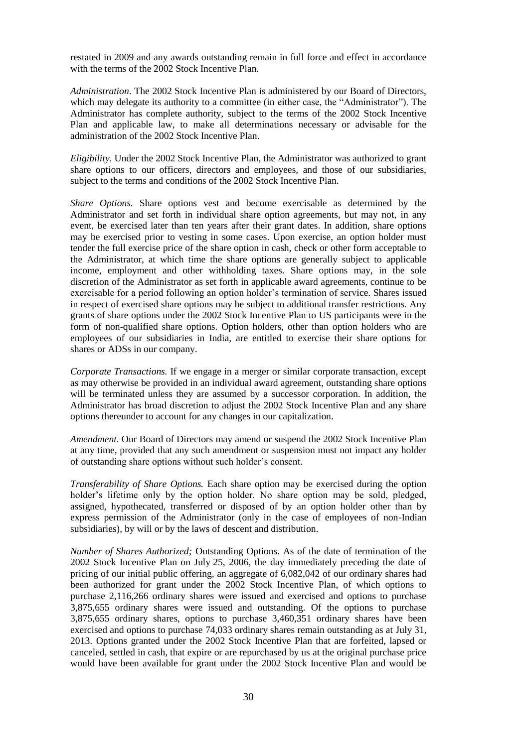restated in 2009 and any awards outstanding remain in full force and effect in accordance with the terms of the 2002 Stock Incentive Plan.

*Administration*. The 2002 Stock Incentive Plan is administered by our Board of Directors, which may delegate its authority to a committee (in either case, the "Administrator"). The Administrator has complete authority, subject to the terms of the 2002 Stock Incentive Plan and applicable law, to make all determinations necessary or advisable for the administration of the 2002 Stock Incentive Plan.

*Eligibility.* Under the 2002 Stock Incentive Plan, the Administrator was authorized to grant share options to our officers, directors and employees, and those of our subsidiaries, subject to the terms and conditions of the 2002 Stock Incentive Plan.

*Share Options.* Share options vest and become exercisable as determined by the Administrator and set forth in individual share option agreements, but may not, in any event, be exercised later than ten years after their grant dates. In addition, share options may be exercised prior to vesting in some cases. Upon exercise, an option holder must tender the full exercise price of the share option in cash, check or other form acceptable to the Administrator, at which time the share options are generally subject to applicable income, employment and other withholding taxes. Share options may, in the sole discretion of the Administrator as set forth in applicable award agreements, continue to be exercisable for a period following an option holder's termination of service. Shares issued in respect of exercised share options may be subject to additional transfer restrictions. Any grants of share options under the 2002 Stock Incentive Plan to US participants were in the form of non-qualified share options. Option holders, other than option holders who are employees of our subsidiaries in India, are entitled to exercise their share options for shares or ADSs in our company.

*Corporate Transactions.* If we engage in a merger or similar corporate transaction, except as may otherwise be provided in an individual award agreement, outstanding share options will be terminated unless they are assumed by a successor corporation. In addition, the Administrator has broad discretion to adjust the 2002 Stock Incentive Plan and any share options thereunder to account for any changes in our capitalization.

*Amendment.* Our Board of Directors may amend or suspend the 2002 Stock Incentive Plan at any time, provided that any such amendment or suspension must not impact any holder of outstanding share options without such holder's consent.

*Transferability of Share Options.* Each share option may be exercised during the option holder's lifetime only by the option holder. No share option may be sold, pledged, assigned, hypothecated, transferred or disposed of by an option holder other than by express permission of the Administrator (only in the case of employees of non-Indian subsidiaries), by will or by the laws of descent and distribution.

*Number of Shares Authorized;* Outstanding Options. As of the date of termination of the 2002 Stock Incentive Plan on July 25, 2006, the day immediately preceding the date of pricing of our initial public offering, an aggregate of 6,082,042 of our ordinary shares had been authorized for grant under the 2002 Stock Incentive Plan, of which options to purchase 2,116,266 ordinary shares were issued and exercised and options to purchase 3,875,655 ordinary shares were issued and outstanding. Of the options to purchase 3,875,655 ordinary shares, options to purchase 3,460,351 ordinary shares have been exercised and options to purchase 74,033 ordinary shares remain outstanding as at July 31, 2013. Options granted under the 2002 Stock Incentive Plan that are forfeited, lapsed or canceled, settled in cash, that expire or are repurchased by us at the original purchase price would have been available for grant under the 2002 Stock Incentive Plan and would be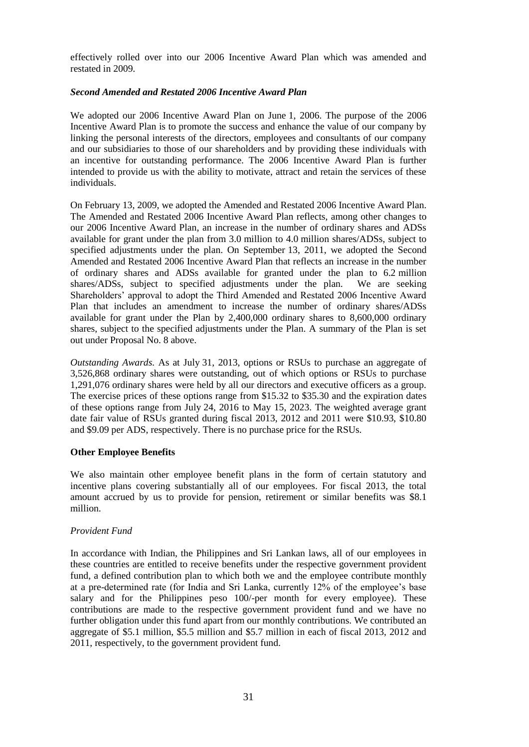effectively rolled over into our 2006 Incentive Award Plan which was amended and restated in 2009.

# *Second Amended and Restated 2006 Incentive Award Plan*

We adopted our 2006 Incentive Award Plan on June 1, 2006. The purpose of the 2006 Incentive Award Plan is to promote the success and enhance the value of our company by linking the personal interests of the directors, employees and consultants of our company and our subsidiaries to those of our shareholders and by providing these individuals with an incentive for outstanding performance. The 2006 Incentive Award Plan is further intended to provide us with the ability to motivate, attract and retain the services of these individuals.

On February 13, 2009, we adopted the Amended and Restated 2006 Incentive Award Plan. The Amended and Restated 2006 Incentive Award Plan reflects, among other changes to our 2006 Incentive Award Plan, an increase in the number of ordinary shares and ADSs available for grant under the plan from 3.0 million to 4.0 million shares/ADSs, subject to specified adjustments under the plan. On September 13, 2011, we adopted the Second Amended and Restated 2006 Incentive Award Plan that reflects an increase in the number of ordinary shares and ADSs available for granted under the plan to 6.2 million shares/ADSs, subject to specified adjustments under the plan. We are seeking Shareholders' approval to adopt the Third Amended and Restated 2006 Incentive Award Plan that includes an amendment to increase the number of ordinary shares/ADSs available for grant under the Plan by 2,400,000 ordinary shares to 8,600,000 ordinary shares, subject to the specified adjustments under the Plan. A summary of the Plan is set out under Proposal No. 8 above.

*Outstanding Awards.* As at July 31, 2013, options or RSUs to purchase an aggregate of 3,526,868 ordinary shares were outstanding, out of which options or RSUs to purchase 1,291,076 ordinary shares were held by all our directors and executive officers as a group. The exercise prices of these options range from \$15.32 to \$35.30 and the expiration dates of these options range from July 24, 2016 to May 15, 2023. The weighted average grant date fair value of RSUs granted during fiscal 2013, 2012 and 2011 were \$10.93, \$10.80 and \$9.09 per ADS, respectively. There is no purchase price for the RSUs.

# **Other Employee Benefits**

We also maintain other employee benefit plans in the form of certain statutory and incentive plans covering substantially all of our employees. For fiscal 2013, the total amount accrued by us to provide for pension, retirement or similar benefits was \$8.1 million.

# *Provident Fund*

In accordance with Indian, the Philippines and Sri Lankan laws, all of our employees in these countries are entitled to receive benefits under the respective government provident fund, a defined contribution plan to which both we and the employee contribute monthly at a pre-determined rate (for India and Sri Lanka, currently 12% of the employee's base salary and for the Philippines peso 100/-per month for every employee). These contributions are made to the respective government provident fund and we have no further obligation under this fund apart from our monthly contributions. We contributed an aggregate of \$5.1 million, \$5.5 million and \$5.7 million in each of fiscal 2013, 2012 and 2011, respectively, to the government provident fund.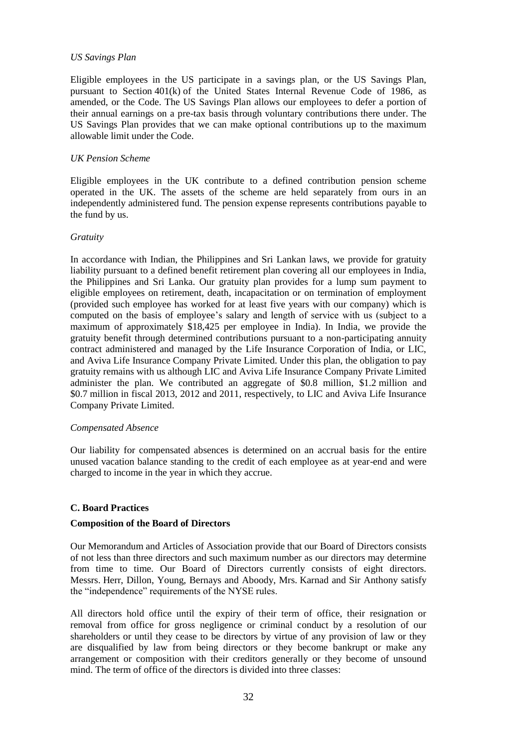### *US Savings Plan*

Eligible employees in the US participate in a savings plan, or the US Savings Plan, pursuant to Section 401(k) of the United States Internal Revenue Code of 1986, as amended, or the Code. The US Savings Plan allows our employees to defer a portion of their annual earnings on a pre-tax basis through voluntary contributions there under. The US Savings Plan provides that we can make optional contributions up to the maximum allowable limit under the Code.

### *UK Pension Scheme*

Eligible employees in the UK contribute to a defined contribution pension scheme operated in the UK. The assets of the scheme are held separately from ours in an independently administered fund. The pension expense represents contributions payable to the fund by us.

### *Gratuity*

In accordance with Indian, the Philippines and Sri Lankan laws, we provide for gratuity liability pursuant to a defined benefit retirement plan covering all our employees in India, the Philippines and Sri Lanka. Our gratuity plan provides for a lump sum payment to eligible employees on retirement, death, incapacitation or on termination of employment (provided such employee has worked for at least five years with our company) which is computed on the basis of employee's salary and length of service with us (subject to a maximum of approximately \$18,425 per employee in India). In India, we provide the gratuity benefit through determined contributions pursuant to a non-participating annuity contract administered and managed by the Life Insurance Corporation of India, or LIC, and Aviva Life Insurance Company Private Limited. Under this plan, the obligation to pay gratuity remains with us although LIC and Aviva Life Insurance Company Private Limited administer the plan. We contributed an aggregate of \$0.8 million, \$1.2 million and \$0.7 million in fiscal 2013, 2012 and 2011, respectively, to LIC and Aviva Life Insurance Company Private Limited.

#### *Compensated Absence*

Our liability for compensated absences is determined on an accrual basis for the entire unused vacation balance standing to the credit of each employee as at year-end and were charged to income in the year in which they accrue.

# **C. Board Practices**

#### **Composition of the Board of Directors**

Our Memorandum and Articles of Association provide that our Board of Directors consists of not less than three directors and such maximum number as our directors may determine from time to time. Our Board of Directors currently consists of eight directors. Messrs. Herr, Dillon, Young, Bernays and Aboody, Mrs. Karnad and Sir Anthony satisfy the "independence" requirements of the NYSE rules.

All directors hold office until the expiry of their term of office, their resignation or removal from office for gross negligence or criminal conduct by a resolution of our shareholders or until they cease to be directors by virtue of any provision of law or they are disqualified by law from being directors or they become bankrupt or make any arrangement or composition with their creditors generally or they become of unsound mind. The term of office of the directors is divided into three classes: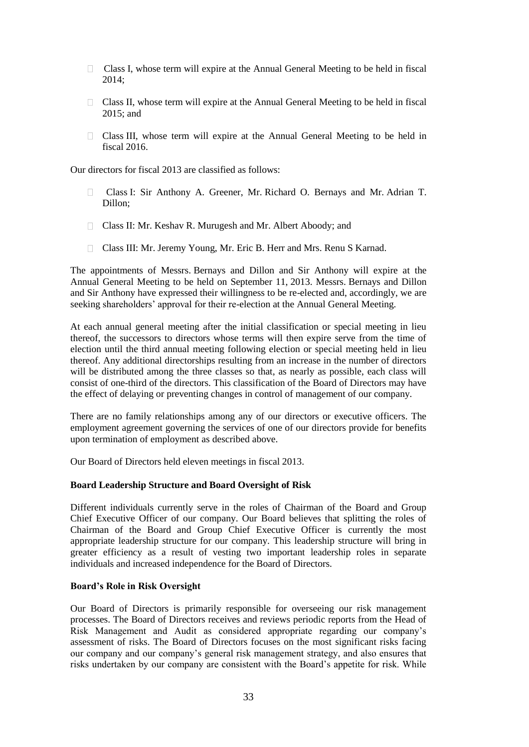- $\Box$  Class I, whose term will expire at the Annual General Meeting to be held in fiscal 2014;
- $\Box$  Class II, whose term will expire at the Annual General Meeting to be held in fiscal 2015; and
- Class III, whose term will expire at the Annual General Meeting to be held in fiscal 2016.

Our directors for fiscal 2013 are classified as follows:

- Class I: Sir Anthony A. Greener, Mr. Richard O. Bernays and Mr. Adrian T. Dillon;
- Class II: Mr. Keshav R. Murugesh and Mr. Albert Aboody; and
- Class III: Mr. Jeremy Young, Mr. Eric B. Herr and Mrs. Renu S Karnad.

The appointments of Messrs. Bernays and Dillon and Sir Anthony will expire at the Annual General Meeting to be held on September 11, 2013. Messrs. Bernays and Dillon and Sir Anthony have expressed their willingness to be re-elected and, accordingly, we are seeking shareholders' approval for their re-election at the Annual General Meeting.

At each annual general meeting after the initial classification or special meeting in lieu thereof, the successors to directors whose terms will then expire serve from the time of election until the third annual meeting following election or special meeting held in lieu thereof. Any additional directorships resulting from an increase in the number of directors will be distributed among the three classes so that, as nearly as possible, each class will consist of one-third of the directors. This classification of the Board of Directors may have the effect of delaying or preventing changes in control of management of our company.

There are no family relationships among any of our directors or executive officers. The employment agreement governing the services of one of our directors provide for benefits upon termination of employment as described above.

Our Board of Directors held eleven meetings in fiscal 2013.

# **Board Leadership Structure and Board Oversight of Risk**

Different individuals currently serve in the roles of Chairman of the Board and Group Chief Executive Officer of our company. Our Board believes that splitting the roles of Chairman of the Board and Group Chief Executive Officer is currently the most appropriate leadership structure for our company. This leadership structure will bring in greater efficiency as a result of vesting two important leadership roles in separate individuals and increased independence for the Board of Directors.

# **Board"s Role in Risk Oversight**

Our Board of Directors is primarily responsible for overseeing our risk management processes. The Board of Directors receives and reviews periodic reports from the Head of Risk Management and Audit as considered appropriate regarding our company's assessment of risks. The Board of Directors focuses on the most significant risks facing our company and our company's general risk management strategy, and also ensures that risks undertaken by our company are consistent with the Board's appetite for risk. While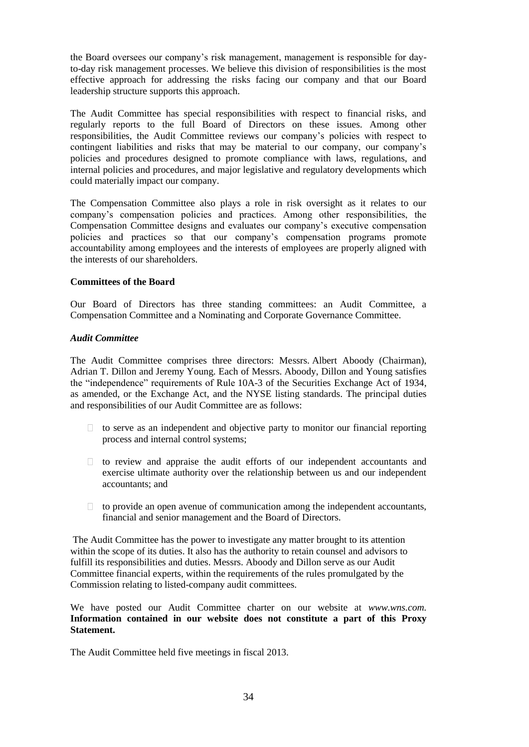the Board oversees our company's risk management, management is responsible for dayto-day risk management processes. We believe this division of responsibilities is the most effective approach for addressing the risks facing our company and that our Board leadership structure supports this approach.

The Audit Committee has special responsibilities with respect to financial risks, and regularly reports to the full Board of Directors on these issues. Among other responsibilities, the Audit Committee reviews our company's policies with respect to contingent liabilities and risks that may be material to our company, our company's policies and procedures designed to promote compliance with laws, regulations, and internal policies and procedures, and major legislative and regulatory developments which could materially impact our company.

The Compensation Committee also plays a role in risk oversight as it relates to our company's compensation policies and practices. Among other responsibilities, the Compensation Committee designs and evaluates our company's executive compensation policies and practices so that our company's compensation programs promote accountability among employees and the interests of employees are properly aligned with the interests of our shareholders.

# **Committees of the Board**

Our Board of Directors has three standing committees: an Audit Committee, a Compensation Committee and a Nominating and Corporate Governance Committee.

### *Audit Committee*

The Audit Committee comprises three directors: Messrs. Albert Aboody (Chairman), Adrian T. Dillon and Jeremy Young. Each of Messrs. Aboody, Dillon and Young satisfies the "independence" requirements of Rule 10A-3 of the Securities Exchange Act of 1934, as amended, or the Exchange Act, and the NYSE listing standards. The principal duties and responsibilities of our Audit Committee are as follows:

- $\Box$  to serve as an independent and objective party to monitor our financial reporting process and internal control systems;
- $\Box$  to review and appraise the audit efforts of our independent accountants and exercise ultimate authority over the relationship between us and our independent accountants; and
- $\Box$  to provide an open avenue of communication among the independent accountants, financial and senior management and the Board of Directors.

The Audit Committee has the power to investigate any matter brought to its attention within the scope of its duties. It also has the authority to retain counsel and advisors to fulfill its responsibilities and duties. Messrs. Aboody and Dillon serve as our Audit Committee financial experts, within the requirements of the rules promulgated by the Commission relating to listed-company audit committees.

We have posted our Audit Committee charter on our website at *www.wns.com.* **Information contained in our website does not constitute a part of this Proxy Statement.**

The Audit Committee held five meetings in fiscal 2013.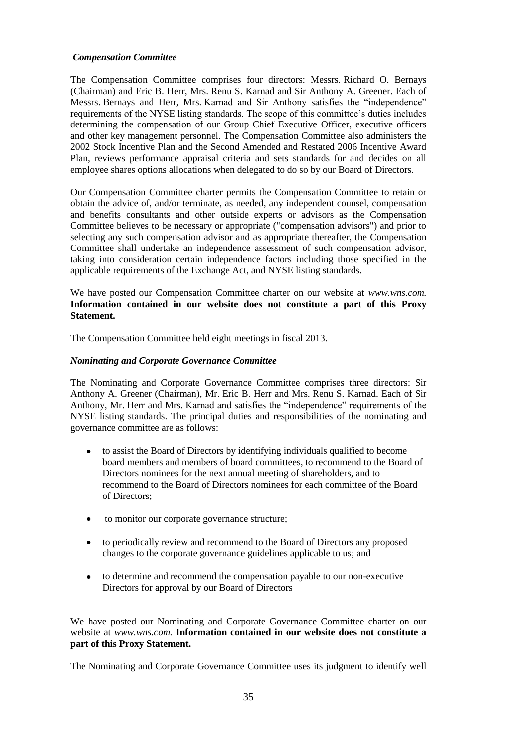# *Compensation Committee*

The Compensation Committee comprises four directors: Messrs. Richard O. Bernays (Chairman) and Eric B. Herr, Mrs. Renu S. Karnad and Sir Anthony A. Greener. Each of Messrs. Bernays and Herr, Mrs. Karnad and Sir Anthony satisfies the "independence" requirements of the NYSE listing standards. The scope of this committee's duties includes determining the compensation of our Group Chief Executive Officer, executive officers and other key management personnel. The Compensation Committee also administers the 2002 Stock Incentive Plan and the Second Amended and Restated 2006 Incentive Award Plan, reviews performance appraisal criteria and sets standards for and decides on all employee shares options allocations when delegated to do so by our Board of Directors.

Our Compensation Committee charter permits the Compensation Committee to retain or obtain the advice of, and/or terminate, as needed, any independent counsel, compensation and benefits consultants and other outside experts or advisors as the Compensation Committee believes to be necessary or appropriate ("compensation advisors") and prior to selecting any such compensation advisor and as appropriate thereafter, the Compensation Committee shall undertake an independence assessment of such compensation advisor, taking into consideration certain independence factors including those specified in the applicable requirements of the Exchange Act, and NYSE listing standards.

We have posted our Compensation Committee charter on our website at *www.wns.com.* **Information contained in our website does not constitute a part of this Proxy Statement.**

The Compensation Committee held eight meetings in fiscal 2013.

# *Nominating and Corporate Governance Committee*

The Nominating and Corporate Governance Committee comprises three directors: Sir Anthony A. Greener (Chairman), Mr. Eric B. Herr and Mrs. Renu S. Karnad. Each of Sir Anthony, Mr. Herr and Mrs. Karnad and satisfies the "independence" requirements of the NYSE listing standards. The principal duties and responsibilities of the nominating and governance committee are as follows:

- $\bullet$ to assist the Board of Directors by identifying individuals qualified to become board members and members of board committees, to recommend to the Board of Directors nominees for the next annual meeting of shareholders, and to recommend to the Board of Directors nominees for each committee of the Board of Directors;
- to monitor our corporate governance structure;
- to periodically review and recommend to the Board of Directors any proposed  $\bullet$ changes to the corporate governance guidelines applicable to us; and
- $\bullet$ to determine and recommend the compensation payable to our non-executive Directors for approval by our Board of Directors

We have posted our Nominating and Corporate Governance Committee charter on our website at *www.wns.com.* **Information contained in our website does not constitute a part of this Proxy Statement.**

The Nominating and Corporate Governance Committee uses its judgment to identify well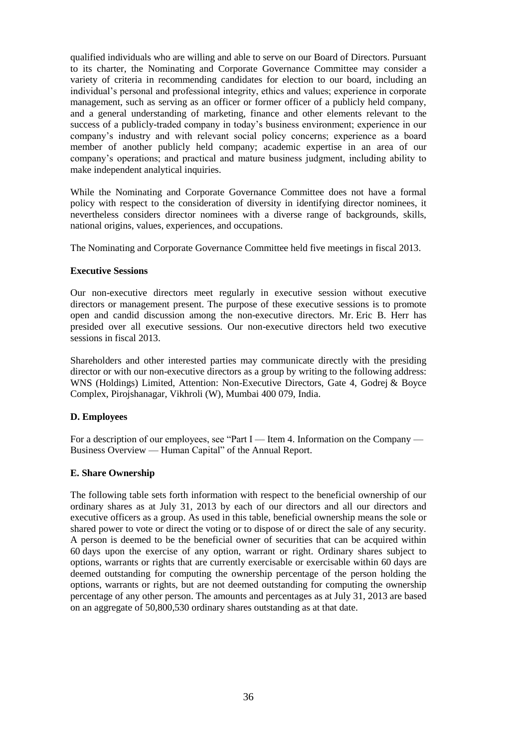qualified individuals who are willing and able to serve on our Board of Directors. Pursuant to its charter, the Nominating and Corporate Governance Committee may consider a variety of criteria in recommending candidates for election to our board, including an individual's personal and professional integrity, ethics and values; experience in corporate management, such as serving as an officer or former officer of a publicly held company, and a general understanding of marketing, finance and other elements relevant to the success of a publicly-traded company in today's business environment; experience in our company's industry and with relevant social policy concerns; experience as a board member of another publicly held company; academic expertise in an area of our company's operations; and practical and mature business judgment, including ability to make independent analytical inquiries.

While the Nominating and Corporate Governance Committee does not have a formal policy with respect to the consideration of diversity in identifying director nominees, it nevertheless considers director nominees with a diverse range of backgrounds, skills, national origins, values, experiences, and occupations.

The Nominating and Corporate Governance Committee held five meetings in fiscal 2013.

# **Executive Sessions**

Our non-executive directors meet regularly in executive session without executive directors or management present. The purpose of these executive sessions is to promote open and candid discussion among the non-executive directors. Mr. Eric B. Herr has presided over all executive sessions. Our non-executive directors held two executive sessions in fiscal 2013.

Shareholders and other interested parties may communicate directly with the presiding director or with our non-executive directors as a group by writing to the following address: WNS (Holdings) Limited, Attention: Non-Executive Directors, Gate 4, Godrej & Boyce Complex, Pirojshanagar, Vikhroli (W), Mumbai 400 079, India.

# **D. Employees**

For a description of our employees, see "Part I — Item 4. Information on the Company — Business Overview — Human Capital" of the Annual Report.

# **E. Share Ownership**

The following table sets forth information with respect to the beneficial ownership of our ordinary shares as at July 31, 2013 by each of our directors and all our directors and executive officers as a group. As used in this table, beneficial ownership means the sole or shared power to vote or direct the voting or to dispose of or direct the sale of any security. A person is deemed to be the beneficial owner of securities that can be acquired within 60 days upon the exercise of any option, warrant or right. Ordinary shares subject to options, warrants or rights that are currently exercisable or exercisable within 60 days are deemed outstanding for computing the ownership percentage of the person holding the options, warrants or rights, but are not deemed outstanding for computing the ownership percentage of any other person. The amounts and percentages as at July 31, 2013 are based on an aggregate of 50,800,530 ordinary shares outstanding as at that date.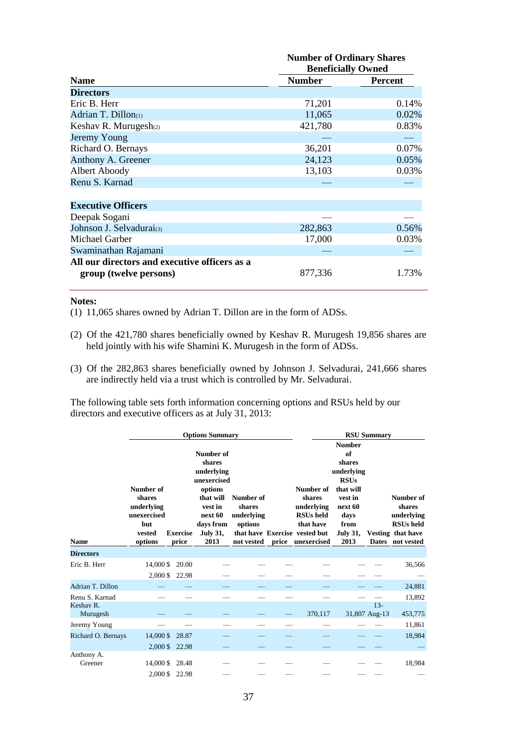|                                               | <b>Number of Ordinary Shares</b><br><b>Beneficially Owned</b> |                |  |  |  |
|-----------------------------------------------|---------------------------------------------------------------|----------------|--|--|--|
| <b>Name</b>                                   | <b>Number</b>                                                 | <b>Percent</b> |  |  |  |
| <b>Directors</b>                              |                                                               |                |  |  |  |
| Eric B. Herr                                  | 71,201                                                        | 0.14%          |  |  |  |
| Adrian T. Dillon(1)                           | 11,065                                                        | 0.02%          |  |  |  |
| Keshav R. Murugesh(2)                         | 421,780                                                       | 0.83%          |  |  |  |
| Jeremy Young                                  |                                                               |                |  |  |  |
| Richard O. Bernays                            | 36,201                                                        | 0.07%          |  |  |  |
| Anthony A. Greener                            | 24,123                                                        | 0.05%          |  |  |  |
| Albert Aboody                                 | 13,103                                                        | 0.03%          |  |  |  |
| Renu S. Karnad                                |                                                               |                |  |  |  |
|                                               |                                                               |                |  |  |  |
| <b>Executive Officers</b>                     |                                                               |                |  |  |  |
| Deepak Sogani                                 |                                                               |                |  |  |  |
| Johnson J. Selvadurai(3)                      | 282,863                                                       | 0.56%          |  |  |  |
| Michael Garber                                | 17,000                                                        | 0.03%          |  |  |  |
| Swaminathan Rajamani                          |                                                               |                |  |  |  |
| All our directors and executive officers as a |                                                               |                |  |  |  |
| group (twelve persons)                        | 877,336                                                       | 1.73%          |  |  |  |

#### **Notes:**

(1) 11,065 shares owned by Adrian T. Dillon are in the form of ADSs.

- (2) Of the 421,780 shares beneficially owned by Keshav R. Murugesh 19,856 shares are held jointly with his wife Shamini K. Murugesh in the form of ADSs.
- (3) Of the 282,863 shares beneficially owned by Johnson J. Selvadurai, 241,666 shares are indirectly held via a trust which is controlled by Mr. Selvadurai.

The following table sets forth information concerning options and RSUs held by our directors and executive officers as at July 31, 2013:

|                       |                                                                              |                                   | <b>Options Summary</b>                                                                                                                 |                                                            |                                                                                                                          |                                                                                                                                          | <b>RSU Summary</b>      |                                                                                                       |
|-----------------------|------------------------------------------------------------------------------|-----------------------------------|----------------------------------------------------------------------------------------------------------------------------------------|------------------------------------------------------------|--------------------------------------------------------------------------------------------------------------------------|------------------------------------------------------------------------------------------------------------------------------------------|-------------------------|-------------------------------------------------------------------------------------------------------|
| <b>Name</b>           | Number of<br>shares<br>underlying<br>unexercised<br>but<br>vested<br>options | <b>Exercise</b><br>price          | Number of<br>shares<br>underlying<br>unexercised<br>options<br>that will<br>vest in<br>next 60<br>days from<br><b>July 31,</b><br>2013 | Number of<br>shares<br>underlying<br>options<br>not vested | Number of<br>shares<br>underlying<br><b>RSUs</b> held<br>that have<br>that have Exercise vested but<br>price unexercised | <b>Number</b><br>of<br>shares<br>underlying<br><b>RSUs</b><br>that will<br>vest in<br>next 60<br>days<br>from<br><b>July 31,</b><br>2013 |                         | Number of<br>shares<br>underlying<br><b>RSUs</b> held<br><b>Vesting that have</b><br>Dates not vested |
| <b>Directors</b>      |                                                                              |                                   |                                                                                                                                        |                                                            |                                                                                                                          |                                                                                                                                          |                         |                                                                                                       |
| Eric B. Herr          | 14,000 \$                                                                    | 20.00<br>2,000 \$ 22.98           |                                                                                                                                        |                                                            |                                                                                                                          |                                                                                                                                          |                         | 36,566                                                                                                |
| Adrian T. Dillon      |                                                                              |                                   |                                                                                                                                        |                                                            |                                                                                                                          |                                                                                                                                          |                         | 24,881                                                                                                |
| Renu S. Karnad        |                                                                              |                                   |                                                                                                                                        |                                                            |                                                                                                                          |                                                                                                                                          |                         | 13,892                                                                                                |
| Keshav R.<br>Murugesh |                                                                              |                                   |                                                                                                                                        |                                                            | 370,117                                                                                                                  |                                                                                                                                          | $13 -$<br>31,807 Aug-13 | 453,775                                                                                               |
| Jeremy Young          |                                                                              |                                   |                                                                                                                                        |                                                            |                                                                                                                          |                                                                                                                                          |                         | 11,861                                                                                                |
| Richard O. Bernays    |                                                                              | 14,000 \$ 28.87<br>2,000 \$ 22.98 |                                                                                                                                        |                                                            |                                                                                                                          |                                                                                                                                          |                         | 18,984                                                                                                |
| Anthony A.<br>Greener |                                                                              | 14,000 \$ 28.48                   |                                                                                                                                        |                                                            |                                                                                                                          |                                                                                                                                          |                         | 18,984                                                                                                |
|                       |                                                                              | 2,000 \$ 22.98                    |                                                                                                                                        |                                                            |                                                                                                                          |                                                                                                                                          |                         |                                                                                                       |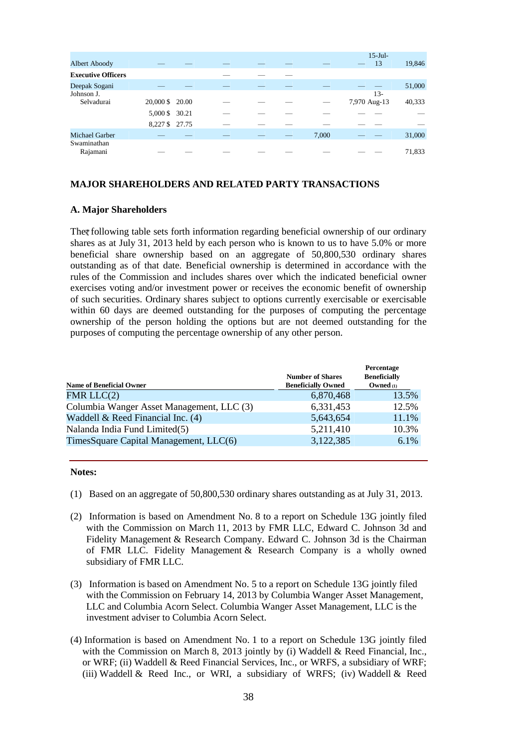| <b>Albert Aboody</b>      |                 |  |  |       | $15-Jul-$<br>13 | 19,846 |
|---------------------------|-----------------|--|--|-------|-----------------|--------|
| <b>Executive Officers</b> |                 |  |  |       |                 |        |
| Deepak Sogani             |                 |  |  |       |                 | 51,000 |
| Johnson J.                |                 |  |  |       | $13-$           |        |
| Selvadurai                | 20,000 \$ 20.00 |  |  |       | 7,970 Aug-13    | 40,333 |
|                           | 5,000 \$ 30.21  |  |  |       |                 |        |
|                           | 8,227 \$ 27.75  |  |  |       |                 |        |
| <b>Michael Garber</b>     |                 |  |  | 7,000 |                 | 31,000 |
| Swaminathan<br>Rajamani   |                 |  |  |       |                 | 71,833 |

### **MAJOR SHAREHOLDERS AND RELATED PARTY TRANSACTIONS**

## **A. Major Shareholders**

The following table sets forth information regarding beneficial ownership of our ordinary shares as at July 31, 2013 held by each person who is known to us to have 5.0% or more beneficial share ownership based on an aggregate of 50,800,530 ordinary shares outstanding as of that date. Beneficial ownership is determined in accordance with the rules of the Commission and includes shares over which the indicated beneficial owner exercises voting and/or investment power or receives the economic benefit of ownership of such securities. Ordinary shares subject to options currently exercisable or exercisable within 60 days are deemed outstanding for the purposes of computing the percentage ownership of the person holding the options but are not deemed outstanding for the purposes of computing the percentage ownership of any other person.

| <b>Name of Beneficial Owner</b>           | <b>Number of Shares</b><br><b>Beneficially Owned</b> | Percentage<br><b>Beneficially</b><br>Owned $(1)$ |
|-------------------------------------------|------------------------------------------------------|--------------------------------------------------|
| FMR $LLC(2)$                              | 6,870,468                                            | 13.5%                                            |
| Columbia Wanger Asset Management, LLC (3) | 6,331,453                                            | 12.5%                                            |
| Waddell & Reed Financial Inc. $(4)$       | 5,643,654                                            | 11.1%                                            |
| Nalanda India Fund Limited(5)             | 5,211,410                                            | 10.3%                                            |
| TimesSquare Capital Management, LLC(6)    | 3,122,385                                            | 6.1%                                             |

#### **Notes:**

- (1) Based on an aggregate of 50,800,530 ordinary shares outstanding as at July 31, 2013.
- (2) Information is based on Amendment No. 8 to a report on Schedule 13G jointly filed with the Commission on March 11, 2013 by FMR LLC, Edward C. Johnson 3d and Fidelity Management & Research Company. Edward C. Johnson 3d is the Chairman of FMR LLC. Fidelity Management & Research Company is a wholly owned subsidiary of FMR LLC.
- (3) Information is based on Amendment No. 5 to a report on Schedule 13G jointly filed with the Commission on February 14, 2013 by Columbia Wanger Asset Management, LLC and Columbia Acorn Select. Columbia Wanger Asset Management, LLC is the investment adviser to Columbia Acorn Select.
- (4) Information is based on Amendment No. 1 to a report on Schedule 13G jointly filed with the Commission on March 8, 2013 jointly by (i) Waddell & Reed Financial, Inc., or WRF; (ii) Waddell & Reed Financial Services, Inc., or WRFS, a subsidiary of WRF; (iii) Waddell & Reed Inc., or WRI, a subsidiary of WRFS; (iv) Waddell & Reed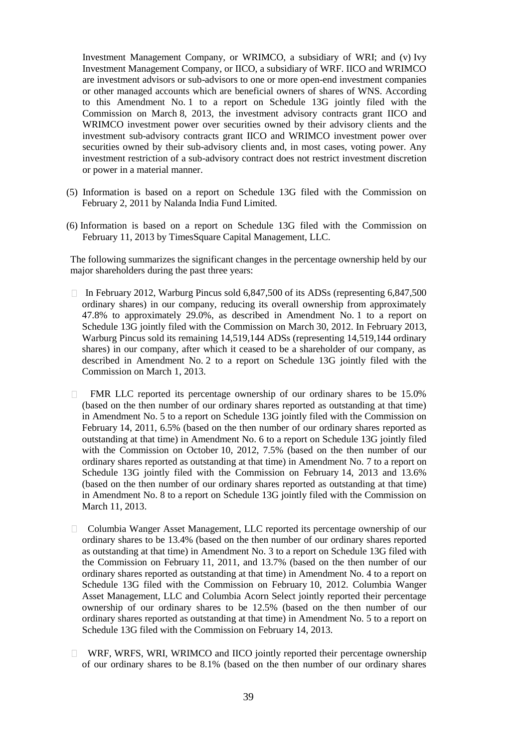Investment Management Company, or WRIMCO, a subsidiary of WRI; and (v) Ivy Investment Management Company, or IICO, a subsidiary of WRF. IICO and WRIMCO are investment advisors or sub-advisors to one or more open-end investment companies or other managed accounts which are beneficial owners of shares of WNS. According to this Amendment No. 1 to a report on Schedule 13G jointly filed with the Commission on March 8, 2013, the investment advisory contracts grant IICO and WRIMCO investment power over securities owned by their advisory clients and the investment sub-advisory contracts grant IICO and WRIMCO investment power over securities owned by their sub-advisory clients and, in most cases, voting power. Any investment restriction of a sub-advisory contract does not restrict investment discretion or power in a material manner.

- (5) Information is based on a report on Schedule 13G filed with the Commission on February 2, 2011 by Nalanda India Fund Limited.
- (6) Information is based on a report on Schedule 13G filed with the Commission on February 11, 2013 by TimesSquare Capital Management, LLC.

The following summarizes the significant changes in the percentage ownership held by our major shareholders during the past three years:

- In February 2012, Warburg Pincus sold 6,847,500 of its ADSs (representing 6,847,500 ordinary shares) in our company, reducing its overall ownership from approximately 47.8% to approximately 29.0%, as described in Amendment No. 1 to a report on Schedule 13G jointly filed with the Commission on March 30, 2012. In February 2013, Warburg Pincus sold its remaining 14,519,144 ADSs (representing 14,519,144 ordinary shares) in our company, after which it ceased to be a shareholder of our company, as described in Amendment No. 2 to a report on Schedule 13G jointly filed with the Commission on March 1, 2013.
- FMR LLC reported its percentage ownership of our ordinary shares to be 15.0% (based on the then number of our ordinary shares reported as outstanding at that time) in Amendment No. 5 to a report on Schedule 13G jointly filed with the Commission on February 14, 2011, 6.5% (based on the then number of our ordinary shares reported as outstanding at that time) in Amendment No. 6 to a report on Schedule 13G jointly filed with the Commission on October 10, 2012, 7.5% (based on the then number of our ordinary shares reported as outstanding at that time) in Amendment No. 7 to a report on Schedule 13G jointly filed with the Commission on February 14, 2013 and 13.6% (based on the then number of our ordinary shares reported as outstanding at that time) in Amendment No. 8 to a report on Schedule 13G jointly filed with the Commission on March 11, 2013.
- □ Columbia Wanger Asset Management, LLC reported its percentage ownership of our ordinary shares to be 13.4% (based on the then number of our ordinary shares reported as outstanding at that time) in Amendment No. 3 to a report on Schedule 13G filed with the Commission on February 11, 2011, and 13.7% (based on the then number of our ordinary shares reported as outstanding at that time) in Amendment No. 4 to a report on Schedule 13G filed with the Commission on February 10, 2012. Columbia Wanger Asset Management, LLC and Columbia Acorn Select jointly reported their percentage ownership of our ordinary shares to be 12.5% (based on the then number of our ordinary shares reported as outstanding at that time) in Amendment No. 5 to a report on Schedule 13G filed with the Commission on February 14, 2013.
- WRF, WRFS, WRI, WRIMCO and IICO jointly reported their percentage ownership of our ordinary shares to be 8.1% (based on the then number of our ordinary shares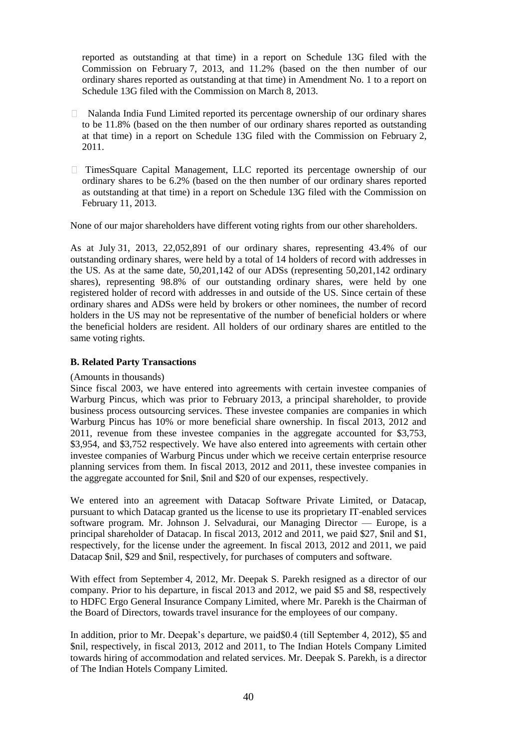reported as outstanding at that time) in a report on Schedule 13G filed with the Commission on February 7, 2013, and 11.2% (based on the then number of our ordinary shares reported as outstanding at that time) in Amendment No. 1 to a report on Schedule 13G filed with the Commission on March 8, 2013.

- Nalanda India Fund Limited reported its percentage ownership of our ordinary shares to be 11.8% (based on the then number of our ordinary shares reported as outstanding at that time) in a report on Schedule 13G filed with the Commission on February 2, 2011.
- TimesSquare Capital Management, LLC reported its percentage ownership of our ordinary shares to be 6.2% (based on the then number of our ordinary shares reported as outstanding at that time) in a report on Schedule 13G filed with the Commission on February 11, 2013.

None of our major shareholders have different voting rights from our other shareholders.

As at July 31, 2013, 22,052,891 of our ordinary shares, representing 43.4% of our outstanding ordinary shares, were held by a total of 14 holders of record with addresses in the US. As at the same date, 50,201,142 of our ADSs (representing 50,201,142 ordinary shares), representing 98.8% of our outstanding ordinary shares, were held by one registered holder of record with addresses in and outside of the US. Since certain of these ordinary shares and ADSs were held by brokers or other nominees, the number of record holders in the US may not be representative of the number of beneficial holders or where the beneficial holders are resident. All holders of our ordinary shares are entitled to the same voting rights.

### **B. Related Party Transactions**

#### (Amounts in thousands)

Since fiscal 2003, we have entered into agreements with certain investee companies of Warburg Pincus, which was prior to February 2013, a principal shareholder, to provide business process outsourcing services. These investee companies are companies in which Warburg Pincus has 10% or more beneficial share ownership. In fiscal 2013, 2012 and 2011, revenue from these investee companies in the aggregate accounted for \$3,753, \$3,954, and \$3,752 respectively. We have also entered into agreements with certain other investee companies of Warburg Pincus under which we receive certain enterprise resource planning services from them. In fiscal 2013, 2012 and 2011, these investee companies in the aggregate accounted for \$nil, \$nil and \$20 of our expenses, respectively.

We entered into an agreement with Datacap Software Private Limited, or Datacap, pursuant to which Datacap granted us the license to use its proprietary IT-enabled services software program. Mr. Johnson J. Selvadurai, our Managing Director — Europe, is a principal shareholder of Datacap. In fiscal 2013, 2012 and 2011, we paid \$27, \$nil and \$1, respectively, for the license under the agreement. In fiscal 2013, 2012 and 2011, we paid Datacap \$nil, \$29 and \$nil, respectively, for purchases of computers and software.

With effect from September 4, 2012, Mr. Deepak S. Parekh resigned as a director of our company. Prior to his departure, in fiscal 2013 and 2012, we paid \$5 and \$8, respectively to HDFC Ergo General Insurance Company Limited, where Mr. Parekh is the Chairman of the Board of Directors, towards travel insurance for the employees of our company.

In addition, prior to Mr. Deepak's departure, we paid\$0.4 (till September 4, 2012), \$5 and \$nil, respectively, in fiscal 2013, 2012 and 2011, to The Indian Hotels Company Limited towards hiring of accommodation and related services. Mr. Deepak S. Parekh, is a director of The Indian Hotels Company Limited.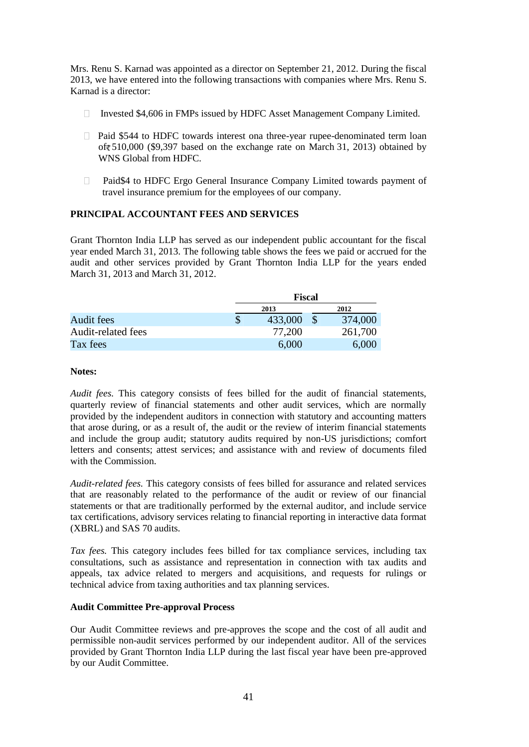Mrs. Renu S. Karnad was appointed as a director on September 21, 2012. During the fiscal 2013, we have entered into the following transactions with companies where Mrs. Renu S. Karnad is a director:

- Invested  $$4,606$  in FMPs issued by HDFC Asset Management Company Limited.
- $\Box$  Paid \$544 to HDFC towards interest ona three-year rupee-denominated term loan of  $510,000$  (\$9,397 based on the exchange rate on March 31, 2013) obtained by WNS Global from HDFC.
- □ Paid\$4 to HDFC Ergo General Insurance Company Limited towards payment of travel insurance premium for the employees of our company.

# **PRINCIPAL ACCOUNTANT FEES AND SERVICES**

Grant Thornton India LLP has served as our independent public accountant for the fiscal year ended March 31, 2013. The following table shows the fees we paid or accrued for the audit and other services provided by Grant Thornton India LLP for the years ended March 31, 2013 and March 31, 2012.

|                    | Fiscal  |  |         |  |  |  |
|--------------------|---------|--|---------|--|--|--|
|                    | 2013    |  | 2012    |  |  |  |
| Audit fees         | 433,000 |  | 374,000 |  |  |  |
| Audit-related fees | 77,200  |  | 261,700 |  |  |  |
| Tax fees           | 6,000   |  | 6,000   |  |  |  |

### **Notes:**

*Audit fees.* This category consists of fees billed for the audit of financial statements, quarterly review of financial statements and other audit services, which are normally provided by the independent auditors in connection with statutory and accounting matters that arose during, or as a result of, the audit or the review of interim financial statements and include the group audit; statutory audits required by non-US jurisdictions; comfort letters and consents; attest services; and assistance with and review of documents filed with the Commission.

*Audit-related fees.* This category consists of fees billed for assurance and related services that are reasonably related to the performance of the audit or review of our financial statements or that are traditionally performed by the external auditor, and include service tax certifications, advisory services relating to financial reporting in interactive data format (XBRL) and SAS 70 audits.

*Tax fees.* This category includes fees billed for tax compliance services, including tax consultations, such as assistance and representation in connection with tax audits and appeals, tax advice related to mergers and acquisitions, and requests for rulings or technical advice from taxing authorities and tax planning services.

# **Audit Committee Pre-approval Process**

Our Audit Committee reviews and pre-approves the scope and the cost of all audit and permissible non-audit services performed by our independent auditor. All of the services provided by Grant Thornton India LLP during the last fiscal year have been pre-approved by our Audit Committee.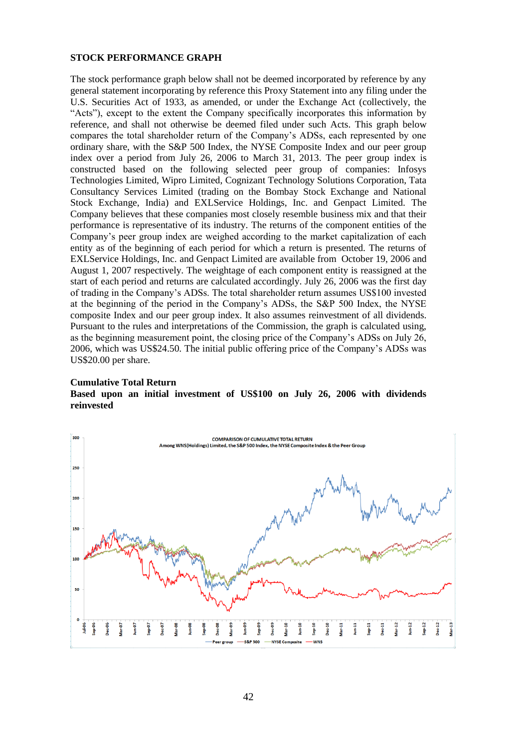#### **STOCK PERFORMANCE GRAPH**

The stock performance graph below shall not be deemed incorporated by reference by any general statement incorporating by reference this Proxy Statement into any filing under the U.S. Securities Act of 1933, as amended, or under the Exchange Act (collectively, the "Acts"), except to the extent the Company specifically incorporates this information by reference, and shall not otherwise be deemed filed under such Acts. This graph below compares the total shareholder return of the Company's ADSs, each represented by one ordinary share, with the S&P 500 Index, the NYSE Composite Index and our peer group index over a period from July 26, 2006 to March 31, 2013. The peer group index is constructed based on the following selected peer group of companies: Infosys Technologies Limited, Wipro Limited, Cognizant Technology Solutions Corporation, Tata Consultancy Services Limited (trading on the Bombay Stock Exchange and National Stock Exchange, India) and EXLService Holdings, Inc. and Genpact Limited. The Company believes that these companies most closely resemble business mix and that their performance is representative of its industry. The returns of the component entities of the Company's peer group index are weighed according to the market capitalization of each entity as of the beginning of each period for which a return is presented. The returns of EXLService Holdings, Inc. and Genpact Limited are available from October 19, 2006 and August 1, 2007 respectively. The weightage of each component entity is reassigned at the start of each period and returns are calculated accordingly. July 26, 2006 was the first day of trading in the Company's ADSs. The total shareholder return assumes US\$100 invested at the beginning of the period in the Company's ADSs, the S&P 500 Index, the NYSE composite Index and our peer group index. It also assumes reinvestment of all dividends. Pursuant to the rules and interpretations of the Commission, the graph is calculated using, as the beginning measurement point, the closing price of the Company's ADSs on July 26, 2006, which was US\$24.50. The initial public offering price of the Company's ADSs was US\$20.00 per share.

#### **Cumulative Total Return**

# **Based upon an initial investment of US\$100 on July 26, 2006 with dividends reinvested**

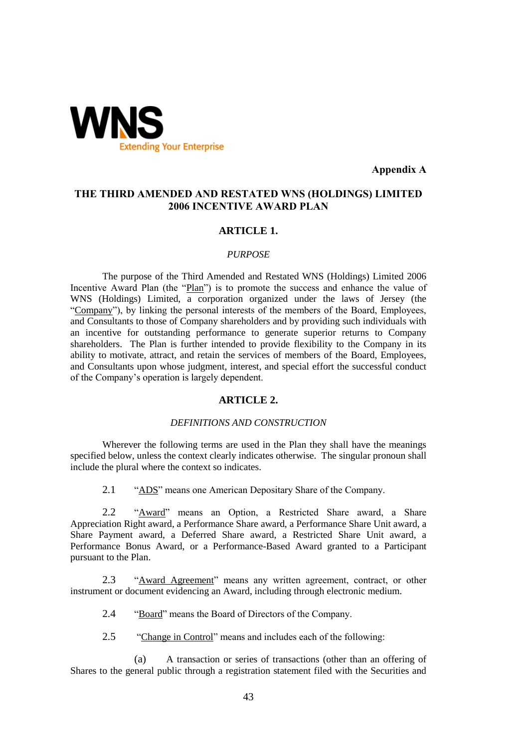

**Appendix A**

# **THE THIRD AMENDED AND RESTATED WNS (HOLDINGS) LIMITED 2006 INCENTIVE AWARD PLAN**

# **ARTICLE 1.**

#### *PURPOSE*

The purpose of the Third Amended and Restated WNS (Holdings) Limited 2006 Incentive Award Plan (the "Plan") is to promote the success and enhance the value of WNS (Holdings) Limited, a corporation organized under the laws of Jersey (the "Company"), by linking the personal interests of the members of the Board, Employees, and Consultants to those of Company shareholders and by providing such individuals with an incentive for outstanding performance to generate superior returns to Company shareholders. The Plan is further intended to provide flexibility to the Company in its ability to motivate, attract, and retain the services of members of the Board, Employees, and Consultants upon whose judgment, interest, and special effort the successful conduct of the Company's operation is largely dependent.

# **ARTICLE 2.**

# *DEFINITIONS AND CONSTRUCTION*

Wherever the following terms are used in the Plan they shall have the meanings specified below, unless the context clearly indicates otherwise. The singular pronoun shall include the plural where the context so indicates.

2.1 "ADS" means one American Depositary Share of the Company.

2.2 "Award" means an Option, a Restricted Share award, a Share Appreciation Right award, a Performance Share award, a Performance Share Unit award, a Share Payment award, a Deferred Share award, a Restricted Share Unit award, a Performance Bonus Award, or a Performance-Based Award granted to a Participant pursuant to the Plan.

2.3 "Award Agreement" means any written agreement, contract, or other instrument or document evidencing an Award, including through electronic medium.

2.4 "Board" means the Board of Directors of the Company.

2.5 "Change in Control" means and includes each of the following:

(a) A transaction or series of transactions (other than an offering of Shares to the general public through a registration statement filed with the Securities and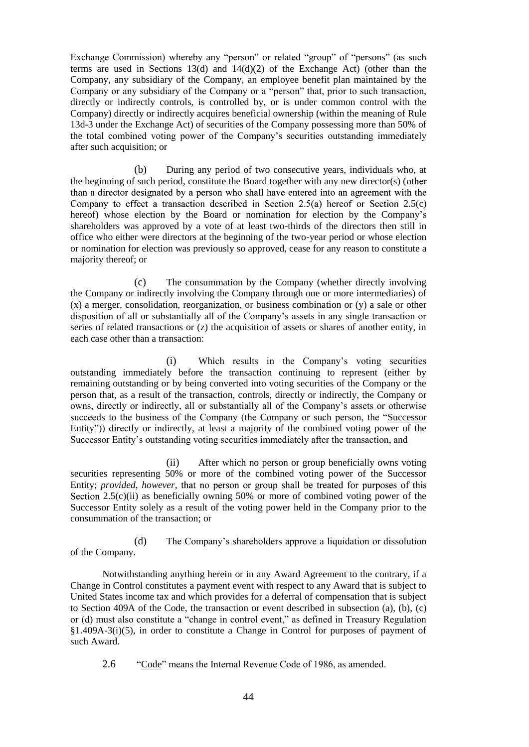Exchange Commission) whereby any "person" or related "group" of "persons" (as such terms are used in Sections 13(d) and 14(d)(2) of the Exchange Act) (other than the Company, any subsidiary of the Company, an employee benefit plan maintained by the Company or any subsidiary of the Company or a "person" that, prior to such transaction, directly or indirectly controls, is controlled by, or is under common control with the Company) directly or indirectly acquires beneficial ownership (within the meaning of Rule 13d-3 under the Exchange Act) of securities of the Company possessing more than 50% of the total combined voting power of the Company's securities outstanding immediately after such acquisition; or

(b) During any period of two consecutive years, individuals who, at the beginning of such period, constitute the Board together with any new director(s) ( than a director designated by a person who shall have entered into an agreement with the Company to effect a transaction described in Section 2.5(a) hereof or Section 2.5(c) hereof) whose election by the Board or nomination for election by the Company's shareholders was approved by a vote of at least two-thirds of the directors then still in office who either were directors at the beginning of the two-year period or whose election or nomination for election was previously so approved, cease for any reason to constitute a majority thereof; or

(c) The consummation by the Company (whether directly involving the Company or indirectly involving the Company through one or more intermediaries) of (x) a merger, consolidation, reorganization, or business combination or (y) a sale or other disposition of all or substantially all of the Company's assets in any single transaction or series of related transactions or (z) the acquisition of assets or shares of another entity, in each case other than a transaction:

(i) Which results in the Company's voting securities outstanding immediately before the transaction continuing to represent (either by remaining outstanding or by being converted into voting securities of the Company or the person that, as a result of the transaction, controls, directly or indirectly, the Company or owns, directly or indirectly, all or substantially all of the Company's assets or otherwise succeeds to the business of the Company (the Company or such person, the "Successor Entity")) directly or indirectly, at least a majority of the combined voting power of the Successor Entity's outstanding voting securities immediately after the transaction, and

(ii) After which no person or group beneficially owns voting securities representing 50% or more of the combined voting power of the Successor Entity; *provided, however*, that no person or group shall be treated for purposes of this Section 2.5(c)(ii) as beneficially owning 50% or more of combined voting power of the Successor Entity solely as a result of the voting power held in the Company prior to the consummation of the transaction; or

(d) The Company's shareholders approve a liquidation or dissolution of the Company.

Notwithstanding anything herein or in any Award Agreement to the contrary, if a Change in Control constitutes a payment event with respect to any Award that is subject to United States income tax and which provides for a deferral of compensation that is subject to Section 409A of the Code, the transaction or event described in subsection (a), (b), (c) or (d) must also constitute a "change in control event," as defined in Treasury Regulation §1.409A-3(i)(5), in order to constitute a Change in Control for purposes of payment of such Award.

2.6 "Code" means the Internal Revenue Code of 1986, as amended.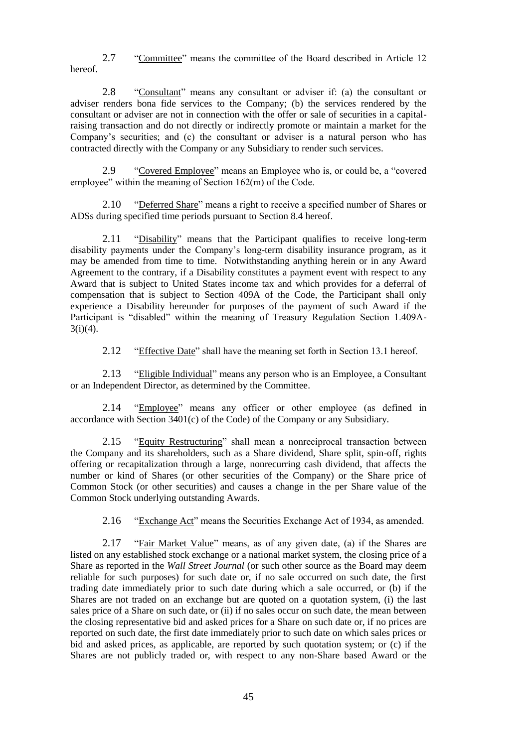2.7 "Committee" means the committee of the Board described in Article 12 hereof.

2.8 "Consultant" means any consultant or adviser if: (a) the consultant or adviser renders bona fide services to the Company; (b) the services rendered by the consultant or adviser are not in connection with the offer or sale of securities in a capitalraising transaction and do not directly or indirectly promote or maintain a market for the Company's securities; and (c) the consultant or adviser is a natural person who has contracted directly with the Company or any Subsidiary to render such services.

2.9 "Covered Employee" means an Employee who is, or could be, a "covered employee" within the meaning of Section 162(m) of the Code.

2.10 "Deferred Share" means a right to receive a specified number of Shares or ADSs during specified time periods pursuant to Section 8.4 hereof.

2.11 "Disability" means that the Participant qualifies to receive long-term disability payments under the Company's long-term disability insurance program, as it may be amended from time to time. Notwithstanding anything herein or in any Award Agreement to the contrary, if a Disability constitutes a payment event with respect to any Award that is subject to United States income tax and which provides for a deferral of compensation that is subject to Section 409A of the Code, the Participant shall only experience a Disability hereunder for purposes of the payment of such Award if the Participant is "disabled" within the meaning of Treasury Regulation Section 1.409A- $3(i)(4)$ .

2.12 "Effective Date" shall have the meaning set forth in Section 13.1 hereof.

2.13 "Eligible Individual" means any person who is an Employee, a Consultant or an Independent Director, as determined by the Committee.

2.14 "Employee" means any officer or other employee (as defined in accordance with Section 3401(c) of the Code) of the Company or any Subsidiary.

2.15 "Equity Restructuring" shall mean a nonreciprocal transaction between the Company and its shareholders, such as a Share dividend, Share split, spin-off, rights offering or recapitalization through a large, nonrecurring cash dividend, that affects the number or kind of Shares (or other securities of the Company) or the Share price of Common Stock (or other securities) and causes a change in the per Share value of the Common Stock underlying outstanding Awards.

2.16 "Exchange Act" means the Securities Exchange Act of 1934, as amended.

2.17 "Fair Market Value" means, as of any given date, (a) if the Shares are listed on any established stock exchange or a national market system, the closing price of a Share as reported in the *Wall Street Journal* (or such other source as the Board may deem reliable for such purposes) for such date or, if no sale occurred on such date, the first trading date immediately prior to such date during which a sale occurred, or (b) if the Shares are not traded on an exchange but are quoted on a quotation system, (i) the last sales price of a Share on such date, or (ii) if no sales occur on such date, the mean between the closing representative bid and asked prices for a Share on such date or, if no prices are reported on such date, the first date immediately prior to such date on which sales prices or bid and asked prices, as applicable, are reported by such quotation system; or (c) if the Shares are not publicly traded or, with respect to any non-Share based Award or the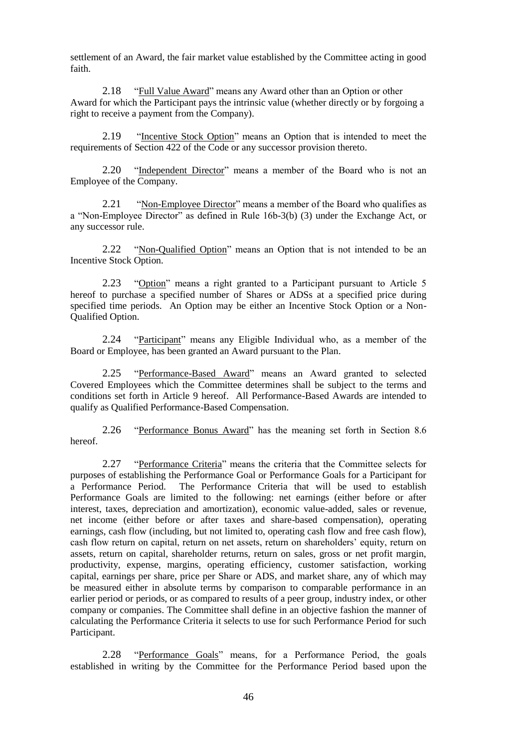settlement of an Award, the fair market value established by the Committee acting in good faith.

2.18 "Full Value Award" means any Award other than an Option or other Award for which the Participant pays the intrinsic value (whether directly or by forgoing a right to receive a payment from the Company).

2.19 "Incentive Stock Option" means an Option that is intended to meet the requirements of Section 422 of the Code or any successor provision thereto.

2.20 "Independent Director" means a member of the Board who is not an Employee of the Company.

2.21 "Non-Employee Director" means a member of the Board who qualifies as a "Non-Employee Director" as defined in Rule 16b-3(b) (3) under the Exchange Act, or any successor rule.

2.22 "Non-Qualified Option" means an Option that is not intended to be an Incentive Stock Option.

2.23 "Option" means a right granted to a Participant pursuant to Article 5 hereof to purchase a specified number of Shares or ADSs at a specified price during specified time periods. An Option may be either an Incentive Stock Option or a Non-Qualified Option.

2.24 "Participant" means any Eligible Individual who, as a member of the Board or Employee, has been granted an Award pursuant to the Plan.

2.25 "Performance-Based Award" means an Award granted to selected Covered Employees which the Committee determines shall be subject to the terms and conditions set forth in Article 9 hereof. All Performance-Based Awards are intended to qualify as Qualified Performance-Based Compensation.

2.26 "Performance Bonus Award" has the meaning set forth in Section 8.6 hereof.

2.27 "Performance Criteria" means the criteria that the Committee selects for purposes of establishing the Performance Goal or Performance Goals for a Participant for a Performance Period. The Performance Criteria that will be used to establish Performance Goals are limited to the following: net earnings (either before or after interest, taxes, depreciation and amortization), economic value-added, sales or revenue, net income (either before or after taxes and share-based compensation), operating earnings, cash flow (including, but not limited to, operating cash flow and free cash flow), cash flow return on capital, return on net assets, return on shareholders' equity, return on assets, return on capital, shareholder returns, return on sales, gross or net profit margin, productivity, expense, margins, operating efficiency, customer satisfaction, working capital, earnings per share, price per Share or ADS, and market share, any of which may be measured either in absolute terms by comparison to comparable performance in an earlier period or periods, or as compared to results of a peer group, industry index, or other company or companies. The Committee shall define in an objective fashion the manner of calculating the Performance Criteria it selects to use for such Performance Period for such Participant.

2.28 "Performance Goals" means, for a Performance Period, the goals established in writing by the Committee for the Performance Period based upon the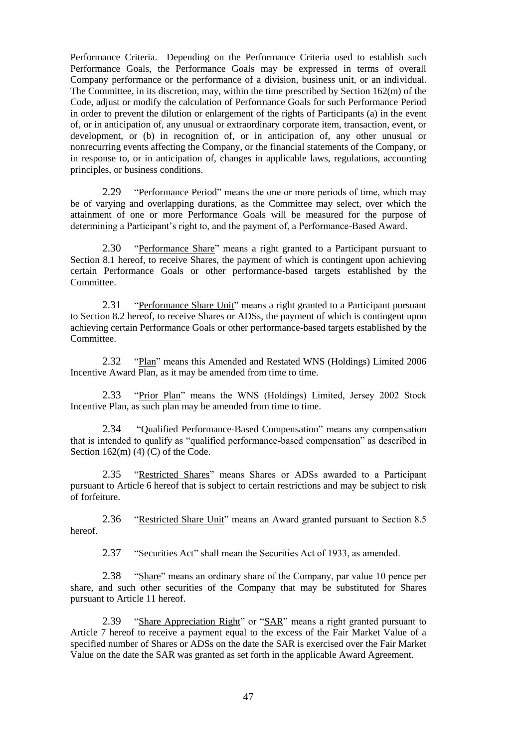Performance Criteria. Depending on the Performance Criteria used to establish such Performance Goals, the Performance Goals may be expressed in terms of overall Company performance or the performance of a division, business unit, or an individual. The Committee, in its discretion, may, within the time prescribed by Section 162(m) of the Code, adjust or modify the calculation of Performance Goals for such Performance Period in order to prevent the dilution or enlargement of the rights of Participants (a) in the event of, or in anticipation of, any unusual or extraordinary corporate item, transaction, event, or development, or (b) in recognition of, or in anticipation of, any other unusual or nonrecurring events affecting the Company, or the financial statements of the Company, or in response to, or in anticipation of, changes in applicable laws, regulations, accounting principles, or business conditions.

2.29 "Performance Period" means the one or more periods of time, which may be of varying and overlapping durations, as the Committee may select, over which the attainment of one or more Performance Goals will be measured for the purpose of determining a Participant's right to, and the payment of, a Performance-Based Award.

2.30 "Performance Share" means a right granted to a Participant pursuant to Section 8.1 hereof, to receive Shares, the payment of which is contingent upon achieving certain Performance Goals or other performance-based targets established by the Committee.

2.31 "Performance Share Unit" means a right granted to a Participant pursuant to Section 8.2 hereof, to receive Shares or ADSs, the payment of which is contingent upon achieving certain Performance Goals or other performance-based targets established by the Committee.

2.32 "Plan" means this Amended and Restated WNS (Holdings) Limited 2006 Incentive Award Plan, as it may be amended from time to time.

2.33 "Prior Plan" means the WNS (Holdings) Limited, Jersey 2002 Stock Incentive Plan, as such plan may be amended from time to time.

2.34 "Qualified Performance-Based Compensation" means any compensation that is intended to qualify as "qualified performance-based compensation" as described in Section  $162(m)$  (4) (C) of the Code.

2.35 "Restricted Shares" means Shares or ADSs awarded to a Participant pursuant to Article 6 hereof that is subject to certain restrictions and may be subject to risk of forfeiture.

2.36 "Restricted Share Unit" means an Award granted pursuant to Section 8.5 hereof.

2.37 "Securities Act" shall mean the Securities Act of 1933, as amended.

2.38 "Share" means an ordinary share of the Company, par value 10 pence per share, and such other securities of the Company that may be substituted for Shares pursuant to Article 11 hereof.

2.39 "Share Appreciation Right" or "SAR" means a right granted pursuant to Article 7 hereof to receive a payment equal to the excess of the Fair Market Value of a specified number of Shares or ADSs on the date the SAR is exercised over the Fair Market Value on the date the SAR was granted as set forth in the applicable Award Agreement.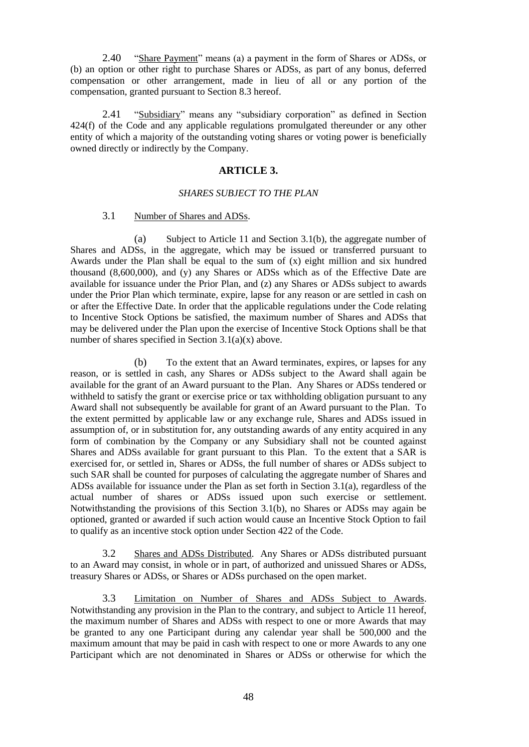2.40 "Share Payment" means (a) a payment in the form of Shares or ADSs, or (b) an option or other right to purchase Shares or ADSs, as part of any bonus, deferred compensation or other arrangement, made in lieu of all or any portion of the compensation, granted pursuant to Section 8.3 hereof.

2.41 "Subsidiary" means any "subsidiary corporation" as defined in Section 424(f) of the Code and any applicable regulations promulgated thereunder or any other entity of which a majority of the outstanding voting shares or voting power is beneficially owned directly or indirectly by the Company.

## **ARTICLE 3.**

### *SHARES SUBJECT TO THE PLAN*

### 3.1 Number of Shares and ADSs.

(a) Subject to Article 11 and Section 3.1(b), the aggregate number of Shares and ADSs, in the aggregate, which may be issued or transferred pursuant to Awards under the Plan shall be equal to the sum of  $(x)$  eight million and six hundred thousand (8,600,000), and (y) any Shares or ADSs which as of the Effective Date are available for issuance under the Prior Plan, and (z) any Shares or ADSs subject to awards under the Prior Plan which terminate, expire, lapse for any reason or are settled in cash on or after the Effective Date. In order that the applicable regulations under the Code relating to Incentive Stock Options be satisfied, the maximum number of Shares and ADSs that may be delivered under the Plan upon the exercise of Incentive Stock Options shall be that number of shares specified in Section 3.1(a)(x) above.

(b) To the extent that an Award terminates, expires, or lapses for any reason, or is settled in cash, any Shares or ADSs subject to the Award shall again be available for the grant of an Award pursuant to the Plan. Any Shares or ADSs tendered or withheld to satisfy the grant or exercise price or tax withholding obligation pursuant to any Award shall not subsequently be available for grant of an Award pursuant to the Plan. To the extent permitted by applicable law or any exchange rule, Shares and ADSs issued in assumption of, or in substitution for, any outstanding awards of any entity acquired in any form of combination by the Company or any Subsidiary shall not be counted against Shares and ADSs available for grant pursuant to this Plan. To the extent that a SAR is exercised for, or settled in, Shares or ADSs, the full number of shares or ADSs subject to such SAR shall be counted for purposes of calculating the aggregate number of Shares and ADSs available for issuance under the Plan as set forth in Section 3.1(a), regardless of the actual number of shares or ADSs issued upon such exercise or settlement. Notwithstanding the provisions of this Section 3.1(b), no Shares or ADSs may again be optioned, granted or awarded if such action would cause an Incentive Stock Option to fail to qualify as an incentive stock option under Section 422 of the Code.

3.2 Shares and ADSs Distributed. Any Shares or ADSs distributed pursuant to an Award may consist, in whole or in part, of authorized and unissued Shares or ADSs, treasury Shares or ADSs, or Shares or ADSs purchased on the open market.

3.3 Limitation on Number of Shares and ADSs Subject to Awards. Notwithstanding any provision in the Plan to the contrary, and subject to Article 11 hereof, the maximum number of Shares and ADSs with respect to one or more Awards that may be granted to any one Participant during any calendar year shall be 500,000 and the maximum amount that may be paid in cash with respect to one or more Awards to any one Participant which are not denominated in Shares or ADSs or otherwise for which the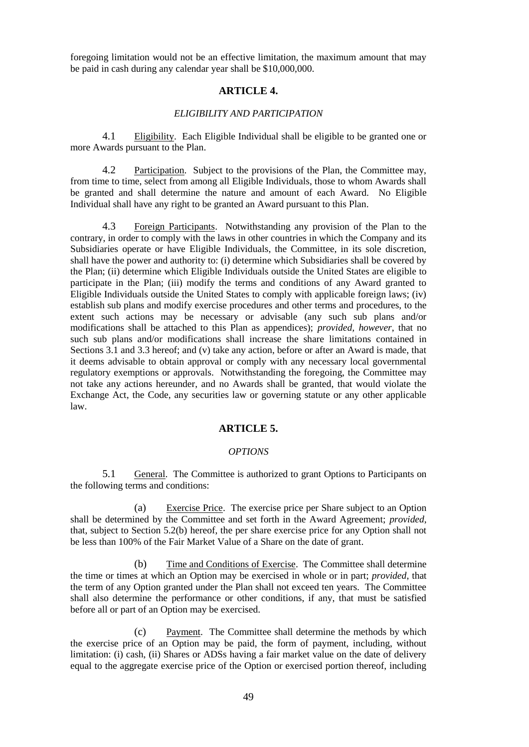foregoing limitation would not be an effective limitation, the maximum amount that may be paid in cash during any calendar year shall be \$10,000,000.

#### **ARTICLE 4.**

#### *ELIGIBILITY AND PARTICIPATION*

4.1 Eligibility. Each Eligible Individual shall be eligible to be granted one or more Awards pursuant to the Plan.

4.2 Participation. Subject to the provisions of the Plan, the Committee may, from time to time, select from among all Eligible Individuals, those to whom Awards shall be granted and shall determine the nature and amount of each Award. No Eligible Individual shall have any right to be granted an Award pursuant to this Plan.

4.3 Foreign Participants. Notwithstanding any provision of the Plan to the contrary, in order to comply with the laws in other countries in which the Company and its Subsidiaries operate or have Eligible Individuals, the Committee, in its sole discretion, shall have the power and authority to: (i) determine which Subsidiaries shall be covered by the Plan; (ii) determine which Eligible Individuals outside the United States are eligible to participate in the Plan; (iii) modify the terms and conditions of any Award granted to Eligible Individuals outside the United States to comply with applicable foreign laws; (iv) establish sub plans and modify exercise procedures and other terms and procedures, to the extent such actions may be necessary or advisable (any such sub plans and/or modifications shall be attached to this Plan as appendices); *provided, however*, that no such sub plans and/or modifications shall increase the share limitations contained in Sections 3.1 and 3.3 hereof; and (v) take any action, before or after an Award is made, that it deems advisable to obtain approval or comply with any necessary local governmental regulatory exemptions or approvals. Notwithstanding the foregoing, the Committee may not take any actions hereunder, and no Awards shall be granted, that would violate the Exchange Act, the Code, any securities law or governing statute or any other applicable law.

### **ARTICLE 5.**

#### *OPTIONS*

5.1 General. The Committee is authorized to grant Options to Participants on the following terms and conditions:

(a) Exercise Price. The exercise price per Share subject to an Option shall be determined by the Committee and set forth in the Award Agreement; *provided*, that, subject to Section 5.2(b) hereof, the per share exercise price for any Option shall not be less than 100% of the Fair Market Value of a Share on the date of grant.

(b) Time and Conditions of Exercise. The Committee shall determine the time or times at which an Option may be exercised in whole or in part; *provided*, that the term of any Option granted under the Plan shall not exceed ten years. The Committee shall also determine the performance or other conditions, if any, that must be satisfied before all or part of an Option may be exercised.

(c) Payment. The Committee shall determine the methods by which the exercise price of an Option may be paid, the form of payment, including, without limitation: (i) cash, (ii) Shares or ADSs having a fair market value on the date of delivery equal to the aggregate exercise price of the Option or exercised portion thereof, including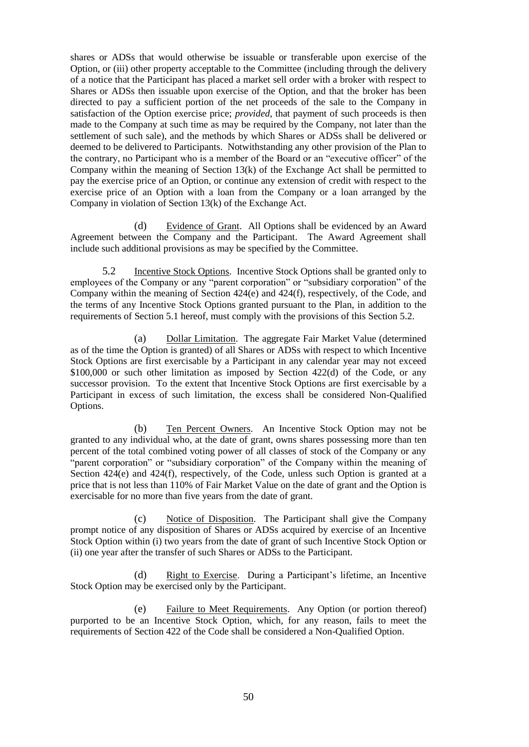shares or ADSs that would otherwise be issuable or transferable upon exercise of the Option, or (iii) other property acceptable to the Committee (including through the delivery of a notice that the Participant has placed a market sell order with a broker with respect to Shares or ADSs then issuable upon exercise of the Option, and that the broker has been directed to pay a sufficient portion of the net proceeds of the sale to the Company in satisfaction of the Option exercise price; *provided*, that payment of such proceeds is then made to the Company at such time as may be required by the Company, not later than the settlement of such sale), and the methods by which Shares or ADSs shall be delivered or deemed to be delivered to Participants. Notwithstanding any other provision of the Plan to the contrary, no Participant who is a member of the Board or an "executive officer" of the Company within the meaning of Section 13(k) of the Exchange Act shall be permitted to pay the exercise price of an Option, or continue any extension of credit with respect to the exercise price of an Option with a loan from the Company or a loan arranged by the Company in violation of Section 13(k) of the Exchange Act.

(d) Evidence of Grant. All Options shall be evidenced by an Award Agreement between the Company and the Participant. The Award Agreement shall include such additional provisions as may be specified by the Committee.

5.2 Incentive Stock Options. Incentive Stock Options shall be granted only to employees of the Company or any "parent corporation" or "subsidiary corporation" of the Company within the meaning of Section 424(e) and 424(f), respectively, of the Code, and the terms of any Incentive Stock Options granted pursuant to the Plan, in addition to the requirements of Section 5.1 hereof, must comply with the provisions of this Section 5.2.

(a) Dollar Limitation. The aggregate Fair Market Value (determined as of the time the Option is granted) of all Shares or ADSs with respect to which Incentive Stock Options are first exercisable by a Participant in any calendar year may not exceed \$100,000 or such other limitation as imposed by Section 422(d) of the Code, or any successor provision. To the extent that Incentive Stock Options are first exercisable by a Participant in excess of such limitation, the excess shall be considered Non-Qualified Options.

(b) Ten Percent Owners. An Incentive Stock Option may not be granted to any individual who, at the date of grant, owns shares possessing more than ten percent of the total combined voting power of all classes of stock of the Company or any "parent corporation" or "subsidiary corporation" of the Company within the meaning of Section 424(e) and 424(f), respectively, of the Code, unless such Option is granted at a price that is not less than 110% of Fair Market Value on the date of grant and the Option is exercisable for no more than five years from the date of grant.

(c) Notice of Disposition. The Participant shall give the Company prompt notice of any disposition of Shares or ADSs acquired by exercise of an Incentive Stock Option within (i) two years from the date of grant of such Incentive Stock Option or (ii) one year after the transfer of such Shares or ADSs to the Participant.

(d) Right to Exercise. During a Participant's lifetime, an Incentive Stock Option may be exercised only by the Participant.

(e) Failure to Meet Requirements. Any Option (or portion thereof) purported to be an Incentive Stock Option, which, for any reason, fails to meet the requirements of Section 422 of the Code shall be considered a Non-Qualified Option.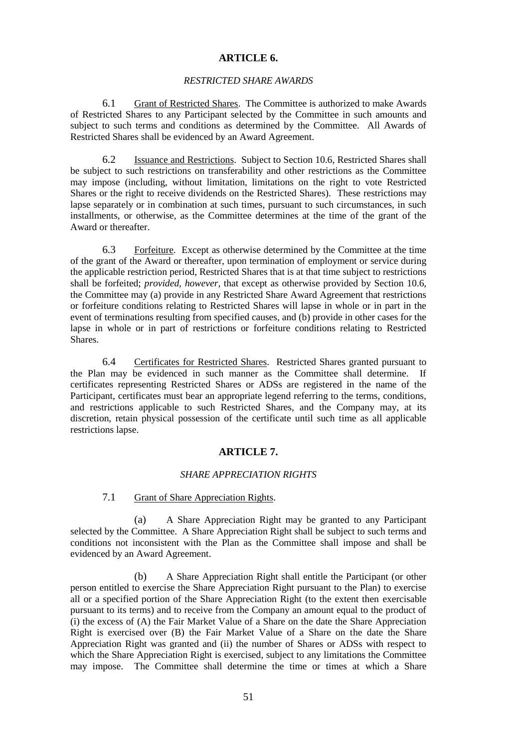# **ARTICLE 6.**

#### *RESTRICTED SHARE AWARDS*

6.1 Grant of Restricted Shares. The Committee is authorized to make Awards of Restricted Shares to any Participant selected by the Committee in such amounts and subject to such terms and conditions as determined by the Committee. All Awards of Restricted Shares shall be evidenced by an Award Agreement.

6.2 Issuance and Restrictions. Subject to Section 10.6, Restricted Shares shall be subject to such restrictions on transferability and other restrictions as the Committee may impose (including, without limitation, limitations on the right to vote Restricted Shares or the right to receive dividends on the Restricted Shares). These restrictions may lapse separately or in combination at such times, pursuant to such circumstances, in such installments, or otherwise, as the Committee determines at the time of the grant of the Award or thereafter.

6.3 Forfeiture. Except as otherwise determined by the Committee at the time of the grant of the Award or thereafter, upon termination of employment or service during the applicable restriction period, Restricted Shares that is at that time subject to restrictions shall be forfeited; *provided, however*, that except as otherwise provided by Section 10.6, the Committee may (a) provide in any Restricted Share Award Agreement that restrictions or forfeiture conditions relating to Restricted Shares will lapse in whole or in part in the event of terminations resulting from specified causes, and (b) provide in other cases for the lapse in whole or in part of restrictions or forfeiture conditions relating to Restricted Shares.

6.4 Certificates for Restricted Shares. Restricted Shares granted pursuant to the Plan may be evidenced in such manner as the Committee shall determine. If certificates representing Restricted Shares or ADSs are registered in the name of the Participant, certificates must bear an appropriate legend referring to the terms, conditions, and restrictions applicable to such Restricted Shares, and the Company may, at its discretion, retain physical possession of the certificate until such time as all applicable restrictions lapse.

# **ARTICLE 7.**

#### *SHARE APPRECIATION RIGHTS*

# 7.1 Grant of Share Appreciation Rights.

(a) A Share Appreciation Right may be granted to any Participant selected by the Committee. A Share Appreciation Right shall be subject to such terms and conditions not inconsistent with the Plan as the Committee shall impose and shall be evidenced by an Award Agreement.

(b) A Share Appreciation Right shall entitle the Participant (or other person entitled to exercise the Share Appreciation Right pursuant to the Plan) to exercise all or a specified portion of the Share Appreciation Right (to the extent then exercisable pursuant to its terms) and to receive from the Company an amount equal to the product of (i) the excess of (A) the Fair Market Value of a Share on the date the Share Appreciation Right is exercised over (B) the Fair Market Value of a Share on the date the Share Appreciation Right was granted and (ii) the number of Shares or ADSs with respect to which the Share Appreciation Right is exercised, subject to any limitations the Committee may impose. The Committee shall determine the time or times at which a Share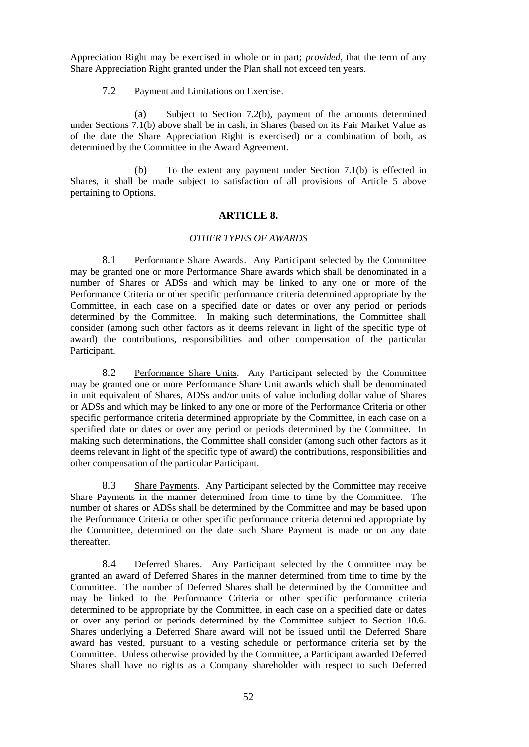Appreciation Right may be exercised in whole or in part; *provided*, that the term of any Share Appreciation Right granted under the Plan shall not exceed ten years.

### 7.2 Payment and Limitations on Exercise.

(a) Subject to Section 7.2(b), payment of the amounts determined under Sections 7.1(b) above shall be in cash, in Shares (based on its Fair Market Value as of the date the Share Appreciation Right is exercised) or a combination of both, as determined by the Committee in the Award Agreement.

(b) To the extent any payment under Section 7.1(b) is effected in Shares, it shall be made subject to satisfaction of all provisions of Article 5 above pertaining to Options.

### **ARTICLE 8.**

### *OTHER TYPES OF AWARDS*

8.1 Performance Share Awards. Any Participant selected by the Committee may be granted one or more Performance Share awards which shall be denominated in a number of Shares or ADSs and which may be linked to any one or more of the Performance Criteria or other specific performance criteria determined appropriate by the Committee, in each case on a specified date or dates or over any period or periods determined by the Committee. In making such determinations, the Committee shall consider (among such other factors as it deems relevant in light of the specific type of award) the contributions, responsibilities and other compensation of the particular Participant.

8.2 Performance Share Units. Any Participant selected by the Committee may be granted one or more Performance Share Unit awards which shall be denominated in unit equivalent of Shares, ADSs and/or units of value including dollar value of Shares or ADSs and which may be linked to any one or more of the Performance Criteria or other specific performance criteria determined appropriate by the Committee, in each case on a specified date or dates or over any period or periods determined by the Committee. In making such determinations, the Committee shall consider (among such other factors as it deems relevant in light of the specific type of award) the contributions, responsibilities and other compensation of the particular Participant.

8.3 Share Payments. Any Participant selected by the Committee may receive Share Payments in the manner determined from time to time by the Committee. The number of shares or ADSs shall be determined by the Committee and may be based upon the Performance Criteria or other specific performance criteria determined appropriate by the Committee, determined on the date such Share Payment is made or on any date thereafter.

8.4 Deferred Shares. Any Participant selected by the Committee may be granted an award of Deferred Shares in the manner determined from time to time by the Committee. The number of Deferred Shares shall be determined by the Committee and may be linked to the Performance Criteria or other specific performance criteria determined to be appropriate by the Committee, in each case on a specified date or dates or over any period or periods determined by the Committee subject to Section 10.6. Shares underlying a Deferred Share award will not be issued until the Deferred Share award has vested, pursuant to a vesting schedule or performance criteria set by the Committee. Unless otherwise provided by the Committee, a Participant awarded Deferred Shares shall have no rights as a Company shareholder with respect to such Deferred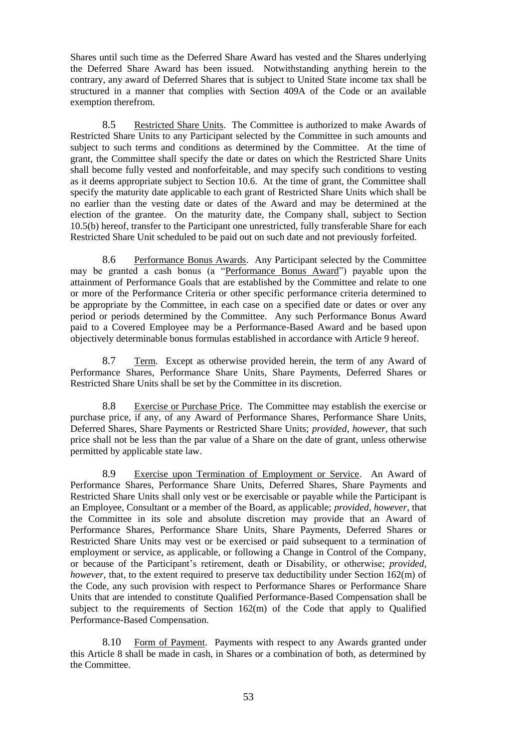Shares until such time as the Deferred Share Award has vested and the Shares underlying the Deferred Share Award has been issued. Notwithstanding anything herein to the contrary, any award of Deferred Shares that is subject to United State income tax shall be structured in a manner that complies with Section 409A of the Code or an available exemption therefrom.

8.5 Restricted Share Units. The Committee is authorized to make Awards of Restricted Share Units to any Participant selected by the Committee in such amounts and subject to such terms and conditions as determined by the Committee. At the time of grant, the Committee shall specify the date or dates on which the Restricted Share Units shall become fully vested and nonforfeitable, and may specify such conditions to vesting as it deems appropriate subject to Section 10.6. At the time of grant, the Committee shall specify the maturity date applicable to each grant of Restricted Share Units which shall be no earlier than the vesting date or dates of the Award and may be determined at the election of the grantee. On the maturity date, the Company shall, subject to Section 10.5(b) hereof, transfer to the Participant one unrestricted, fully transferable Share for each Restricted Share Unit scheduled to be paid out on such date and not previously forfeited.

8.6 Performance Bonus Awards. Any Participant selected by the Committee may be granted a cash bonus (a "Performance Bonus Award") payable upon the attainment of Performance Goals that are established by the Committee and relate to one or more of the Performance Criteria or other specific performance criteria determined to be appropriate by the Committee, in each case on a specified date or dates or over any period or periods determined by the Committee. Any such Performance Bonus Award paid to a Covered Employee may be a Performance-Based Award and be based upon objectively determinable bonus formulas established in accordance with Article 9 hereof.

8.7 Term. Except as otherwise provided herein, the term of any Award of Performance Shares, Performance Share Units, Share Payments, Deferred Shares or Restricted Share Units shall be set by the Committee in its discretion.

8.8 Exercise or Purchase Price. The Committee may establish the exercise or purchase price, if any, of any Award of Performance Shares, Performance Share Units, Deferred Shares, Share Payments or Restricted Share Units; *provided, however*, that such price shall not be less than the par value of a Share on the date of grant, unless otherwise permitted by applicable state law.

8.9 Exercise upon Termination of Employment or Service. An Award of Performance Shares, Performance Share Units, Deferred Shares, Share Payments and Restricted Share Units shall only vest or be exercisable or payable while the Participant is an Employee, Consultant or a member of the Board, as applicable; *provided, however*, that the Committee in its sole and absolute discretion may provide that an Award of Performance Shares, Performance Share Units, Share Payments, Deferred Shares or Restricted Share Units may vest or be exercised or paid subsequent to a termination of employment or service, as applicable, or following a Change in Control of the Company, or because of the Participant's retirement, death or Disability, or otherwise; *provided, however*, that, to the extent required to preserve tax deductibility under Section 162(m) of the Code, any such provision with respect to Performance Shares or Performance Share Units that are intended to constitute Qualified Performance-Based Compensation shall be subject to the requirements of Section  $162(m)$  of the Code that apply to Qualified Performance-Based Compensation.

8.10 Form of Payment. Payments with respect to any Awards granted under this Article 8 shall be made in cash, in Shares or a combination of both, as determined by the Committee.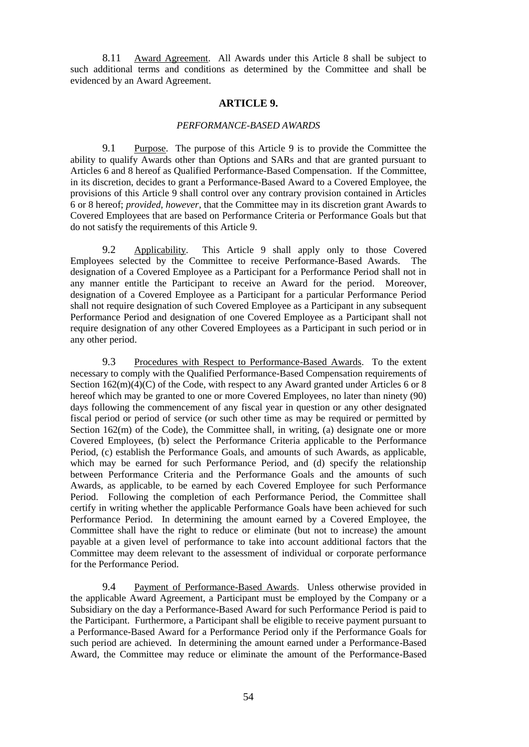8.11 Award Agreement. All Awards under this Article 8 shall be subject to such additional terms and conditions as determined by the Committee and shall be evidenced by an Award Agreement.

# **ARTICLE 9.**

#### *PERFORMANCE-BASED AWARDS*

9.1 Purpose. The purpose of this Article 9 is to provide the Committee the ability to qualify Awards other than Options and SARs and that are granted pursuant to Articles 6 and 8 hereof as Qualified Performance-Based Compensation. If the Committee, in its discretion, decides to grant a Performance-Based Award to a Covered Employee, the provisions of this Article 9 shall control over any contrary provision contained in Articles 6 or 8 hereof; *provided, however*, that the Committee may in its discretion grant Awards to Covered Employees that are based on Performance Criteria or Performance Goals but that do not satisfy the requirements of this Article 9.

9.2 Applicability. This Article 9 shall apply only to those Covered Employees selected by the Committee to receive Performance-Based Awards. The designation of a Covered Employee as a Participant for a Performance Period shall not in any manner entitle the Participant to receive an Award for the period. Moreover, designation of a Covered Employee as a Participant for a particular Performance Period shall not require designation of such Covered Employee as a Participant in any subsequent Performance Period and designation of one Covered Employee as a Participant shall not require designation of any other Covered Employees as a Participant in such period or in any other period.

9.3 Procedures with Respect to Performance-Based Awards. To the extent necessary to comply with the Qualified Performance-Based Compensation requirements of Section  $162(m)(4)(C)$  of the Code, with respect to any Award granted under Articles 6 or 8 hereof which may be granted to one or more Covered Employees, no later than ninety (90) days following the commencement of any fiscal year in question or any other designated fiscal period or period of service (or such other time as may be required or permitted by Section  $162(m)$  of the Code), the Committee shall, in writing, (a) designate one or more Covered Employees, (b) select the Performance Criteria applicable to the Performance Period, (c) establish the Performance Goals, and amounts of such Awards, as applicable, which may be earned for such Performance Period, and (d) specify the relationship between Performance Criteria and the Performance Goals and the amounts of such Awards, as applicable, to be earned by each Covered Employee for such Performance Period. Following the completion of each Performance Period, the Committee shall certify in writing whether the applicable Performance Goals have been achieved for such Performance Period. In determining the amount earned by a Covered Employee, the Committee shall have the right to reduce or eliminate (but not to increase) the amount payable at a given level of performance to take into account additional factors that the Committee may deem relevant to the assessment of individual or corporate performance for the Performance Period.

9.4 Payment of Performance-Based Awards. Unless otherwise provided in the applicable Award Agreement, a Participant must be employed by the Company or a Subsidiary on the day a Performance-Based Award for such Performance Period is paid to the Participant. Furthermore, a Participant shall be eligible to receive payment pursuant to a Performance-Based Award for a Performance Period only if the Performance Goals for such period are achieved. In determining the amount earned under a Performance-Based Award, the Committee may reduce or eliminate the amount of the Performance-Based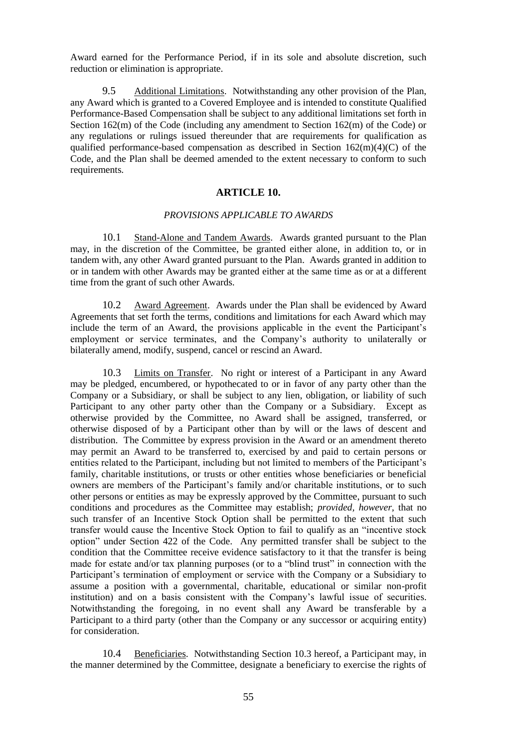Award earned for the Performance Period, if in its sole and absolute discretion, such reduction or elimination is appropriate.

9.5 Additional Limitations. Notwithstanding any other provision of the Plan, any Award which is granted to a Covered Employee and is intended to constitute Qualified Performance-Based Compensation shall be subject to any additional limitations set forth in Section 162(m) of the Code (including any amendment to Section 162(m) of the Code) or any regulations or rulings issued thereunder that are requirements for qualification as qualified performance-based compensation as described in Section  $162(m)(4)(C)$  of the Code, and the Plan shall be deemed amended to the extent necessary to conform to such requirements.

# **ARTICLE 10.**

#### *PROVISIONS APPLICABLE TO AWARDS*

10.1 Stand-Alone and Tandem Awards. Awards granted pursuant to the Plan may, in the discretion of the Committee, be granted either alone, in addition to, or in tandem with, any other Award granted pursuant to the Plan. Awards granted in addition to or in tandem with other Awards may be granted either at the same time as or at a different time from the grant of such other Awards.

10.2 Award Agreement. Awards under the Plan shall be evidenced by Award Agreements that set forth the terms, conditions and limitations for each Award which may include the term of an Award, the provisions applicable in the event the Participant's employment or service terminates, and the Company's authority to unilaterally or bilaterally amend, modify, suspend, cancel or rescind an Award.

10.3 Limits on Transfer. No right or interest of a Participant in any Award may be pledged, encumbered, or hypothecated to or in favor of any party other than the Company or a Subsidiary, or shall be subject to any lien, obligation, or liability of such Participant to any other party other than the Company or a Subsidiary. Except as otherwise provided by the Committee, no Award shall be assigned, transferred, or otherwise disposed of by a Participant other than by will or the laws of descent and distribution. The Committee by express provision in the Award or an amendment thereto may permit an Award to be transferred to, exercised by and paid to certain persons or entities related to the Participant, including but not limited to members of the Participant's family, charitable institutions, or trusts or other entities whose beneficiaries or beneficial owners are members of the Participant's family and/or charitable institutions, or to such other persons or entities as may be expressly approved by the Committee, pursuant to such conditions and procedures as the Committee may establish; *provided, however,* that no such transfer of an Incentive Stock Option shall be permitted to the extent that such transfer would cause the Incentive Stock Option to fail to qualify as an "incentive stock option" under Section 422 of the Code. Any permitted transfer shall be subject to the condition that the Committee receive evidence satisfactory to it that the transfer is being made for estate and/or tax planning purposes (or to a "blind trust" in connection with the Participant's termination of employment or service with the Company or a Subsidiary to assume a position with a governmental, charitable, educational or similar non-profit institution) and on a basis consistent with the Company's lawful issue of securities. Notwithstanding the foregoing, in no event shall any Award be transferable by a Participant to a third party (other than the Company or any successor or acquiring entity) for consideration.

10.4 Beneficiaries. Notwithstanding Section 10.3 hereof, a Participant may, in the manner determined by the Committee, designate a beneficiary to exercise the rights of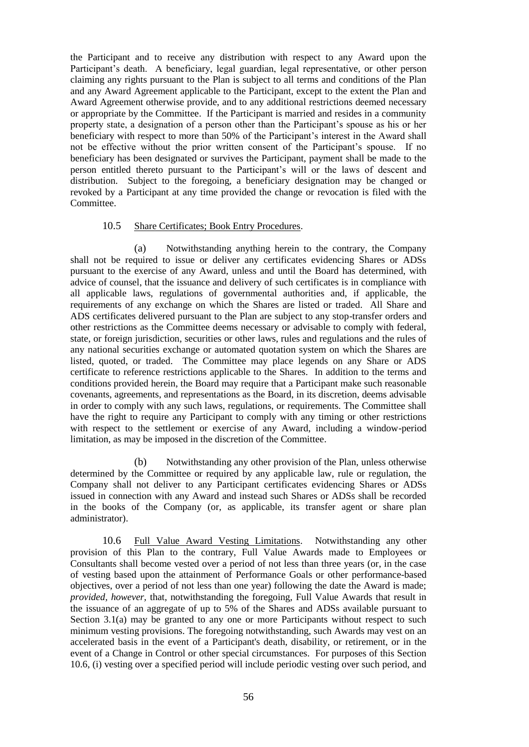the Participant and to receive any distribution with respect to any Award upon the Participant's death. A beneficiary, legal guardian, legal representative, or other person claiming any rights pursuant to the Plan is subject to all terms and conditions of the Plan and any Award Agreement applicable to the Participant, except to the extent the Plan and Award Agreement otherwise provide, and to any additional restrictions deemed necessary or appropriate by the Committee. If the Participant is married and resides in a community property state, a designation of a person other than the Participant's spouse as his or her beneficiary with respect to more than 50% of the Participant's interest in the Award shall not be effective without the prior written consent of the Participant's spouse. If no beneficiary has been designated or survives the Participant, payment shall be made to the person entitled thereto pursuant to the Participant's will or the laws of descent and distribution. Subject to the foregoing, a beneficiary designation may be changed or revoked by a Participant at any time provided the change or revocation is filed with the Committee.

### 10.5 Share Certificates; Book Entry Procedures.

(a) Notwithstanding anything herein to the contrary, the Company shall not be required to issue or deliver any certificates evidencing Shares or ADSs pursuant to the exercise of any Award, unless and until the Board has determined, with advice of counsel, that the issuance and delivery of such certificates is in compliance with all applicable laws, regulations of governmental authorities and, if applicable, the requirements of any exchange on which the Shares are listed or traded. All Share and ADS certificates delivered pursuant to the Plan are subject to any stop-transfer orders and other restrictions as the Committee deems necessary or advisable to comply with federal, state, or foreign jurisdiction, securities or other laws, rules and regulations and the rules of any national securities exchange or automated quotation system on which the Shares are listed, quoted, or traded. The Committee may place legends on any Share or ADS certificate to reference restrictions applicable to the Shares. In addition to the terms and conditions provided herein, the Board may require that a Participant make such reasonable covenants, agreements, and representations as the Board, in its discretion, deems advisable in order to comply with any such laws, regulations, or requirements. The Committee shall have the right to require any Participant to comply with any timing or other restrictions with respect to the settlement or exercise of any Award, including a window-period limitation, as may be imposed in the discretion of the Committee.

(b) Notwithstanding any other provision of the Plan, unless otherwise determined by the Committee or required by any applicable law, rule or regulation, the Company shall not deliver to any Participant certificates evidencing Shares or ADSs issued in connection with any Award and instead such Shares or ADSs shall be recorded in the books of the Company (or, as applicable, its transfer agent or share plan administrator).

10.6 Full Value Award Vesting Limitations. Notwithstanding any other provision of this Plan to the contrary, Full Value Awards made to Employees or Consultants shall become vested over a period of not less than three years (or, in the case of vesting based upon the attainment of Performance Goals or other performance-based objectives, over a period of not less than one year) following the date the Award is made; *provided, however,* that, notwithstanding the foregoing, Full Value Awards that result in the issuance of an aggregate of up to 5% of the Shares and ADSs available pursuant to Section 3.1(a) may be granted to any one or more Participants without respect to such minimum vesting provisions. The foregoing notwithstanding, such Awards may vest on an accelerated basis in the event of a Participant's death, disability, or retirement, or in the event of a Change in Control or other special circumstances. For purposes of this Section 10.6, (i) vesting over a specified period will include periodic vesting over such period, and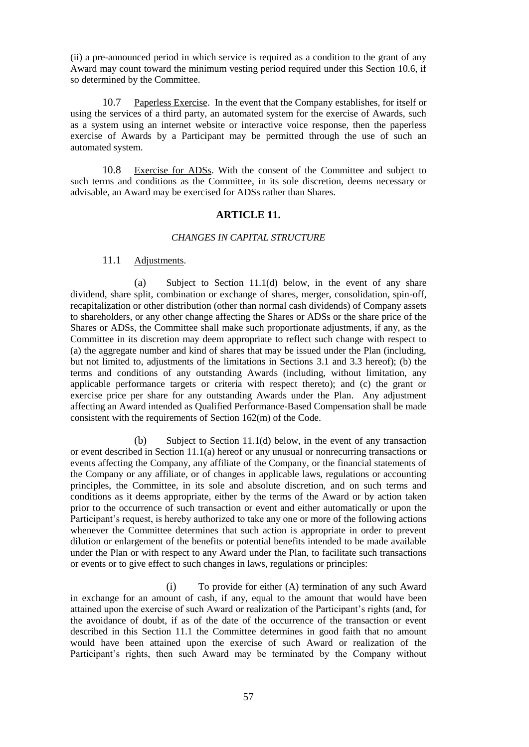(ii) a pre-announced period in which service is required as a condition to the grant of any Award may count toward the minimum vesting period required under this Section 10.6, if so determined by the Committee.

10.7 Paperless Exercise. In the event that the Company establishes, for itself or using the services of a third party, an automated system for the exercise of Awards, such as a system using an internet website or interactive voice response, then the paperless exercise of Awards by a Participant may be permitted through the use of such an automated system.

10.8 Exercise for ADSs. With the consent of the Committee and subject to such terms and conditions as the Committee, in its sole discretion, deems necessary or advisable, an Award may be exercised for ADSs rather than Shares.

# **ARTICLE 11.**

### *CHANGES IN CAPITAL STRUCTURE*

#### 11.1 Adjustments.

(a) Subject to Section 11.1(d) below, in the event of any share dividend, share split, combination or exchange of shares, merger, consolidation, spin-off, recapitalization or other distribution (other than normal cash dividends) of Company assets to shareholders, or any other change affecting the Shares or ADSs or the share price of the Shares or ADSs, the Committee shall make such proportionate adjustments, if any, as the Committee in its discretion may deem appropriate to reflect such change with respect to (a) the aggregate number and kind of shares that may be issued under the Plan (including, but not limited to, adjustments of the limitations in Sections 3.1 and 3.3 hereof); (b) the terms and conditions of any outstanding Awards (including, without limitation, any applicable performance targets or criteria with respect thereto); and (c) the grant or exercise price per share for any outstanding Awards under the Plan. Any adjustment affecting an Award intended as Qualified Performance-Based Compensation shall be made consistent with the requirements of Section 162(m) of the Code.

(b) Subject to Section 11.1(d) below, in the event of any transaction or event described in Section 11.1(a) hereof or any unusual or nonrecurring transactions or events affecting the Company, any affiliate of the Company, or the financial statements of the Company or any affiliate, or of changes in applicable laws, regulations or accounting principles, the Committee, in its sole and absolute discretion, and on such terms and conditions as it deems appropriate, either by the terms of the Award or by action taken prior to the occurrence of such transaction or event and either automatically or upon the Participant's request, is hereby authorized to take any one or more of the following actions whenever the Committee determines that such action is appropriate in order to prevent dilution or enlargement of the benefits or potential benefits intended to be made available under the Plan or with respect to any Award under the Plan, to facilitate such transactions or events or to give effect to such changes in laws, regulations or principles:

(i) To provide for either (A) termination of any such Award in exchange for an amount of cash, if any, equal to the amount that would have been attained upon the exercise of such Award or realization of the Participant's rights (and, for the avoidance of doubt, if as of the date of the occurrence of the transaction or event described in this Section 11.1 the Committee determines in good faith that no amount would have been attained upon the exercise of such Award or realization of the Participant's rights, then such Award may be terminated by the Company without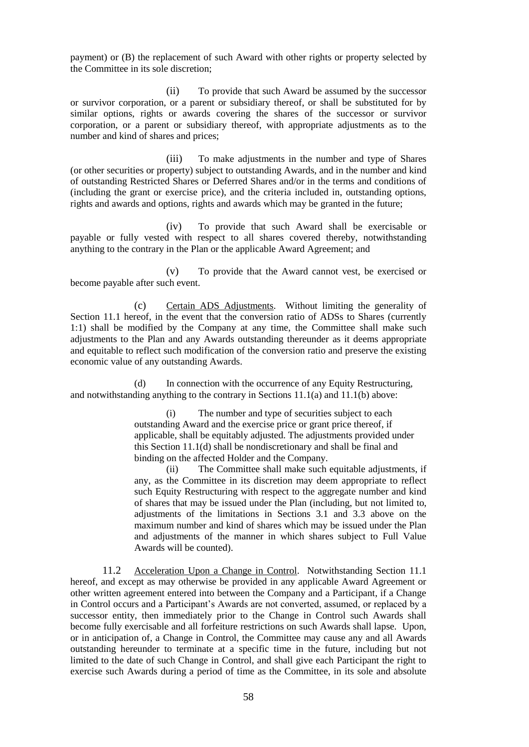payment) or (B) the replacement of such Award with other rights or property selected by the Committee in its sole discretion;

(ii) To provide that such Award be assumed by the successor or survivor corporation, or a parent or subsidiary thereof, or shall be substituted for by similar options, rights or awards covering the shares of the successor or survivor corporation, or a parent or subsidiary thereof, with appropriate adjustments as to the number and kind of shares and prices;

(iii) To make adjustments in the number and type of Shares (or other securities or property) subject to outstanding Awards, and in the number and kind of outstanding Restricted Shares or Deferred Shares and/or in the terms and conditions of (including the grant or exercise price), and the criteria included in, outstanding options, rights and awards and options, rights and awards which may be granted in the future;

(iv) To provide that such Award shall be exercisable or payable or fully vested with respect to all shares covered thereby, notwithstanding anything to the contrary in the Plan or the applicable Award Agreement; and

(v) To provide that the Award cannot vest, be exercised or become payable after such event.

(c) Certain ADS Adjustments. Without limiting the generality of Section 11.1 hereof, in the event that the conversion ratio of ADSs to Shares (currently 1:1) shall be modified by the Company at any time, the Committee shall make such adjustments to the Plan and any Awards outstanding thereunder as it deems appropriate and equitable to reflect such modification of the conversion ratio and preserve the existing economic value of any outstanding Awards.

(d) In connection with the occurrence of any Equity Restructuring, and notwithstanding anything to the contrary in Sections 11.1(a) and 11.1(b) above:

> (i) The number and type of securities subject to each outstanding Award and the exercise price or grant price thereof, if applicable, shall be equitably adjusted. The adjustments provided under this Section 11.1(d) shall be nondiscretionary and shall be final and binding on the affected Holder and the Company.

(ii) The Committee shall make such equitable adjustments, if any, as the Committee in its discretion may deem appropriate to reflect such Equity Restructuring with respect to the aggregate number and kind of shares that may be issued under the Plan (including, but not limited to, adjustments of the limitations in Sections 3.1 and 3.3 above on the maximum number and kind of shares which may be issued under the Plan and adjustments of the manner in which shares subject to Full Value Awards will be counted).

11.2 Acceleration Upon a Change in Control. Notwithstanding Section 11.1 hereof, and except as may otherwise be provided in any applicable Award Agreement or other written agreement entered into between the Company and a Participant, if a Change in Control occurs and a Participant's Awards are not converted, assumed, or replaced by a successor entity, then immediately prior to the Change in Control such Awards shall become fully exercisable and all forfeiture restrictions on such Awards shall lapse. Upon, or in anticipation of, a Change in Control, the Committee may cause any and all Awards outstanding hereunder to terminate at a specific time in the future, including but not limited to the date of such Change in Control, and shall give each Participant the right to exercise such Awards during a period of time as the Committee, in its sole and absolute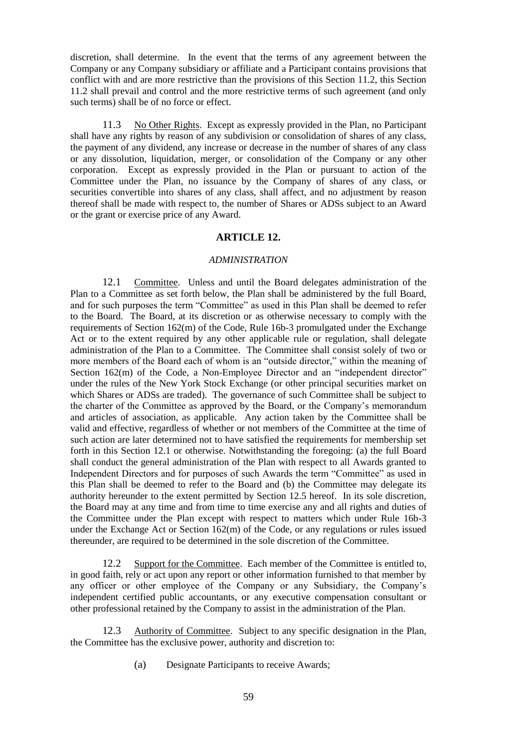discretion, shall determine. In the event that the terms of any agreement between the Company or any Company subsidiary or affiliate and a Participant contains provisions that conflict with and are more restrictive than the provisions of this Section 11.2, this Section 11.2 shall prevail and control and the more restrictive terms of such agreement (and only such terms) shall be of no force or effect.

11.3 No Other Rights. Except as expressly provided in the Plan, no Participant shall have any rights by reason of any subdivision or consolidation of shares of any class, the payment of any dividend, any increase or decrease in the number of shares of any class or any dissolution, liquidation, merger, or consolidation of the Company or any other corporation. Except as expressly provided in the Plan or pursuant to action of the Committee under the Plan, no issuance by the Company of shares of any class, or securities convertible into shares of any class, shall affect, and no adjustment by reason thereof shall be made with respect to, the number of Shares or ADSs subject to an Award or the grant or exercise price of any Award.

# **ARTICLE 12.**

### *ADMINISTRATION*

12.1 Committee. Unless and until the Board delegates administration of the Plan to a Committee as set forth below, the Plan shall be administered by the full Board, and for such purposes the term "Committee" as used in this Plan shall be deemed to refer to the Board. The Board, at its discretion or as otherwise necessary to comply with the requirements of Section 162(m) of the Code, Rule 16b-3 promulgated under the Exchange Act or to the extent required by any other applicable rule or regulation, shall delegate administration of the Plan to a Committee. The Committee shall consist solely of two or more members of the Board each of whom is an "outside director," within the meaning of Section 162(m) of the Code, a Non-Employee Director and an "independent director" under the rules of the New York Stock Exchange (or other principal securities market on which Shares or ADSs are traded). The governance of such Committee shall be subject to the charter of the Committee as approved by the Board, or the Company's memorandum and articles of association, as applicable. Any action taken by the Committee shall be valid and effective, regardless of whether or not members of the Committee at the time of such action are later determined not to have satisfied the requirements for membership set forth in this Section 12.1 or otherwise. Notwithstanding the foregoing: (a) the full Board shall conduct the general administration of the Plan with respect to all Awards granted to Independent Directors and for purposes of such Awards the term "Committee" as used in this Plan shall be deemed to refer to the Board and (b) the Committee may delegate its authority hereunder to the extent permitted by Section 12.5 hereof. In its sole discretion, the Board may at any time and from time to time exercise any and all rights and duties of the Committee under the Plan except with respect to matters which under Rule 16b-3 under the Exchange Act or Section 162(m) of the Code, or any regulations or rules issued thereunder, are required to be determined in the sole discretion of the Committee.

12.2 Support for the Committee. Each member of the Committee is entitled to, in good faith, rely or act upon any report or other information furnished to that member by any officer or other employee of the Company or any Subsidiary, the Company's independent certified public accountants, or any executive compensation consultant or other professional retained by the Company to assist in the administration of the Plan.

12.3 Authority of Committee. Subject to any specific designation in the Plan, the Committee has the exclusive power, authority and discretion to:

(a) Designate Participants to receive Awards;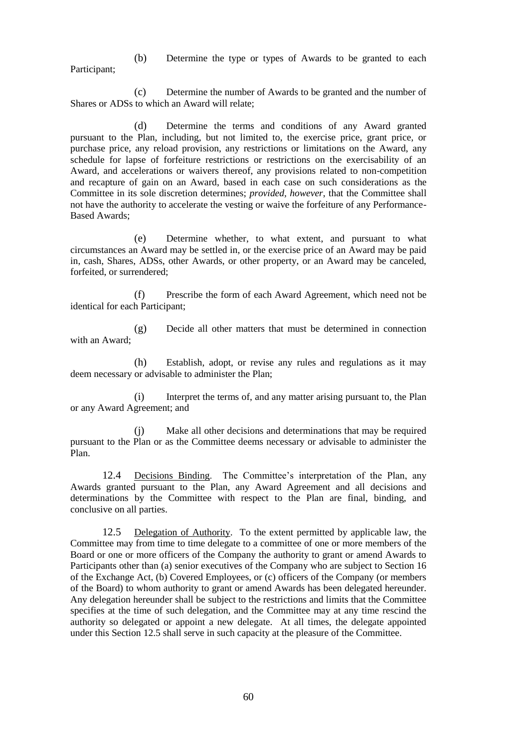(b) Determine the type or types of Awards to be granted to each Participant;

(c) Determine the number of Awards to be granted and the number of Shares or ADSs to which an Award will relate;

(d) Determine the terms and conditions of any Award granted pursuant to the Plan, including, but not limited to, the exercise price, grant price, or purchase price, any reload provision, any restrictions or limitations on the Award, any schedule for lapse of forfeiture restrictions or restrictions on the exercisability of an Award, and accelerations or waivers thereof, any provisions related to non-competition and recapture of gain on an Award, based in each case on such considerations as the Committee in its sole discretion determines; *provided, however*, that the Committee shall not have the authority to accelerate the vesting or waive the forfeiture of any Performance-Based Awards;

(e) Determine whether, to what extent, and pursuant to what circumstances an Award may be settled in, or the exercise price of an Award may be paid in, cash, Shares, ADSs, other Awards, or other property, or an Award may be canceled, forfeited, or surrendered;

(f) Prescribe the form of each Award Agreement, which need not be identical for each Participant;

(g) Decide all other matters that must be determined in connection with an Award;

(h) Establish, adopt, or revise any rules and regulations as it may deem necessary or advisable to administer the Plan;

(i) Interpret the terms of, and any matter arising pursuant to, the Plan or any Award Agreement; and

(j) Make all other decisions and determinations that may be required pursuant to the Plan or as the Committee deems necessary or advisable to administer the Plan.

12.4 Decisions Binding. The Committee's interpretation of the Plan, any Awards granted pursuant to the Plan, any Award Agreement and all decisions and determinations by the Committee with respect to the Plan are final, binding, and conclusive on all parties.

12.5 Delegation of Authority. To the extent permitted by applicable law, the Committee may from time to time delegate to a committee of one or more members of the Board or one or more officers of the Company the authority to grant or amend Awards to Participants other than (a) senior executives of the Company who are subject to Section 16 of the Exchange Act, (b) Covered Employees, or (c) officers of the Company (or members of the Board) to whom authority to grant or amend Awards has been delegated hereunder. Any delegation hereunder shall be subject to the restrictions and limits that the Committee specifies at the time of such delegation, and the Committee may at any time rescind the authority so delegated or appoint a new delegate. At all times, the delegate appointed under this Section 12.5 shall serve in such capacity at the pleasure of the Committee.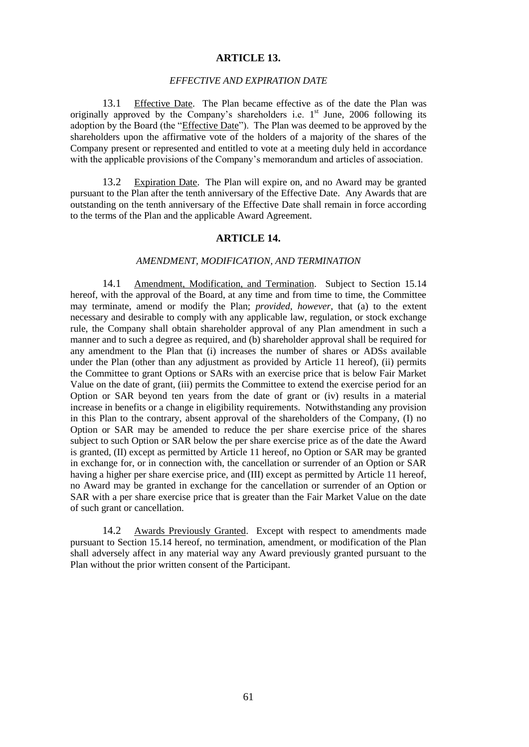#### **ARTICLE 13.**

#### *EFFECTIVE AND EXPIRATION DATE*

13.1 Effective Date. The Plan became effective as of the date the Plan was originally approved by the Company's shareholders i.e.  $1<sup>st</sup>$  June, 2006 following its adoption by the Board (the "*Effective Date*"). The Plan was deemed to be approved by the shareholders upon the affirmative vote of the holders of a majority of the shares of the Company present or represented and entitled to vote at a meeting duly held in accordance with the applicable provisions of the Company's memorandum and articles of association.

13.2 Expiration Date. The Plan will expire on, and no Award may be granted pursuant to the Plan after the tenth anniversary of the Effective Date. Any Awards that are outstanding on the tenth anniversary of the Effective Date shall remain in force according to the terms of the Plan and the applicable Award Agreement.

# **ARTICLE 14.**

# *AMENDMENT, MODIFICATION, AND TERMINATION*

14.1 Amendment, Modification, and Termination. Subject to Section 15.14 hereof, with the approval of the Board, at any time and from time to time, the Committee may terminate, amend or modify the Plan; *provided, however*, that (a) to the extent necessary and desirable to comply with any applicable law, regulation, or stock exchange rule, the Company shall obtain shareholder approval of any Plan amendment in such a manner and to such a degree as required, and (b) shareholder approval shall be required for any amendment to the Plan that (i) increases the number of shares or ADSs available under the Plan (other than any adjustment as provided by Article 11 hereof), (ii) permits the Committee to grant Options or SARs with an exercise price that is below Fair Market Value on the date of grant, (iii) permits the Committee to extend the exercise period for an Option or SAR beyond ten years from the date of grant or (iv) results in a material increase in benefits or a change in eligibility requirements. Notwithstanding any provision in this Plan to the contrary, absent approval of the shareholders of the Company, (I) no Option or SAR may be amended to reduce the per share exercise price of the shares subject to such Option or SAR below the per share exercise price as of the date the Award is granted, (II) except as permitted by Article 11 hereof, no Option or SAR may be granted in exchange for, or in connection with, the cancellation or surrender of an Option or SAR having a higher per share exercise price, and (III) except as permitted by Article 11 hereof, no Award may be granted in exchange for the cancellation or surrender of an Option or SAR with a per share exercise price that is greater than the Fair Market Value on the date of such grant or cancellation.

14.2 Awards Previously Granted. Except with respect to amendments made pursuant to Section 15.14 hereof, no termination, amendment, or modification of the Plan shall adversely affect in any material way any Award previously granted pursuant to the Plan without the prior written consent of the Participant.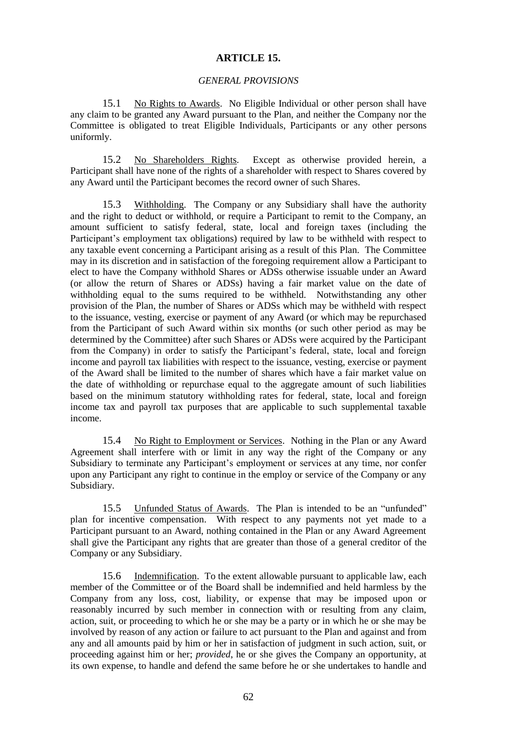### **ARTICLE 15.**

### *GENERAL PROVISIONS*

15.1 No Rights to Awards. No Eligible Individual or other person shall have any claim to be granted any Award pursuant to the Plan, and neither the Company nor the Committee is obligated to treat Eligible Individuals, Participants or any other persons uniformly.

15.2 No Shareholders Rights. Except as otherwise provided herein, a Participant shall have none of the rights of a shareholder with respect to Shares covered by any Award until the Participant becomes the record owner of such Shares.

15.3 Withholding. The Company or any Subsidiary shall have the authority and the right to deduct or withhold, or require a Participant to remit to the Company, an amount sufficient to satisfy federal, state, local and foreign taxes (including the Participant's employment tax obligations) required by law to be withheld with respect to any taxable event concerning a Participant arising as a result of this Plan. The Committee may in its discretion and in satisfaction of the foregoing requirement allow a Participant to elect to have the Company withhold Shares or ADSs otherwise issuable under an Award (or allow the return of Shares or ADSs) having a fair market value on the date of withholding equal to the sums required to be withheld. Notwithstanding any other provision of the Plan, the number of Shares or ADSs which may be withheld with respect to the issuance, vesting, exercise or payment of any Award (or which may be repurchased from the Participant of such Award within six months (or such other period as may be determined by the Committee) after such Shares or ADSs were acquired by the Participant from the Company) in order to satisfy the Participant's federal, state, local and foreign income and payroll tax liabilities with respect to the issuance, vesting, exercise or payment of the Award shall be limited to the number of shares which have a fair market value on the date of withholding or repurchase equal to the aggregate amount of such liabilities based on the minimum statutory withholding rates for federal, state, local and foreign income tax and payroll tax purposes that are applicable to such supplemental taxable income.

15.4 No Right to Employment or Services. Nothing in the Plan or any Award Agreement shall interfere with or limit in any way the right of the Company or any Subsidiary to terminate any Participant's employment or services at any time, nor confer upon any Participant any right to continue in the employ or service of the Company or any Subsidiary.

15.5 Unfunded Status of Awards. The Plan is intended to be an "unfunded" plan for incentive compensation. With respect to any payments not yet made to a Participant pursuant to an Award, nothing contained in the Plan or any Award Agreement shall give the Participant any rights that are greater than those of a general creditor of the Company or any Subsidiary.

15.6 Indemnification. To the extent allowable pursuant to applicable law, each member of the Committee or of the Board shall be indemnified and held harmless by the Company from any loss, cost, liability, or expense that may be imposed upon or reasonably incurred by such member in connection with or resulting from any claim, action, suit, or proceeding to which he or she may be a party or in which he or she may be involved by reason of any action or failure to act pursuant to the Plan and against and from any and all amounts paid by him or her in satisfaction of judgment in such action, suit, or proceeding against him or her; *provided*, he or she gives the Company an opportunity, at its own expense, to handle and defend the same before he or she undertakes to handle and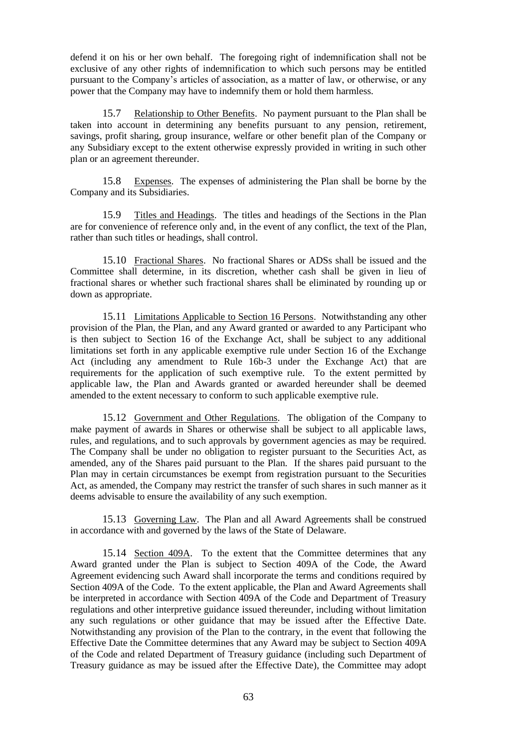defend it on his or her own behalf. The foregoing right of indemnification shall not be exclusive of any other rights of indemnification to which such persons may be entitled pursuant to the Company's articles of association, as a matter of law, or otherwise, or any power that the Company may have to indemnify them or hold them harmless.

15.7 Relationship to Other Benefits. No payment pursuant to the Plan shall be taken into account in determining any benefits pursuant to any pension, retirement, savings, profit sharing, group insurance, welfare or other benefit plan of the Company or any Subsidiary except to the extent otherwise expressly provided in writing in such other plan or an agreement thereunder.

15.8 Expenses. The expenses of administering the Plan shall be borne by the Company and its Subsidiaries.

15.9 Titles and Headings. The titles and headings of the Sections in the Plan are for convenience of reference only and, in the event of any conflict, the text of the Plan, rather than such titles or headings, shall control.

15.10 Fractional Shares. No fractional Shares or ADSs shall be issued and the Committee shall determine, in its discretion, whether cash shall be given in lieu of fractional shares or whether such fractional shares shall be eliminated by rounding up or down as appropriate.

15.11 Limitations Applicable to Section 16 Persons. Notwithstanding any other provision of the Plan, the Plan, and any Award granted or awarded to any Participant who is then subject to Section 16 of the Exchange Act, shall be subject to any additional limitations set forth in any applicable exemptive rule under Section 16 of the Exchange Act (including any amendment to Rule 16b-3 under the Exchange Act) that are requirements for the application of such exemptive rule. To the extent permitted by applicable law, the Plan and Awards granted or awarded hereunder shall be deemed amended to the extent necessary to conform to such applicable exemptive rule.

15.12 Government and Other Regulations. The obligation of the Company to make payment of awards in Shares or otherwise shall be subject to all applicable laws, rules, and regulations, and to such approvals by government agencies as may be required. The Company shall be under no obligation to register pursuant to the Securities Act, as amended, any of the Shares paid pursuant to the Plan. If the shares paid pursuant to the Plan may in certain circumstances be exempt from registration pursuant to the Securities Act, as amended, the Company may restrict the transfer of such shares in such manner as it deems advisable to ensure the availability of any such exemption.

15.13 Governing Law. The Plan and all Award Agreements shall be construed in accordance with and governed by the laws of the State of Delaware.

15.14 Section 409A. To the extent that the Committee determines that any Award granted under the Plan is subject to Section 409A of the Code, the Award Agreement evidencing such Award shall incorporate the terms and conditions required by Section 409A of the Code. To the extent applicable, the Plan and Award Agreements shall be interpreted in accordance with Section 409A of the Code and Department of Treasury regulations and other interpretive guidance issued thereunder, including without limitation any such regulations or other guidance that may be issued after the Effective Date. Notwithstanding any provision of the Plan to the contrary, in the event that following the Effective Date the Committee determines that any Award may be subject to Section 409A of the Code and related Department of Treasury guidance (including such Department of Treasury guidance as may be issued after the Effective Date), the Committee may adopt